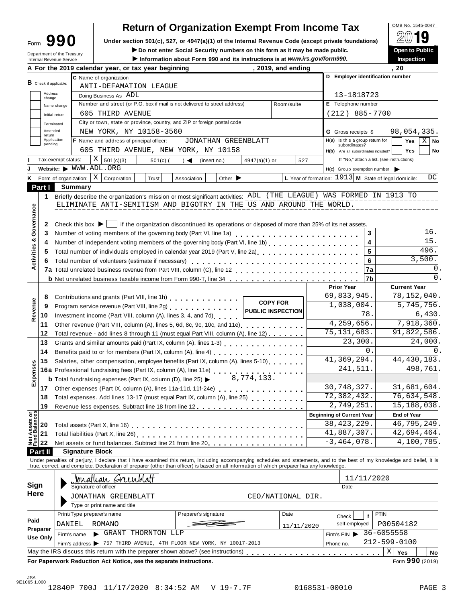| Form | 190                                                    |
|------|--------------------------------------------------------|
|      | Department of the Treasury<br>Internal Revenue Service |

## **Return of Organization Exempt From Income Tax**

**Under section 501(c), 527, or 4947(a)(1) of the Internal Revenue Code (except private foundations) <u>Form <b>990**</u> → **1990 Dependent internal Revenue** Code (except private foundations) **Form 30 Condense inter** Social Se

 $\blacktriangleright$  Do not enter Social Security numbers on this form as it may be made public.

Information about Form 990 and its instructions is at www.irs.gov/form990.

|                                |                               |                    | A For the 2019 calendar year, or tax year beginning                                                                                                                                                                                                                                                                      |                                                                                                 |                          |             | , 2019, and ending |                                                  | . 20                                                         |
|--------------------------------|-------------------------------|--------------------|--------------------------------------------------------------------------------------------------------------------------------------------------------------------------------------------------------------------------------------------------------------------------------------------------------------------------|-------------------------------------------------------------------------------------------------|--------------------------|-------------|--------------------|--------------------------------------------------|--------------------------------------------------------------|
|                                |                               |                    | C Name of organization                                                                                                                                                                                                                                                                                                   |                                                                                                 |                          |             |                    |                                                  | D Employer identification number                             |
|                                | <b>B</b> Check if applicable: |                    | ANTI-DEFAMATION LEAGUE                                                                                                                                                                                                                                                                                                   |                                                                                                 |                          |             |                    |                                                  |                                                              |
|                                | Address<br>change             |                    | Doing Business As ADL                                                                                                                                                                                                                                                                                                    |                                                                                                 |                          |             |                    | 13-1818723                                       |                                                              |
|                                |                               | Name change        | Number and street (or P.O. box if mail is not delivered to street address)                                                                                                                                                                                                                                               |                                                                                                 |                          | Room/suite  |                    | E Telephone number                               |                                                              |
|                                |                               | Initial return     | 605 THIRD AVENUE                                                                                                                                                                                                                                                                                                         |                                                                                                 |                          |             |                    | $(212) 885 - 7700$                               |                                                              |
|                                | Terminated                    |                    | City or town, state or province, country, and ZIP or foreign postal code                                                                                                                                                                                                                                                 |                                                                                                 |                          |             |                    |                                                  |                                                              |
|                                | Amended<br>return             |                    | NEW YORK, NY 10158-3560                                                                                                                                                                                                                                                                                                  |                                                                                                 |                          |             |                    | <b>G</b> Gross receipts \$                       | 98,054,335.                                                  |
|                                | Application<br>pending        |                    | F Name and address of principal officer:                                                                                                                                                                                                                                                                                 | JONATHAN GREENBLATT                                                                             |                          |             |                    | H(a) Is this a group return for<br>subordinates? | $X \mid$ No<br>Yes                                           |
|                                |                               |                    | 605 THIRD AVENUE, NEW YORK, NY 10158                                                                                                                                                                                                                                                                                     |                                                                                                 |                          |             |                    | H(b) Are all subordinates included?              | Yes<br>No                                                    |
|                                |                               | Tax-exempt status: | $X \mid$<br>501(c)(3)<br>$501(c)$ (                                                                                                                                                                                                                                                                                      | $\rightarrow$<br>(insert no.)                                                                   | $4947(a)(1)$ or          |             | 527                |                                                  | If "No," attach a list. (see instructions)                   |
|                                |                               |                    | Website: WWW.ADL.ORG                                                                                                                                                                                                                                                                                                     |                                                                                                 |                          |             |                    |                                                  | $H(c)$ Group exemption number                                |
|                                |                               |                    | Form of organization: $\mid X \mid$ Corporation<br>Trust                                                                                                                                                                                                                                                                 | Other $\blacktriangleright$<br>Association                                                      |                          |             |                    |                                                  | L Year of formation: $1913$ M State of legal domicile:<br>DC |
|                                | Part I                        |                    | <b>Summary</b>                                                                                                                                                                                                                                                                                                           |                                                                                                 |                          |             |                    |                                                  |                                                              |
|                                | 1                             |                    | Briefly describe the organization's mission or most significant activities: ADL (THE LEAGUE) WAS FORMED IN 1913 TO                                                                                                                                                                                                       |                                                                                                 |                          |             |                    |                                                  |                                                              |
|                                |                               |                    | ELIMINATE ANTI-SEMITISM AND BIGOTRY IN THE US AND AROUND THE WORLD.                                                                                                                                                                                                                                                      |                                                                                                 |                          |             |                    |                                                  |                                                              |
|                                |                               |                    |                                                                                                                                                                                                                                                                                                                          |                                                                                                 |                          |             |                    |                                                  |                                                              |
| Governance                     | 2                             |                    | Check this box $\blacktriangleright$                                                                                                                                                                                                                                                                                     | if the organization discontinued its operations or disposed of more than 25% of its net assets. |                          |             |                    |                                                  |                                                              |
|                                | 3                             |                    |                                                                                                                                                                                                                                                                                                                          |                                                                                                 |                          |             |                    |                                                  | 16.<br>3                                                     |
| ಳ                              | 4                             |                    |                                                                                                                                                                                                                                                                                                                          |                                                                                                 |                          |             |                    |                                                  | $\overline{15}$ .<br>4                                       |
| Activities                     | 5                             |                    | Total number of individuals employed in calendar year 2019 (Part V, line 2a)<br>The 2a)                                                                                                                                                                                                                                  |                                                                                                 |                          |             |                    |                                                  | 496.<br>5                                                    |
|                                | 6                             |                    |                                                                                                                                                                                                                                                                                                                          |                                                                                                 |                          |             |                    |                                                  | 3,500.<br>6                                                  |
|                                |                               |                    |                                                                                                                                                                                                                                                                                                                          |                                                                                                 |                          |             |                    |                                                  | 0.<br>7a                                                     |
|                                |                               |                    | b Net unrelated business taxable income from Form 990-T, line 34                                                                                                                                                                                                                                                         |                                                                                                 |                          |             |                    |                                                  | 0.<br>∣7b                                                    |
|                                |                               |                    |                                                                                                                                                                                                                                                                                                                          |                                                                                                 |                          |             |                    | <b>Prior Year</b>                                | <b>Current Year</b>                                          |
|                                | 8                             |                    | Contributions and grants (Part VIII, line 1h) [19] Contributions and grants (Part VIII, line 1h)                                                                                                                                                                                                                         |                                                                                                 | 69,833,945.              | 78,152,040. |                    |                                                  |                                                              |
|                                | 9                             |                    | Program service revenue (Part VIII, line 2g)                                                                                                                                                                                                                                                                             | <b>COPY FOR</b>                                                                                 | 1,038,004.               | 5,745,756.  |                    |                                                  |                                                              |
| Revenue                        | 10                            |                    | Investment income (Part VIII, column (A), lines 3, 4, and 7d)                                                                                                                                                                                                                                                            |                                                                                                 | <b>PUBLIC INSPECTION</b> |             |                    |                                                  | 78.<br>6,430.                                                |
|                                | 11                            |                    | Other revenue (Part VIII, column (A), lines 5, 6d, 8c, 9c, 10c, and 11e)                                                                                                                                                                                                                                                 |                                                                                                 |                          |             |                    | 4,259,656.                                       | 7,918,360.                                                   |
|                                | 12                            |                    | Total revenue - add lines 8 through 11 (must equal Part VIII, column (A), line 12)                                                                                                                                                                                                                                       |                                                                                                 |                          |             |                    | 75, 131, 683.                                    | 91,822,586.                                                  |
|                                | 13                            |                    |                                                                                                                                                                                                                                                                                                                          |                                                                                                 |                          |             |                    | 23,300.                                          | 24,000.                                                      |
|                                | 14                            |                    | Benefits paid to or for members (Part IX, column (A), line 4)                                                                                                                                                                                                                                                            |                                                                                                 |                          |             |                    |                                                  | $0$ .<br>0.                                                  |
|                                | 15                            |                    | Salaries, other compensation, employee benefits (Part IX, column (A), lines 5-10)                                                                                                                                                                                                                                        |                                                                                                 |                          |             |                    | 41,369,294.                                      | 44, 430, 183.                                                |
| Expenses                       |                               |                    |                                                                                                                                                                                                                                                                                                                          |                                                                                                 |                          |             |                    | 241,511.                                         | 498,761.                                                     |
|                                |                               |                    | <b>16a</b> Professional fundraising fees (Part IX, column (A), line 11e)<br><b>b</b> Total fundraising expenses (Part IX, column (D), line 25)<br>$\begin{array}{c} 8,774,133. \\ -2,2,3,3,4,133. \end{array}$                                                                                                           |                                                                                                 |                          |             |                    |                                                  |                                                              |
|                                | 17                            |                    |                                                                                                                                                                                                                                                                                                                          |                                                                                                 |                          |             |                    | 30,748,327.                                      | 31,681,604.                                                  |
|                                | 18                            |                    |                                                                                                                                                                                                                                                                                                                          |                                                                                                 |                          |             |                    | 72,382,432.                                      | 76,634,548.                                                  |
|                                | 19                            |                    | Revenue less expenses. Subtract line 18 from line 12                                                                                                                                                                                                                                                                     |                                                                                                 |                          |             |                    | 2,749,251.                                       | 15, 188, 038.                                                |
| Net Assets or<br>Fund Balances |                               |                    |                                                                                                                                                                                                                                                                                                                          |                                                                                                 |                          |             |                    | <b>Beginning of Current Year</b>                 | <b>End of Year</b>                                           |
|                                | 20                            |                    |                                                                                                                                                                                                                                                                                                                          |                                                                                                 |                          |             |                    | 38, 423, 229.                                    | 46,795,249.                                                  |
|                                | 21                            |                    | Total liabilities (Part X, line 26)                                                                                                                                                                                                                                                                                      |                                                                                                 |                          |             |                    | 41,887,307.                                      | 42,694,464.                                                  |
|                                | 22                            |                    | Net assets or fund balances. Subtract line 21 from line 20.                                                                                                                                                                                                                                                              |                                                                                                 |                          |             |                    | $-3, 464, 078.$                                  | 4,100,785.                                                   |
|                                | Part II                       |                    | <b>Signature Block</b>                                                                                                                                                                                                                                                                                                   |                                                                                                 |                          |             |                    |                                                  |                                                              |
|                                |                               |                    | Under penalties of perjury, I declare that I have examined this return, including accompanying schedules and statements, and to the best of my knowledge and belief, it is<br>true, correct, and complete. Declaration of preparer (other than officer) is based on all information of which preparer has any knowledge. |                                                                                                 |                          |             |                    |                                                  |                                                              |
|                                |                               |                    |                                                                                                                                                                                                                                                                                                                          |                                                                                                 |                          |             |                    |                                                  |                                                              |
| Sign                           |                               |                    | <u>Ionath</u> an Greenb                                                                                                                                                                                                                                                                                                  |                                                                                                 |                          |             |                    |                                                  | 11/11/2020                                                   |
| Here                           |                               |                    | Signature of officer                                                                                                                                                                                                                                                                                                     |                                                                                                 |                          |             |                    | Date                                             |                                                              |
|                                |                               |                    | JONATHAN GREENBLATT                                                                                                                                                                                                                                                                                                      |                                                                                                 |                          |             | CEO/NATIONAL DIR.  |                                                  |                                                              |
|                                |                               |                    | Type or print name and title                                                                                                                                                                                                                                                                                             |                                                                                                 |                          |             |                    |                                                  |                                                              |
| Paid                           |                               |                    | Print/Type preparer's name                                                                                                                                                                                                                                                                                               | Preparer's signature                                                                            |                          | Date        |                    | Check                                            | <b>PTIN</b><br>if                                            |
|                                | Preparer                      | DANIEL             | <b>ROMANO</b>                                                                                                                                                                                                                                                                                                            |                                                                                                 |                          |             | 11/11/2020         | self-employed                                    | P00504182                                                    |
|                                | Use Only                      |                    | GRANT THORNTON LLP<br>Firm's name                                                                                                                                                                                                                                                                                        |                                                                                                 |                          |             |                    | Firm's EIN                                       | 36-6055558                                                   |
|                                |                               |                    | Firm's address > 757 THIRD AVENUE, 4TH FLOOR NEW YORK, NY 10017-2013                                                                                                                                                                                                                                                     |                                                                                                 |                          |             |                    | Phone no.                                        | 212-599-0100                                                 |
|                                |                               |                    | May the IRS discuss this return with the preparer shown above? (see instructions)                                                                                                                                                                                                                                        |                                                                                                 |                          |             |                    |                                                  | Χ<br>Yes<br>No                                               |
|                                |                               |                    | For Paperwork Reduction Act Notice, see the separate instructions.                                                                                                                                                                                                                                                       |                                                                                                 |                          |             |                    |                                                  | Form 990 (2019)                                              |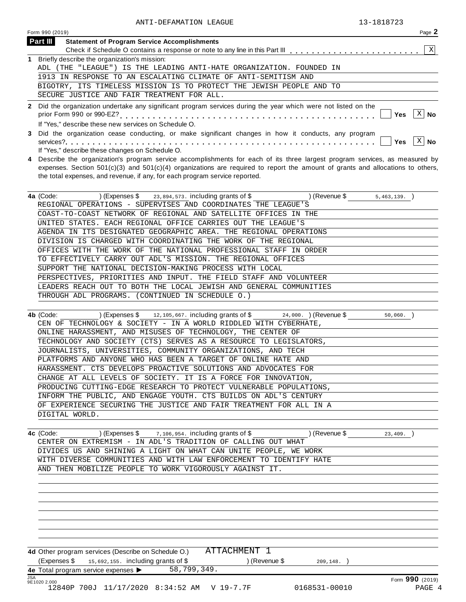|                                                                                                                                                                                                                                                                                                                                                     | Page 2<br>Form 990 (2019)                                                        |
|-----------------------------------------------------------------------------------------------------------------------------------------------------------------------------------------------------------------------------------------------------------------------------------------------------------------------------------------------------|----------------------------------------------------------------------------------|
|                                                                                                                                                                                                                                                                                                                                                     | <b>Statement of Program Service Accomplishments</b><br>$X \mid$ No<br><b>Yes</b> |
|                                                                                                                                                                                                                                                                                                                                                     |                                                                                  |
|                                                                                                                                                                                                                                                                                                                                                     |                                                                                  |
|                                                                                                                                                                                                                                                                                                                                                     | ADL (THE "LEAGUE") IS THE LEADING ANTI-HATE ORGANIZATION. FOUNDED IN             |
|                                                                                                                                                                                                                                                                                                                                                     | 1913 IN RESPONSE TO AN ESCALATING CLIMATE OF ANTI-SEMITISM AND                   |
|                                                                                                                                                                                                                                                                                                                                                     | BIGOTRY, ITS TIMELESS MISSION IS TO PROTECT THE JEWISH PEOPLE AND TO             |
|                                                                                                                                                                                                                                                                                                                                                     | SECURE JUSTICE AND FAIR TREATMENT FOR ALL.                                       |
| <b>Part III</b><br>1 Briefly describe the organization's mission:<br>2 Did the organization undertake any significant program services during the year which were not listed on the<br>If "Yes," describe these new services on Schedule O.<br>3 Did the organization cease conducting, or make significant changes in how it conducts, any program |                                                                                  |
|                                                                                                                                                                                                                                                                                                                                                     |                                                                                  |
|                                                                                                                                                                                                                                                                                                                                                     | Yes<br>No                                                                        |

If "Yes," describe these changes on Schedule O.

**4** Describe the organization's program service accomplishments for each of its three largest program services, as measured by expenses. Section 501(c)(3) and 501(c)(4) organizations are required to report the amount of grants and allocations to others, the total expenses, and revenue, if any, for each program service reported.

| 4a (Code:<br>) (Expenses $\$\$ 23,894,573. including grants of $\$$  | l (Revenue \$ | 5,463,139. |
|----------------------------------------------------------------------|---------------|------------|
| REGIONAL OPERATIONS - SUPERVISES AND COORDINATES THE LEAGUE'S        |               |            |
| COAST-TO-COAST NETWORK OF REGIONAL AND SATELLITE OFFICES IN THE      |               |            |
| UNITED STATES. EACH REGIONAL OFFICE CARRIES OUT THE LEAGUE'S         |               |            |
| AGENDA IN ITS DESIGNATED GEOGRAPHIC AREA. THE REGIONAL OPERATIONS    |               |            |
| DIVISION IS CHARGED WITH COORDINATING THE WORK OF THE REGIONAL       |               |            |
| OFFICES WITH THE<br>WORK OF THE NATIONAL PROFESSIONAL STAFF IN ORDER |               |            |
| TO EFFECTIVELY CARRY OUT ADL'S MISSION. THE REGIONAL OFFICES         |               |            |
| SUPPORT THE NATIONAL DECISION-MAKING PROCESS WITH LOCAL              |               |            |
| PERSPECTIVES, PRIORITIES AND INPUT. THE FIELD STAFF AND VOLUNTEER    |               |            |
| LEADERS REACH OUT TO BOTH THE LOCAL JEWISH AND GENERAL COMMUNITIES   |               |            |
| THROUGH ADL PROGRAMS. (CONTINUED IN SCHEDULE O.)                     |               |            |

| 4b (Code:<br>) (Expenses $\$\$ 12,105,667. including grants of $\$\$ 24,000. ) (Revenue $\$$ |  | 50,060. |  |  |  |  |  |  |  |
|----------------------------------------------------------------------------------------------|--|---------|--|--|--|--|--|--|--|
| CEN OF TECHNOLOGY & SOCIETY - IN A WORLD RIDDLED WITH CYBERHATE,                             |  |         |  |  |  |  |  |  |  |
| ONLINE HARASSMENT, AND MISUSES OF TECHNOLOGY, THE CENTER OF                                  |  |         |  |  |  |  |  |  |  |
| TECHNOLOGY AND SOCIETY (CTS) SERVES AS A RESOURCE TO LEGISLATORS,                            |  |         |  |  |  |  |  |  |  |
| JOURNALISTS, UNIVERSITIES, COMMUNITY ORGANIZATIONS, AND TECH                                 |  |         |  |  |  |  |  |  |  |
| PLATFORMS AND ANYONE WHO HAS BEEN A TARGET OF ONLINE HATE AND                                |  |         |  |  |  |  |  |  |  |
| HARASSMENT. CTS DEVELOPS PROACTIVE SOLUTIONS AND ADVOCATES FOR                               |  |         |  |  |  |  |  |  |  |
| CHANGE AT ALL LEVELS OF SOCIETY. IT IS A FORCE FOR INNOVATION,                               |  |         |  |  |  |  |  |  |  |
| PRODUCING CUTTING-EDGE RESEARCH TO PROTECT VULNERABLE POPULATIONS,                           |  |         |  |  |  |  |  |  |  |
| INFORM THE PUBLIC, AND ENGAGE YOUTH. CTS BUILDS ON ADL'S CENTURY                             |  |         |  |  |  |  |  |  |  |
| OF EXPERIENCE SECURING THE JUSTICE AND FAIR TREATMENT FOR ALL IN A                           |  |         |  |  |  |  |  |  |  |
| DIGITAL WORLD.                                                                               |  |         |  |  |  |  |  |  |  |

**4c** (Code: ) (Expenses \$ 1,106,954. including grants of \$ ) (Revenue \$ 23,409. ) CENTER ON EXTREMISM - IN ADL'S TRADITION OF CALLING OUT WHAT DIVIDES US AND SHINING A LIGHT ON WHAT CAN UNITE PEOPLE, WE WORK WITH DIVERSE COMMUNITIES AND WITH LAW ENFORCEMENT TO IDENTIFY HATE AND THEN MOBILIZE PEOPLE TO WORK VIGOROUSLY AGAINST IT.

**4d** Other program services (Describe on Schedule O.) (Expenses \$ including grants of \$ ) (Revenue \$ ) 15,692,155. 209,148. **4e** Total program service expenses <br> **4e** Total program service expenses <br> **49**  $\frac{15A}{95102020200}$ [ATTACHMENT 1](#page-59-0) 58,799,349.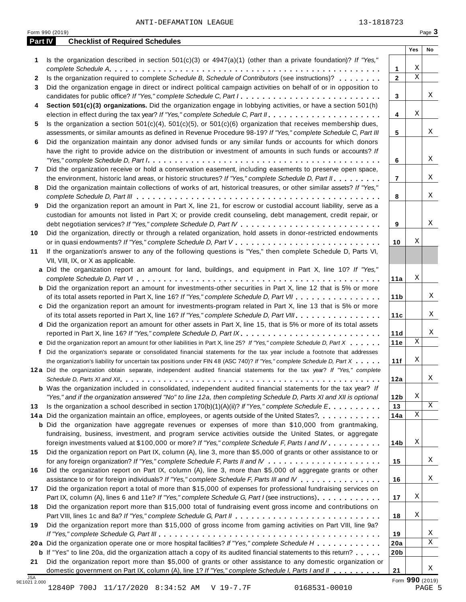ANTI-DEFAMATION LEAGUE 13-1818723

Form <sup>990</sup> (2019) Page **3**

|              | Is the organization described in section $501(c)(3)$ or $4947(a)(1)$ (other than a private foundation)? If "Yes,"       |                 | Yes             | No |
|--------------|-------------------------------------------------------------------------------------------------------------------------|-----------------|-----------------|----|
| 1            |                                                                                                                         | 1               | Χ               |    |
| $\mathbf{2}$ | Is the organization required to complete Schedule B, Schedule of Contributors (see instructions)?                       | $\mathbf{2}$    | $\mathbf X$     |    |
| 3            | Did the organization engage in direct or indirect political campaign activities on behalf of or in opposition to        |                 |                 |    |
|              | candidates for public office? If "Yes," complete Schedule C, Part I.                                                    | 3               |                 |    |
| 4            | Section 501(c)(3) organizations. Did the organization engage in lobbying activities, or have a section 501(h)           | 4               | Χ               |    |
| 5            | Is the organization a section $501(c)(4)$ , $501(c)(5)$ , or $501(c)(6)$ organization that receives membership dues,    |                 |                 |    |
|              | assessments, or similar amounts as defined in Revenue Procedure 98-19? If "Yes," complete Schedule C, Part III          | 5               |                 |    |
| 6            | Did the organization maintain any donor advised funds or any similar funds or accounts for which donors                 |                 |                 |    |
|              | have the right to provide advice on the distribution or investment of amounts in such funds or accounts? If             |                 |                 |    |
|              |                                                                                                                         | 6               |                 |    |
| 7            | Did the organization receive or hold a conservation easement, including easements to preserve open space,               |                 |                 |    |
|              | the environment, historic land areas, or historic structures? If "Yes," complete Schedule D, Part II.                   | $\overline{7}$  |                 |    |
| 8            | Did the organization maintain collections of works of art, historical treasures, or other similar assets? If "Yes,"     |                 |                 |    |
|              |                                                                                                                         | 8               |                 |    |
| 9            | Did the organization report an amount in Part X, line 21, for escrow or custodial account liability, serve as a         |                 |                 |    |
|              | custodian for amounts not listed in Part X; or provide credit counseling, debt management, credit repair, or            | 9               |                 |    |
| 10           | Did the organization, directly or through a related organization, hold assets in donor-restricted endowments            |                 |                 |    |
|              |                                                                                                                         | 10              | Χ               |    |
| 11           | If the organization's answer to any of the following questions is "Yes," then complete Schedule D, Parts VI,            |                 |                 |    |
|              | VII, VIII, IX, or X as applicable.                                                                                      |                 |                 |    |
|              | a Did the organization report an amount for land, buildings, and equipment in Part X, line 10? If "Yes,"                |                 |                 |    |
|              |                                                                                                                         | 11a             | Χ               |    |
|              | <b>b</b> Did the organization report an amount for investments-other securities in Part X, line 12 that is 5% or more   |                 |                 |    |
|              | of its total assets reported in Part X, line 16? If "Yes," complete Schedule D, Part VII                                | 11 <sub>b</sub> |                 |    |
|              | c Did the organization report an amount for investments-program related in Part X, line 13 that is 5% or more           |                 |                 |    |
|              | of its total assets reported in Part X, line 16? If "Yes," complete Schedule D, Part VIII                               | 11c             |                 |    |
|              | d Did the organization report an amount for other assets in Part X, line 15, that is 5% or more of its total assets     |                 |                 |    |
|              | reported in Part X, line 16? If "Yes," complete Schedule D, Part IX.                                                    | 11d             |                 |    |
|              | e Did the organization report an amount for other liabilities in Part X, line 25? If "Yes," complete Schedule D, Part X | 11e             | $\mathbf X$     |    |
| Ť.           | Did the organization's separate or consolidated financial statements for the tax year include a footnote that addresses |                 | Χ               |    |
|              | the organization's liability for uncertain tax positions under FIN 48 (ASC 740)? If "Yes," complete Schedule D, Part X  | 11f             |                 |    |
|              | 12a Did the organization obtain separate, independent audited financial statements for the tax year? If "Yes," complete | 12a             |                 |    |
|              | <b>b</b> Was the organization included in consolidated, independent audited financial statements for the tax year? If   |                 |                 |    |
|              | "Yes," and if the organization answered "No" to line 12a, then completing Schedule D, Parts XI and XII is optional      | 12b             | Χ               |    |
| 13           | Is the organization a school described in section $170(b)(1)(A)(ii)$ ? If "Yes," complete Schedule E                    | 13              |                 |    |
|              | 14a Did the organization maintain an office, employees, or agents outside of the United States?.                        | 14a             | Χ               |    |
|              | <b>b</b> Did the organization have aggregate revenues or expenses of more than \$10,000 from grantmaking,               |                 |                 |    |
|              | fundraising, business, investment, and program service activities outside the United States, or aggregate               |                 |                 |    |
|              | foreign investments valued at \$100,000 or more? If "Yes," complete Schedule F, Parts I and IV                          | 14b             | Χ               |    |
| 15           | Did the organization report on Part IX, column (A), line 3, more than \$5,000 of grants or other assistance to or       |                 |                 |    |
|              |                                                                                                                         | 15              |                 |    |
| 16           | Did the organization report on Part IX, column (A), line 3, more than \$5,000 of aggregate grants or other              |                 |                 |    |
|              | assistance to or for foreign individuals? If "Yes," complete Schedule F, Parts III and IV                               | 16              |                 |    |
| 17           | Did the organization report a total of more than \$15,000 of expenses for professional fundraising services on          |                 |                 |    |
|              | Part IX, column (A), lines 6 and 11e? If "Yes," complete Schedule G, Part I (see instructions)                          | 17              | Χ               |    |
| 18           | Did the organization report more than \$15,000 total of fundraising event gross income and contributions on             |                 |                 |    |
|              |                                                                                                                         | 18              | Χ               |    |
| 19           | Did the organization report more than \$15,000 of gross income from gaming activities on Part VIII, line 9a?            |                 |                 |    |
|              | 20a Did the organization operate one or more hospital facilities? If "Yes," complete Schedule H                         | 19<br>20a       |                 |    |
|              | <b>b</b> If "Yes" to line 20a, did the organization attach a copy of its audited financial statements to this return?   | 20 <sub>b</sub> |                 |    |
| 21           | Did the organization report more than \$5,000 of grants or other assistance to any domestic organization or             |                 |                 |    |
|              | domestic government on Part IX, column (A), line 1? If "Yes," complete Schedule I, Parts I and II                       | 21              |                 |    |
| <b>JSA</b>   |                                                                                                                         |                 | Form 990 (2019) |    |

12840P 700J 11/17/2020 8:34:52 AM V 19-7.7F 0168531-00010 PAGE 5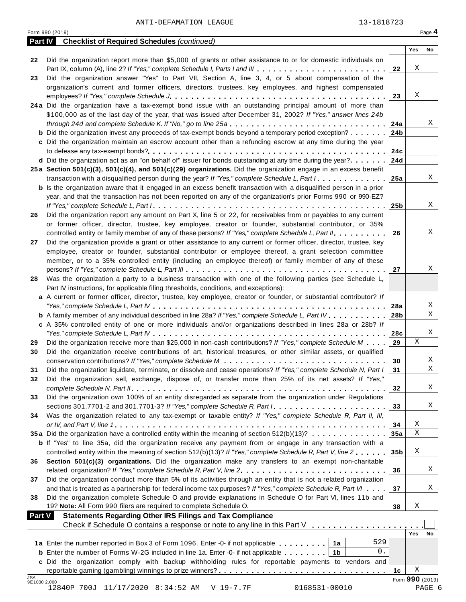ANTI-DEFAMATION LEAGUE 13-1818723

|               | <b>Part IV</b> Checklist of Required Schedules (continued)                                                                                                                                               |                 |                 |    |
|---------------|----------------------------------------------------------------------------------------------------------------------------------------------------------------------------------------------------------|-----------------|-----------------|----|
|               |                                                                                                                                                                                                          |                 | Yes             | No |
| 22            | Did the organization report more than \$5,000 of grants or other assistance to or for domestic individuals on                                                                                            |                 | Χ               |    |
| 23            | Part IX, column (A), line 2? If "Yes," complete Schedule I, Parts I and III<br>Did the organization answer "Yes" to Part VII, Section A, line 3, 4, or 5 about compensation of the                       | 22              |                 |    |
|               | organization's current and former officers, directors, trustees, key employees, and highest compensated                                                                                                  |                 |                 |    |
|               |                                                                                                                                                                                                          | 23              | Χ               |    |
|               | 24a Did the organization have a tax-exempt bond issue with an outstanding principal amount of more than                                                                                                  |                 |                 |    |
|               | \$100,000 as of the last day of the year, that was issued after December 31, 2002? If "Yes," answer lines 24b                                                                                            |                 |                 |    |
|               | through 24d and complete Schedule K. If "No," go to line 25a                                                                                                                                             | 24a             |                 | Χ  |
|               | <b>b</b> Did the organization invest any proceeds of tax-exempt bonds beyond a temporary period exception?                                                                                               | 24 <sub>b</sub> |                 |    |
|               | c Did the organization maintain an escrow account other than a refunding escrow at any time during the year                                                                                              |                 |                 |    |
|               |                                                                                                                                                                                                          | 24c             |                 |    |
|               | d Did the organization act as an "on behalf of" issuer for bonds outstanding at any time during the year?                                                                                                | 24d             |                 |    |
|               | 25a Section 501(c)(3), 501(c)(4), and 501(c)(29) organizations. Did the organization engage in an excess benefit                                                                                         |                 |                 |    |
|               | transaction with a disqualified person during the year? If "Yes," complete Schedule L, Part I.                                                                                                           | 25a             |                 | X  |
|               | b Is the organization aware that it engaged in an excess benefit transaction with a disqualified person in a prior                                                                                       |                 |                 |    |
|               | year, and that the transaction has not been reported on any of the organization's prior Forms 990 or 990-EZ?                                                                                             |                 |                 |    |
|               |                                                                                                                                                                                                          | 25 <sub>b</sub> |                 | X  |
| 26            | Did the organization report any amount on Part X, line 5 or 22, for receivables from or payables to any current                                                                                          |                 |                 |    |
|               | or former officer, director, trustee, key employee, creator or founder, substantial contributor, or 35%                                                                                                  |                 |                 |    |
|               | controlled entity or family member of any of these persons? If "Yes," complete Schedule L, Part II.                                                                                                      | 26              |                 | X  |
| 27            | Did the organization provide a grant or other assistance to any current or former officer, director, trustee, key                                                                                        |                 |                 |    |
|               | employee, creator or founder, substantial contributor or employee thereof, a grant selection committee                                                                                                   |                 |                 |    |
|               | member, or to a 35% controlled entity (including an employee thereof) or family member of any of these                                                                                                   |                 |                 |    |
|               |                                                                                                                                                                                                          | 27              |                 | Χ  |
| 28            | Was the organization a party to a business transaction with one of the following parties (see Schedule L,                                                                                                |                 |                 |    |
|               | Part IV instructions, for applicable filing thresholds, conditions, and exceptions):                                                                                                                     |                 |                 |    |
|               | a A current or former officer, director, trustee, key employee, creator or founder, or substantial contributor? If                                                                                       |                 |                 |    |
|               |                                                                                                                                                                                                          | 28a             |                 | Χ  |
|               | <b>b</b> A family member of any individual described in line 28a? If "Yes," complete Schedule L, Part IV.                                                                                                | 28 <sub>b</sub> |                 | X  |
|               | c A 35% controlled entity of one or more individuals and/or organizations described in lines 28a or 28b? If                                                                                              |                 |                 |    |
|               |                                                                                                                                                                                                          | 28c             |                 | Χ  |
| 29            | Did the organization receive more than \$25,000 in non-cash contributions? If "Yes," complete Schedule M                                                                                                 | 29              | X               |    |
| 30            | Did the organization receive contributions of art, historical treasures, or other similar assets, or qualified                                                                                           |                 |                 |    |
|               |                                                                                                                                                                                                          | 30              |                 | Χ  |
| 31            | Did the organization liquidate, terminate, or dissolve and cease operations? If "Yes," complete Schedule N, Part I                                                                                       | 31              |                 | X  |
| 32            | Did the organization sell, exchange, dispose of, or transfer more than 25% of its net assets? If "Yes,"                                                                                                  |                 |                 |    |
|               |                                                                                                                                                                                                          | 32              |                 | Χ  |
| 33            | Did the organization own 100% of an entity disregarded as separate from the organization under Regulations                                                                                               |                 |                 |    |
|               | sections 301.7701-2 and 301.7701-3? If "Yes," complete Schedule R, Part /                                                                                                                                | 33              |                 | Χ  |
| 34            | Was the organization related to any tax-exempt or taxable entity? If "Yes," complete Schedule R, Part II, III,                                                                                           |                 |                 |    |
|               |                                                                                                                                                                                                          | 34              | Χ               |    |
|               | 35a Did the organization have a controlled entity within the meaning of section 512(b)(13)?                                                                                                              | 35a             | Χ               |    |
|               | <b>b</b> If "Yes" to line 35a, did the organization receive any payment from or engage in any transaction with a                                                                                         |                 |                 |    |
|               | controlled entity within the meaning of section 512(b)(13)? If "Yes," complete Schedule R, Part V, line 2                                                                                                | 35 <sub>b</sub> | Χ               |    |
| 36            | Section 501(c)(3) organizations. Did the organization make any transfers to an exempt non-charitable                                                                                                     |                 |                 |    |
|               | related organization? If "Yes," complete Schedule R, Part V, line 2.                                                                                                                                     | 36              |                 | Χ  |
| 37            | Did the organization conduct more than 5% of its activities through an entity that is not a related organization                                                                                         |                 |                 | Χ  |
|               | and that is treated as a partnership for federal income tax purposes? If "Yes," complete Schedule R, Part VI                                                                                             | 37              |                 |    |
| 38            | Did the organization complete Schedule O and provide explanations in Schedule O for Part VI, lines 11b and                                                                                               |                 | Χ               |    |
|               | 19? Note: All Form 990 filers are required to complete Schedule O.                                                                                                                                       | 38              |                 |    |
| <b>Part V</b> | <b>Statements Regarding Other IRS Filings and Tax Compliance</b>                                                                                                                                         |                 |                 |    |
|               |                                                                                                                                                                                                          |                 | Yes             | No |
|               | 529                                                                                                                                                                                                      |                 |                 |    |
|               | 1a Enter the number reported in Box 3 of Form 1096. Enter -0- if not applicable   1a<br>0.<br><b>b</b> Enter the number of Forms W-2G included in line 1a. Enter -0- if not applicable $\ldots \ldots$ , |                 |                 |    |
|               | c Did the organization comply with backup withholding rules for reportable payments to vendors and                                                                                                       |                 |                 |    |
|               |                                                                                                                                                                                                          | 1c              | Χ               |    |
| <b>JSA</b>    |                                                                                                                                                                                                          |                 | Form 990 (2019) |    |
|               | 9E1030 2.000                                                                                                                                                                                             |                 |                 |    |

12840P 700J 11/17/2020 8:34:52 AM V 19-7.7F 0168531-00010 PAGE 6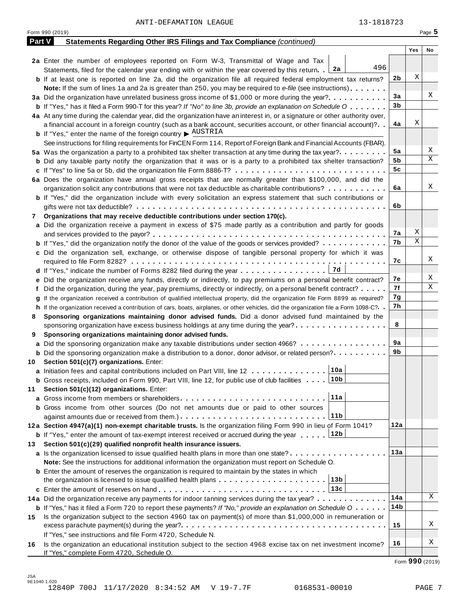|        | Form 990 (2019)                                                                                                                                     |     | Page 5 |
|--------|-----------------------------------------------------------------------------------------------------------------------------------------------------|-----|--------|
| Part V | Statements Regarding Other IRS Filings and Tax Compliance (continued)                                                                               |     |        |
|        |                                                                                                                                                     | Yes | No     |
|        | 2a Enter the number of employees reported on Form W-3, Transmittal of Wage and Tax                                                                  |     |        |
|        | 496<br>Statements, filed for the calendar year ending with or within the year covered by this return. [2a                                           |     |        |
|        | 2b<br><b>b</b> If at least one is reported on line 2a, did the organization file all required federal employment tax returns?                       | Χ   |        |
|        | <b>Note:</b> If the sum of lines 1a and 2a is greater than 250, you may be required to e-file (see instructions)                                    |     |        |
|        | 3a<br>3a Did the organization have unrelated business gross income of \$1,000 or more during the year?                                              |     | Χ      |
|        | 3b<br><b>b</b> If "Yes," has it filed a Form 990-T for this year? If "No" to line 3b, provide an explanation on Schedule O                          |     |        |
|        | 4a At any time during the calendar year, did the organization have an interest in, or a signature or other authority over,                          |     |        |
|        | 4a<br>a financial account in a foreign country (such as a bank account, securities account, or other financial account)?                            | Χ   |        |
|        | <b>b</b> If "Yes," enter the name of the foreign country $\triangleright$ $\frac{\text{AUSTRIA}}{\text{AUSTRIA}}$                                   |     |        |
|        | See instructions for filing requirements for FinCEN Form 114, Report of Foreign Bank and Financial Accounts (FBAR).                                 |     |        |
|        | 5a<br>5a Was the organization a party to a prohibited tax shelter transaction at any time during the tax year?                                      |     | Χ      |
|        | 5b<br><b>b</b> Did any taxable party notify the organization that it was or is a party to a prohibited tax shelter transaction?                     |     | Χ      |
|        | 5c<br>c If "Yes" to line 5a or 5b, did the organization file Form 8886-T?                                                                           |     |        |
|        | 6a Does the organization have annual gross receipts that are normally greater than \$100,000, and did the                                           |     |        |
|        | 6a<br>organization solicit any contributions that were not tax deductible as charitable contributions?                                              |     | Χ      |
|        | <b>b</b> If "Yes," did the organization include with every solicitation an express statement that such contributions or                             |     |        |
|        | 6b                                                                                                                                                  |     |        |
| 7      | Organizations that may receive deductible contributions under section 170(c).                                                                       |     |        |
|        | a Did the organization receive a payment in excess of \$75 made partly as a contribution and partly for goods                                       |     |        |
|        | 7а                                                                                                                                                  | Χ   |        |
|        | 7b                                                                                                                                                  | Χ   |        |
|        | <b>b</b> If "Yes," did the organization notify the donor of the value of the goods or services provided?                                            |     |        |
|        | c Did the organization sell, exchange, or otherwise dispose of tangible personal property for which it was<br>7с                                    |     | Χ      |
|        |                                                                                                                                                     |     |        |
|        | 7d<br><b>d</b> If "Yes," indicate the number of Forms 8282 filed during the year $\dots \dots \dots \dots \dots$                                    |     | Χ      |
|        | 7е<br>e Did the organization receive any funds, directly or indirectly, to pay premiums on a personal benefit contract?                             |     | Χ      |
|        | 7f<br>f Did the organization, during the year, pay premiums, directly or indirectly, on a personal benefit contract?                                |     |        |
|        | 7g<br>If the organization received a contribution of qualified intellectual property, did the organization file Form 8899 as required?              |     |        |
|        | 7h<br>h If the organization received a contribution of cars, boats, airplanes, or other vehicles, did the organization file a Form 1098-C?          |     |        |
| 8      | Sponsoring organizations maintaining donor advised funds. Did a donor advised fund maintained by the                                                |     |        |
|        | 8<br>sponsoring organization have excess business holdings at any time during the year?                                                             |     |        |
| 9      | Sponsoring organizations maintaining donor advised funds.                                                                                           |     |        |
|        | 9а<br>a Did the sponsoring organization make any taxable distributions under section 4966?                                                          |     |        |
|        | 9b<br><b>b</b> Did the sponsoring organization make a distribution to a donor, donor advisor, or related person?                                    |     |        |
|        | 10 Section 501(c)(7) organizations. Enter:                                                                                                          |     |        |
|        | 10a <br>a Initiation fees and capital contributions included on Part VIII, line 12                                                                  |     |        |
|        | 10b<br><b>b</b> Gross receipts, included on Form 990, Part VIII, line 12, for public use of club facilities                                         |     |        |
| 11     | Section 501(c)(12) organizations. Enter:                                                                                                            |     |        |
|        | 11a                                                                                                                                                 |     |        |
|        | b Gross income from other sources (Do not net amounts due or paid to other sources                                                                  |     |        |
|        | 11 <sub>b</sub>                                                                                                                                     |     |        |
|        | 12a<br>12a Section 4947(a)(1) non-exempt charitable trusts. Is the organization filing Form 990 in lieu of Form 1041?                               |     |        |
|        | 12b<br><b>b</b> If "Yes," enter the amount of tax-exempt interest received or accrued during the year                                               |     |        |
| 13     | Section 501(c)(29) qualified nonprofit health insurance issuers.                                                                                    |     |        |
|        | 13а<br>a Is the organization licensed to issue qualified health plans in more than one state?                                                       |     |        |
|        | Note: See the instructions for additional information the organization must report on Schedule O.                                                   |     |        |
|        |                                                                                                                                                     |     |        |
|        | <b>b</b> Enter the amount of reserves the organization is required to maintain by the states in which<br>13b                                        |     |        |
|        | the organization is licensed to issue qualified health plans $\ldots \ldots \ldots \ldots \ldots \ldots \ldots$                                     |     |        |
|        | 13c                                                                                                                                                 |     | Χ      |
|        | 14a<br>14a Did the organization receive any payments for indoor tanning services during the tax year?                                               |     |        |
|        | 14b<br><b>b</b> If "Yes," has it filed a Form 720 to report these payments? If "No," provide an explanation on Schedule $0 \cdot \cdot \cdot \cdot$ |     |        |
| 15     | Is the organization subject to the section 4960 tax on payment(s) of more than \$1,000,000 in remuneration or                                       |     |        |
|        | 15                                                                                                                                                  |     | Χ      |
|        | If "Yes," see instructions and file Form 4720, Schedule N.                                                                                          |     |        |
| 16     | 16<br>Is the organization an educational institution subject to the section 4968 excise tax on net investment income?                               |     | Χ      |
|        | If "Yes," complete Form 4720, Schedule O.                                                                                                           |     |        |

Form **990** (2019)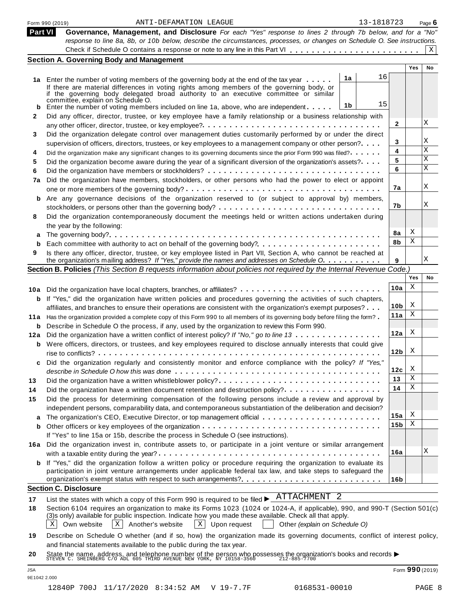|          | ANTI-DEFAMATION LEAGUE<br>Form 990 (2019)                                                                                                                                                                                                                                                          | 13-1818723 |                 |     | Page $6$ |
|----------|----------------------------------------------------------------------------------------------------------------------------------------------------------------------------------------------------------------------------------------------------------------------------------------------------|------------|-----------------|-----|----------|
| Part VI  | Governance, Management, and Disclosure For each "Yes" response to lines 2 through 7b below, and for a "No"                                                                                                                                                                                         |            |                 |     |          |
|          | response to line 8a, 8b, or 10b below, describe the circumstances, processes, or changes on Schedule O. See instructions.                                                                                                                                                                          |            |                 |     |          |
|          |                                                                                                                                                                                                                                                                                                    |            |                 |     | X        |
|          | <b>Section A. Governing Body and Management</b>                                                                                                                                                                                                                                                    |            |                 |     |          |
|          |                                                                                                                                                                                                                                                                                                    |            |                 | Yes | No       |
|          | 1a<br>1a Enter the number of voting members of the governing body at the end of the tax year                                                                                                                                                                                                       | 16         |                 |     |          |
|          | If there are material differences in voting rights among members of the governing body, or<br>if the governing body delegated broad authority to an executive committee or similar                                                                                                                 |            |                 |     |          |
|          | committee, explain on Schedule O.                                                                                                                                                                                                                                                                  | 15         |                 |     |          |
|          | 1 <sub>b</sub><br>Enter the number of voting members included on line 1a, above, who are independent                                                                                                                                                                                               |            |                 |     |          |
| 2        | Did any officer, director, trustee, or key employee have a family relationship or a business relationship with                                                                                                                                                                                     |            | 2               |     | Χ        |
|          |                                                                                                                                                                                                                                                                                                    |            |                 |     |          |
| 3        | Did the organization delegate control over management duties customarily performed by or under the direct                                                                                                                                                                                          |            | 3               |     | Χ        |
|          | supervision of officers, directors, trustees, or key employees to a management company or other person?                                                                                                                                                                                            |            | 4               |     | Χ        |
| 4        | Did the organization make any significant changes to its governing documents since the prior Form 990 was filed?                                                                                                                                                                                   |            | 5               |     | Χ        |
| 5        | Did the organization become aware during the year of a significant diversion of the organization's assets?                                                                                                                                                                                         |            | 6               |     | Χ        |
| 6        |                                                                                                                                                                                                                                                                                                    |            |                 |     |          |
| 7a       | Did the organization have members, stockholders, or other persons who had the power to elect or appoint                                                                                                                                                                                            |            | 7a              |     | Χ        |
|          |                                                                                                                                                                                                                                                                                                    |            |                 |     |          |
| b        | Are any governance decisions of the organization reserved to (or subject to approval by) members,                                                                                                                                                                                                  |            | 7b              |     | Χ        |
|          |                                                                                                                                                                                                                                                                                                    |            |                 |     |          |
| 8        | Did the organization contemporaneously document the meetings held or written actions undertaken during                                                                                                                                                                                             |            |                 |     |          |
|          | the year by the following:                                                                                                                                                                                                                                                                         |            | 8a              | X   |          |
| a        |                                                                                                                                                                                                                                                                                                    |            | 8b              | Χ   |          |
| b<br>9   | Is there any officer, director, trustee, or key employee listed in Part VII, Section A, who cannot be reached at                                                                                                                                                                                   |            |                 |     |          |
|          | the organization's mailing address? If "Yes," provide the names and addresses on Schedule O.                                                                                                                                                                                                       |            | 9               |     | Χ        |
|          | Section B. Policies (This Section B requests information about policies not required by the Internal Revenue Code.)                                                                                                                                                                                |            |                 |     |          |
|          |                                                                                                                                                                                                                                                                                                    |            |                 | Yes | No       |
|          |                                                                                                                                                                                                                                                                                                    |            | 10a             | Χ   |          |
|          | <b>b</b> If "Yes," did the organization have written policies and procedures governing the activities of such chapters,                                                                                                                                                                            |            |                 |     |          |
|          | affiliates, and branches to ensure their operations are consistent with the organization's exempt purposes?                                                                                                                                                                                        |            | 10 <sub>b</sub> | Χ   |          |
|          | 11a Has the organization provided a complete copy of this Form 990 to all members of its governing body before filing the form?                                                                                                                                                                    |            | 11a             | X   |          |
| b        | Describe in Schedule O the process, if any, used by the organization to review this Form 990.                                                                                                                                                                                                      |            |                 |     |          |
|          | 12a Did the organization have a written conflict of interest policy? If "No," go to line 13                                                                                                                                                                                                        |            | 12a             | Χ   |          |
| b        | Were officers, directors, or trustees, and key employees required to disclose annually interests that could give                                                                                                                                                                                   |            |                 |     |          |
|          |                                                                                                                                                                                                                                                                                                    |            | 12 <sub>b</sub> | X   |          |
|          | Did the organization regularly and consistently monitor and enforce compliance with the policy? If "Yes,"                                                                                                                                                                                          |            |                 |     |          |
|          |                                                                                                                                                                                                                                                                                                    |            | 12c             | х   |          |
| 13       | Did the organization have a written whistleblower policy?                                                                                                                                                                                                                                          |            | 13              | X   |          |
| 14       | Did the organization have a written document retention and destruction policy?                                                                                                                                                                                                                     |            | 14              | Χ   |          |
| 15       | Did the process for determining compensation of the following persons include a review and approval by                                                                                                                                                                                             |            |                 |     |          |
|          | independent persons, comparability data, and contemporaneous substantiation of the deliberation and decision?                                                                                                                                                                                      |            |                 |     |          |
|          | The organization's CEO, Executive Director, or top management official                                                                                                                                                                                                                             |            | 15a             | X   |          |
| b        |                                                                                                                                                                                                                                                                                                    |            | 15 <sub>b</sub> | Χ   |          |
|          | If "Yes" to line 15a or 15b, describe the process in Schedule O (see instructions).                                                                                                                                                                                                                |            |                 |     |          |
| 16а      | Did the organization invest in, contribute assets to, or participate in a joint venture or similar arrangement                                                                                                                                                                                     |            |                 |     |          |
|          |                                                                                                                                                                                                                                                                                                    |            | 16a             |     | Χ        |
|          | <b>b</b> If "Yes," did the organization follow a written policy or procedure requiring the organization to evaluate its                                                                                                                                                                            |            |                 |     |          |
|          | participation in joint venture arrangements under applicable federal tax law, and take steps to safeguard the                                                                                                                                                                                      |            |                 |     |          |
|          |                                                                                                                                                                                                                                                                                                    |            | 16b             |     |          |
|          | organization's exempt status with respect to such arrangements?                                                                                                                                                                                                                                    |            |                 |     |          |
|          | <b>Section C. Disclosure</b>                                                                                                                                                                                                                                                                       |            |                 |     |          |
|          | ATTACHMENT <sub>2</sub><br>List the states with which a copy of this Form 990 is required to be filed $\blacktriangleright$ .                                                                                                                                                                      |            |                 |     |          |
|          |                                                                                                                                                                                                                                                                                                    |            |                 |     |          |
|          | Section 6104 requires an organization to make its Forms 1023 (1024 or 1024-A, if applicable), 990, and 990-T (Section 501(c)<br>(3)s only) available for public inspection. Indicate how you made these available. Check all that apply.                                                           |            |                 |     |          |
| 17<br>18 | $\mathbf{x}$<br>Own website<br>Another's website<br>Upon request<br>Χ<br>ΧI<br>Other (explain on Schedule O)                                                                                                                                                                                       |            |                 |     |          |
| 19       |                                                                                                                                                                                                                                                                                                    |            |                 |     |          |
|          | Describe on Schedule O whether (and if so, how) the organization made its governing documents, conflict of interest policy,                                                                                                                                                                        |            |                 |     |          |
| 20       | and financial statements available to the public during the tax year.<br>State the name, address, and telephone number of the person who possesses the organization's books and records $\blacktriangleright$<br>STEVEN C. SHEINBERG C/O ADL 605 THIRD AVENUE NEW YORK, NY 10158-3560 212-885-7700 |            |                 |     |          |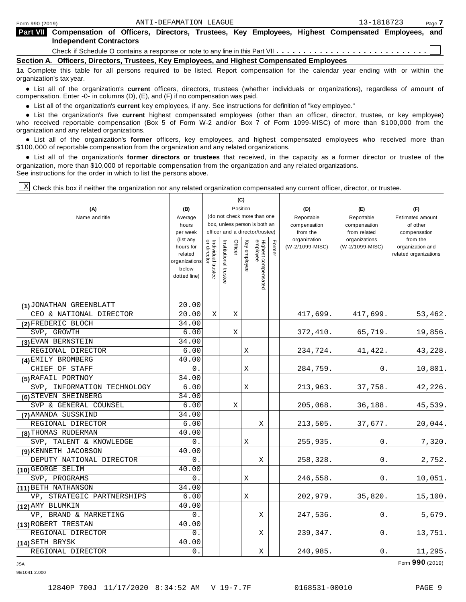**Compensation of Officers, Directors, Trustees, Key Employees, Highest Compensated Employees, and Part VII Independent Contractors**

Check if Schedule O contains a response or note to any line in this Part VII  $\dots \dots \dots \dots \dots \dots \dots \dots \dots \dots \dots$ 

**Section A. Officers, Directors, Trustees, Key Employees, and Highest Compensated Employees**

**1a** Complete this table for all persons required to be listed. Report compensation for the calendar year ending with or within the organization's tax year.

anization's lax year.<br>● List all of the organization's **current** officers, directors, trustees (whether individuals or organizations), regardless of amount of<br>nnensation Enter -0- in columns (D) (E) and (E) if no compensa compensation. Enter -0- in columns (D), (E), and (F) if no compensation was paid.

• List all of the organization's **current** key employees, if any. See instructions for definition of "key employee."<br>● List the experientials five expect highest expressed explores (other than an efficer director of

**Example in the organization's current** key employees, if any. See instructions for definition of key employee.<br>• List the organization's five **current** highest compensated employees (other than an officer, director, trust who received reportable compensation (Box 5 of Form W-2 and/or Box 7 of Form 1099-MISC) of more than \$100,000 from the

organization and any related organizations.<br>• List all of the organization's **former** officers, key employees, and highest compensated employees who received more than<br>\$1.00.000 of reportable componention from the erganiza \$100,000 of reportable compensation from the organization and any related organizations.

% List all of the organization's **former directors or trustees** that received, in the capacity as a former director or trustee of the organization, more than \$10,000 of reportable compensation from the organization and any related organizations. See instructions for the order in which to list the persons above.

 $\mathbf{C}$ 

 $\mathbb{X}$  Check this box if neither the organization nor any related organization compensated any current officer, director, or trustee.

 $\mathbf{I}$ 

| (A)<br>Name and title       | (B)<br>Average<br>hours<br>per week<br>(list any<br>hours for<br>related |                                   |                       | Officer | (ज<br>Position<br>Key employee | (do not check more than one<br>box, unless person is both an<br>officer and a director/trustee)<br>Fomer |  | (D)<br>Reportable<br>compensation<br>from the<br>organization<br>(W-2/1099-MISC) | (E)<br>Reportable<br>compensation<br>from related<br>organizations<br>(W-2/1099-MISC) | (F)<br><b>Estimated amount</b><br>of other<br>compensation<br>from the<br>organization and<br>related organizations |
|-----------------------------|--------------------------------------------------------------------------|-----------------------------------|-----------------------|---------|--------------------------------|----------------------------------------------------------------------------------------------------------|--|----------------------------------------------------------------------------------|---------------------------------------------------------------------------------------|---------------------------------------------------------------------------------------------------------------------|
|                             | organizations<br>below<br>dotted line)                                   | Individual trustee<br>or director | Institutional trustee |         |                                | Highest compensated<br>employee                                                                          |  |                                                                                  |                                                                                       |                                                                                                                     |
| (1) JONATHAN GREENBLATT     | 20.00                                                                    |                                   |                       |         |                                |                                                                                                          |  |                                                                                  |                                                                                       |                                                                                                                     |
| CEO & NATIONAL DIRECTOR     | 20.00                                                                    | Χ                                 |                       | X       |                                |                                                                                                          |  | 417,699.                                                                         | 417,699.                                                                              | 53,462.                                                                                                             |
| (2) FREDERIC BLOCH          | 34.00                                                                    |                                   |                       |         |                                |                                                                                                          |  |                                                                                  |                                                                                       |                                                                                                                     |
| SVP, GROWTH                 | 6.00                                                                     |                                   |                       | Χ       |                                |                                                                                                          |  | 372,410.                                                                         | 65,719.                                                                               | 19,856.                                                                                                             |
| (3) EVAN BERNSTEIN          | 34.00                                                                    |                                   |                       |         |                                |                                                                                                          |  |                                                                                  |                                                                                       |                                                                                                                     |
| REGIONAL DIRECTOR           | 6.00                                                                     |                                   |                       |         | Χ                              |                                                                                                          |  | 234,724.                                                                         | 41,422.                                                                               | 43,228.                                                                                                             |
| (4) EMILY BROMBERG          | 40.00                                                                    |                                   |                       |         |                                |                                                                                                          |  |                                                                                  |                                                                                       |                                                                                                                     |
| CHIEF OF STAFF              | 0.                                                                       |                                   |                       |         | Χ                              |                                                                                                          |  | 284,759.                                                                         | 0.                                                                                    | 10,801.                                                                                                             |
| (5) RAFAIL PORTNOY          | 34.00                                                                    |                                   |                       |         |                                |                                                                                                          |  |                                                                                  |                                                                                       |                                                                                                                     |
| SVP, INFORMATION TECHNOLOGY | 6.00                                                                     |                                   |                       |         | Χ                              |                                                                                                          |  | 213,963.                                                                         | 37,758.                                                                               | 42,226.                                                                                                             |
| (6) STEVEN SHEINBERG        | 34.00                                                                    |                                   |                       |         |                                |                                                                                                          |  |                                                                                  |                                                                                       |                                                                                                                     |
| SVP & GENERAL COUNSEL       | 6.00                                                                     |                                   |                       | X       |                                |                                                                                                          |  | 205,068.                                                                         | 36,188.                                                                               | 45,539.                                                                                                             |
| (7) AMANDA SUSSKIND         | 34.00                                                                    |                                   |                       |         |                                |                                                                                                          |  |                                                                                  |                                                                                       |                                                                                                                     |
| REGIONAL DIRECTOR           | 6.00                                                                     |                                   |                       |         |                                | X                                                                                                        |  | 213,505.                                                                         | 37,677.                                                                               | 20,044.                                                                                                             |
| (8) THOMAS RUDERMAN         | 40.00                                                                    |                                   |                       |         |                                |                                                                                                          |  |                                                                                  |                                                                                       |                                                                                                                     |
| SVP, TALENT & KNOWLEDGE     | 0.                                                                       |                                   |                       |         | Χ                              |                                                                                                          |  | 255,935.                                                                         | 0.                                                                                    | 7,320.                                                                                                              |
| (9) KENNETH JACOBSON        | 40.00                                                                    |                                   |                       |         |                                |                                                                                                          |  |                                                                                  |                                                                                       |                                                                                                                     |
| DEPUTY NATIONAL DIRECTOR    | 0.                                                                       |                                   |                       |         |                                | Χ                                                                                                        |  | 258,328.                                                                         | 0.                                                                                    | 2,752.                                                                                                              |
| (10) GEORGE SELIM           | 40.00                                                                    |                                   |                       |         |                                |                                                                                                          |  |                                                                                  |                                                                                       |                                                                                                                     |
| SVP, PROGRAMS               | $0$ .                                                                    |                                   |                       |         | X                              |                                                                                                          |  | 246,558.                                                                         | 0.                                                                                    | 10,051.                                                                                                             |
| (11) BETH NATHANSON         | 34.00                                                                    |                                   |                       |         |                                |                                                                                                          |  |                                                                                  |                                                                                       |                                                                                                                     |
| VP, STRATEGIC PARTNERSHIPS  | 6.00                                                                     |                                   |                       |         | Χ                              |                                                                                                          |  | 202,979.                                                                         | 35,820.                                                                               | 15,100.                                                                                                             |
| (12) AMY BLUMKIN            | 40.00                                                                    |                                   |                       |         |                                |                                                                                                          |  |                                                                                  |                                                                                       |                                                                                                                     |
| VP, BRAND & MARKETING       | 0.                                                                       |                                   |                       |         |                                | X                                                                                                        |  | 247,536.                                                                         | $0$ .                                                                                 | 5,679.                                                                                                              |
| (13) ROBERT TRESTAN         | 40.00                                                                    |                                   |                       |         |                                |                                                                                                          |  |                                                                                  |                                                                                       |                                                                                                                     |
| REGIONAL DIRECTOR           | 0.                                                                       |                                   |                       |         |                                | Χ                                                                                                        |  | 239,347.                                                                         | 0.                                                                                    | 13,751.                                                                                                             |
| (14) SETH BRYSK             | 40.00                                                                    |                                   |                       |         |                                |                                                                                                          |  |                                                                                  |                                                                                       |                                                                                                                     |
| REGIONAL DIRECTOR           | 0.                                                                       |                                   |                       |         |                                | Χ                                                                                                        |  | 240,985.                                                                         | 0.                                                                                    | 11,295.                                                                                                             |

JSA Form **990** (2019)

9E1041 2.000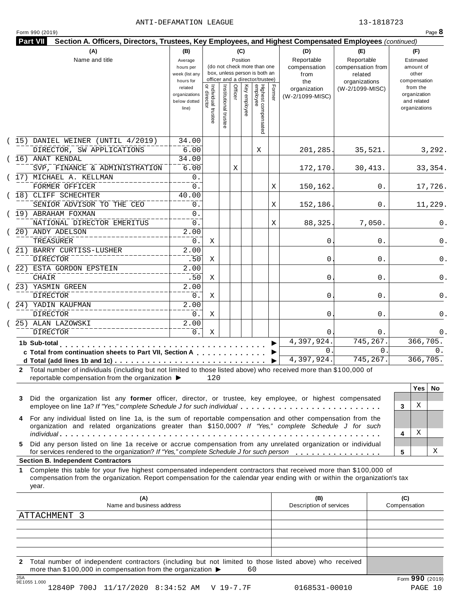### ANTI-DEFAMATION LEAGUE 13-1818723

|    | (A)                                                                                                                                                                                                                                                                                            | (B)                                                 |                                                                                                 |                                                             | (C)                                             | Position     |                                 |        | (D)<br>Reportable                         | (E)                                | (F)                                                      |
|----|------------------------------------------------------------------------------------------------------------------------------------------------------------------------------------------------------------------------------------------------------------------------------------------------|-----------------------------------------------------|-------------------------------------------------------------------------------------------------|-------------------------------------------------------------|-------------------------------------------------|--------------|---------------------------------|--------|-------------------------------------------|------------------------------------|----------------------------------------------------------|
|    | Name and title                                                                                                                                                                                                                                                                                 | Average<br>hours per<br>week (list any<br>hours for | (do not check more than one<br>box, unless person is both an<br>officer and a director/trustee) | Reportable<br>compensation from<br>related<br>organizations | Estimated<br>amount of<br>other<br>compensation |              |                                 |        |                                           |                                    |                                                          |
|    |                                                                                                                                                                                                                                                                                                | related<br>organizations<br>below dotted<br>line)   | Individual trustee<br>   or director                                                            | Institutional trustee                                       | Officer                                         | Key employee | Highest compensated<br>employee | Former | the<br>organization<br>(W-2/1099-MISC)    | (W-2/1099-MISC)                    | from the<br>organization<br>and related<br>organizations |
|    | (15) DANIEL WEINER (UNTIL 4/2019)<br>DIRECTOR, SW APPLICATIONS                                                                                                                                                                                                                                 | 34.00<br>6.00                                       |                                                                                                 |                                                             |                                                 |              | Χ                               |        | 201,285.                                  | 35,521.                            | 3,292.                                                   |
|    | (16) ANAT KENDAL<br>SVP, FINANCE & ADMINISTRATION                                                                                                                                                                                                                                              | 34.00<br>6.00                                       |                                                                                                 |                                                             | Χ                                               |              |                                 |        | 172,170.                                  | 30,413.                            | 33, 354.                                                 |
|    | (17) MICHAEL A. KELLMAN<br>FORMER OFFICER                                                                                                                                                                                                                                                      | 0.<br>0.                                            |                                                                                                 |                                                             |                                                 |              |                                 | Χ      | 150,162.                                  | 0.                                 | 17,726.                                                  |
|    | (18) CLIFF SCHECHTER<br>SENIOR ADVISOR TO THE CEO                                                                                                                                                                                                                                              | 40.00<br>0.                                         |                                                                                                 |                                                             |                                                 |              |                                 | Χ      | 152,186.                                  | 0.                                 | 11,229.                                                  |
|    | (19) ABRAHAM FOXMAN<br>NATIONAL DIRECTOR EMERITUS                                                                                                                                                                                                                                              | 0.<br>$0$ .                                         |                                                                                                 |                                                             |                                                 |              |                                 | Χ      | 88, 325.                                  | 7,050.                             | 0.                                                       |
|    | (20) ANDY ADELSON<br>TREASURER                                                                                                                                                                                                                                                                 | 2.00<br>0.                                          | Χ                                                                                               |                                                             |                                                 |              |                                 |        | 0                                         | 0.                                 | 0.                                                       |
|    | 21) BARRY CURTISS-LUSHER<br><b>DIRECTOR</b>                                                                                                                                                                                                                                                    | 2.00<br>.50                                         | Χ                                                                                               |                                                             |                                                 |              |                                 |        | 0                                         | 0.                                 | 0.                                                       |
|    | (22) ESTA GORDON EPSTEIN<br><b>CHAIR</b>                                                                                                                                                                                                                                                       | 2.00<br>.50                                         | Χ                                                                                               |                                                             |                                                 |              |                                 |        | 0                                         | 0.                                 | 0.                                                       |
|    | (23) YASMIN GREEN<br><b>DIRECTOR</b>                                                                                                                                                                                                                                                           | 2.00<br>$0$ .                                       | Χ                                                                                               |                                                             |                                                 |              |                                 |        | 0                                         | 0.                                 | 0.                                                       |
|    | (24) YADIN KAUFMAN<br><b>DIRECTOR</b>                                                                                                                                                                                                                                                          | $\overline{2.00}$<br>0.                             | Χ                                                                                               |                                                             |                                                 |              |                                 |        | 0                                         | 0.                                 | 0.                                                       |
|    | 25) ALAN LAZOWSKI<br><b>DIRECTOR</b>                                                                                                                                                                                                                                                           | 2.00<br>$0$ .                                       | Χ                                                                                               |                                                             |                                                 |              |                                 |        | $\Omega$                                  | 0.                                 | 0.                                                       |
|    | 1b Sub-total<br>.<br>c Total from continuation sheets to Part VII, Section A                                                                                                                                                                                                                   |                                                     |                                                                                                 |                                                             |                                                 |              |                                 |        | 4,397,924.<br>$\mathbf 0$ .<br>4,397,924. | 745,267.<br>$\Omega$ .<br>745,267. | 366,705.<br>0.<br>366,705.                               |
| 3  | 2 Total number of individuals (including but not limited to those listed above) who received more than \$100,000 of<br>reportable compensation from the organization ▶<br>Did the organization list any former officer, director, or trustee, key employee, or highest compensated             |                                                     | 120                                                                                             |                                                             |                                                 |              |                                 |        |                                           |                                    | Yes<br>No.                                               |
| 4  | employee on line 1a? If "Yes," complete Schedule J for such individual<br>For any individual listed on line 1a, is the sum of reportable compensation and other compensation from the<br>organization and related organizations greater than \$150,000? If "Yes," complete Schedule J for such |                                                     |                                                                                                 |                                                             |                                                 |              |                                 |        |                                           |                                    | Χ<br>3<br>Χ<br>4                                         |
| 5. | Did any person listed on line 1a receive or accrue compensation from any unrelated organization or individual<br>for services rendered to the organization? If "Yes," complete Schedule J for such person<br><b>Section B. Independent Contractors</b>                                         |                                                     |                                                                                                 |                                                             |                                                 |              |                                 |        |                                           |                                    | х<br>5                                                   |
| 1  | Complete this table for your five highest compensated independent contractors that received more than \$100,000 of<br>compensation from the organization. Report compensation for the calendar year ending with or within the organization's tax<br>year.                                      |                                                     |                                                                                                 |                                                             |                                                 |              |                                 |        |                                           |                                    |                                                          |
|    | (A)<br>Name and business address                                                                                                                                                                                                                                                               |                                                     |                                                                                                 |                                                             |                                                 |              |                                 |        | (B)<br>Description of services            |                                    | (C)<br>Compensation                                      |
|    | <b>ATTACHMENT</b><br>- 3                                                                                                                                                                                                                                                                       |                                                     |                                                                                                 |                                                             |                                                 |              |                                 |        |                                           |                                    |                                                          |
|    |                                                                                                                                                                                                                                                                                                |                                                     |                                                                                                 |                                                             |                                                 |              |                                 |        |                                           |                                    |                                                          |
|    |                                                                                                                                                                                                                                                                                                |                                                     |                                                                                                 |                                                             |                                                 |              |                                 |        |                                           |                                    |                                                          |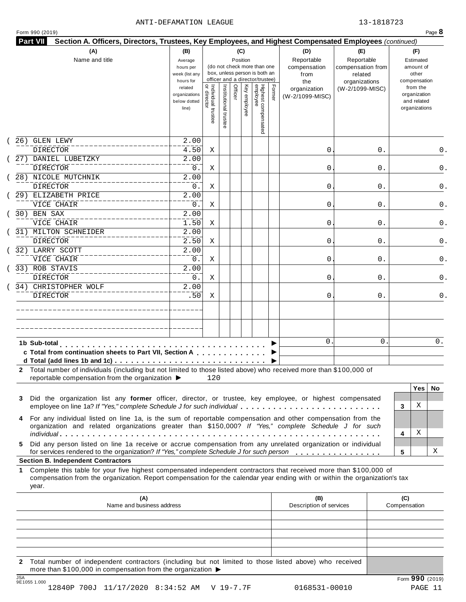### ANTI-DEFAMATION LEAGUE 13-1818723

|  |  | Form 990 (2019) |  |
|--|--|-----------------|--|
|--|--|-----------------|--|

|     | (A)<br>Name and title                                                                                                                                                                                                                                                                                  | (B)<br>Average<br>hours per<br>week (list any                  |                                           |                       | (C)<br>Position |              | (do not check more than one<br>box, unless person is both an<br>officer and a director/trustee) |        | (D)<br>Reportable<br>compensation<br>from | (E)<br>Reportable<br>compensation from<br>related |                                                                          | (F)<br>Estimated<br>amount of<br>other |     |
|-----|--------------------------------------------------------------------------------------------------------------------------------------------------------------------------------------------------------------------------------------------------------------------------------------------------------|----------------------------------------------------------------|-------------------------------------------|-----------------------|-----------------|--------------|-------------------------------------------------------------------------------------------------|--------|-------------------------------------------|---------------------------------------------------|--------------------------------------------------------------------------|----------------------------------------|-----|
|     |                                                                                                                                                                                                                                                                                                        | hours for<br>related<br>organizations<br>below dotted<br>line) | <br>  Individual trustee<br>  or director | Institutional trustee | Officer         | Key employee | Highest compensated<br>employee                                                                 | Former | the<br>organization<br>(W-2/1099-MISC)    | organizations<br>(W-2/1099-MISC)                  | compensation<br>from the<br>organization<br>and related<br>organizations |                                        |     |
| 26) | <b>GLEN LEWY</b><br><b>DIRECTOR</b>                                                                                                                                                                                                                                                                    | $\overline{2.00}$<br>4.50                                      |                                           |                       |                 |              |                                                                                                 |        | 0                                         | 0.                                                |                                                                          |                                        |     |
|     | 27) DANIEL LUBETZKY                                                                                                                                                                                                                                                                                    | 2.00                                                           | Χ                                         |                       |                 |              |                                                                                                 |        |                                           |                                                   |                                                                          |                                        | 0.  |
|     | <b>DIRECTOR</b>                                                                                                                                                                                                                                                                                        | 0.                                                             | Χ                                         |                       |                 |              |                                                                                                 |        | 0                                         | 0.                                                |                                                                          |                                        | 0.  |
|     | 28) NICOLE MUTCHNIK                                                                                                                                                                                                                                                                                    | 2.00                                                           |                                           |                       |                 |              |                                                                                                 |        |                                           |                                                   |                                                                          |                                        |     |
|     | <b>DIRECTOR</b>                                                                                                                                                                                                                                                                                        | $0$ .                                                          | Χ                                         |                       |                 |              |                                                                                                 |        | 0                                         | 0.                                                |                                                                          |                                        | 0.  |
|     | 29) ELIZABETH PRICE                                                                                                                                                                                                                                                                                    | 2.00                                                           |                                           |                       |                 |              |                                                                                                 |        |                                           |                                                   |                                                                          |                                        |     |
|     | VICE CHAIR                                                                                                                                                                                                                                                                                             | 0.                                                             | Χ                                         |                       |                 |              |                                                                                                 |        | 0                                         | 0.                                                |                                                                          |                                        | 0.  |
|     | 30) BEN SAX                                                                                                                                                                                                                                                                                            | $\overline{2.00}$                                              |                                           |                       |                 |              |                                                                                                 |        |                                           |                                                   |                                                                          |                                        |     |
|     | VICE CHAIR                                                                                                                                                                                                                                                                                             | 1.50                                                           | Χ                                         |                       |                 |              |                                                                                                 |        | 0                                         | 0.                                                |                                                                          |                                        | 0.  |
|     | 31) MILTON SCHNEIDER                                                                                                                                                                                                                                                                                   | 2.00                                                           |                                           |                       |                 |              |                                                                                                 |        |                                           |                                                   |                                                                          |                                        |     |
|     | <b>DIRECTOR</b>                                                                                                                                                                                                                                                                                        | 2.50                                                           | Χ                                         |                       |                 |              |                                                                                                 |        | 0                                         | 0.                                                |                                                                          |                                        | 0.  |
|     | 32) LARRY SCOTT                                                                                                                                                                                                                                                                                        | 2.00                                                           |                                           |                       |                 |              |                                                                                                 |        |                                           |                                                   |                                                                          |                                        |     |
|     | VICE CHAIR                                                                                                                                                                                                                                                                                             | 0.                                                             | Χ                                         |                       |                 |              |                                                                                                 |        | 0                                         | 0.                                                |                                                                          |                                        | 0.  |
|     | 33) ROB STAVIS<br>DIRECTOR                                                                                                                                                                                                                                                                             | $\overline{2.00}$                                              |                                           |                       |                 |              |                                                                                                 |        |                                           |                                                   |                                                                          |                                        |     |
|     | 34) CHRISTOPHER WOLF                                                                                                                                                                                                                                                                                   | 0.<br>$\overline{2.00}$                                        | Χ                                         |                       |                 |              |                                                                                                 |        | 0                                         | 0.                                                |                                                                          |                                        | 0.  |
|     | <b>DIRECTOR</b>                                                                                                                                                                                                                                                                                        | .50                                                            | Χ                                         |                       |                 |              |                                                                                                 |        | 0                                         | 0.                                                |                                                                          |                                        | 0.  |
|     |                                                                                                                                                                                                                                                                                                        |                                                                |                                           |                       |                 |              |                                                                                                 |        |                                           |                                                   |                                                                          |                                        |     |
|     |                                                                                                                                                                                                                                                                                                        |                                                                |                                           |                       |                 |              |                                                                                                 |        |                                           |                                                   |                                                                          |                                        |     |
|     | 1b Sub-total                                                                                                                                                                                                                                                                                           |                                                                |                                           |                       |                 |              |                                                                                                 |        | $\mathbf{0}$                              | 0                                                 |                                                                          |                                        | 0.  |
|     | c Total from continuation sheets to Part VII, Section A                                                                                                                                                                                                                                                |                                                                |                                           |                       |                 |              |                                                                                                 |        |                                           |                                                   |                                                                          |                                        |     |
|     | 2 Total number of individuals (including but not limited to those listed above) who received more than \$100,000 of                                                                                                                                                                                    |                                                                |                                           |                       |                 |              |                                                                                                 |        |                                           |                                                   |                                                                          |                                        |     |
|     |                                                                                                                                                                                                                                                                                                        |                                                                |                                           |                       |                 |              |                                                                                                 |        |                                           |                                                   |                                                                          |                                        |     |
|     | reportable compensation from the organization ▶                                                                                                                                                                                                                                                        |                                                                | 120                                       |                       |                 |              |                                                                                                 |        |                                           |                                                   |                                                                          |                                        |     |
|     |                                                                                                                                                                                                                                                                                                        |                                                                |                                           |                       |                 |              |                                                                                                 |        |                                           |                                                   |                                                                          | Yes                                    |     |
|     |                                                                                                                                                                                                                                                                                                        |                                                                |                                           |                       |                 |              |                                                                                                 |        |                                           |                                                   |                                                                          |                                        | No. |
| 3   | Did the organization list any former officer, director, or trustee, key employee, or highest compensated<br>employee on line 1a? If "Yes," complete Schedule J for such individual                                                                                                                     |                                                                |                                           |                       |                 |              |                                                                                                 |        |                                           |                                                   | 3                                                                        | Χ                                      |     |
| 4   | For any individual listed on line 1a, is the sum of reportable compensation and other compensation from the                                                                                                                                                                                            |                                                                |                                           |                       |                 |              |                                                                                                 |        |                                           |                                                   |                                                                          |                                        |     |
|     | organization and related organizations greater than \$150,000? If "Yes," complete Schedule J for such                                                                                                                                                                                                  |                                                                |                                           |                       |                 |              |                                                                                                 |        |                                           |                                                   |                                                                          |                                        |     |
|     |                                                                                                                                                                                                                                                                                                        |                                                                |                                           |                       |                 |              |                                                                                                 |        |                                           |                                                   | 4                                                                        | Χ                                      |     |
| 5.  | Did any person listed on line 1a receive or accrue compensation from any unrelated organization or individual                                                                                                                                                                                          |                                                                |                                           |                       |                 |              |                                                                                                 |        |                                           |                                                   |                                                                          |                                        |     |
|     | for services rendered to the organization? If "Yes," complete Schedule J for such person                                                                                                                                                                                                               |                                                                |                                           |                       |                 |              |                                                                                                 |        |                                           |                                                   | 5                                                                        |                                        | х   |
|     | <b>Section B. Independent Contractors</b><br>Complete this table for your five highest compensated independent contractors that received more than \$100,000 of<br>compensation from the organization. Report compensation for the calendar year ending with or within the organization's tax<br>year. |                                                                |                                           |                       |                 |              |                                                                                                 |        |                                           |                                                   |                                                                          |                                        |     |
|     | (A)<br>Name and business address                                                                                                                                                                                                                                                                       |                                                                |                                           |                       |                 |              |                                                                                                 |        | (B)<br>Description of services            |                                                   | (C)<br>Compensation                                                      |                                        |     |
|     |                                                                                                                                                                                                                                                                                                        |                                                                |                                           |                       |                 |              |                                                                                                 |        |                                           |                                                   |                                                                          |                                        |     |
| 1.  |                                                                                                                                                                                                                                                                                                        |                                                                |                                           |                       |                 |              |                                                                                                 |        |                                           |                                                   |                                                                          |                                        |     |
|     |                                                                                                                                                                                                                                                                                                        |                                                                |                                           |                       |                 |              |                                                                                                 |        |                                           |                                                   |                                                                          |                                        |     |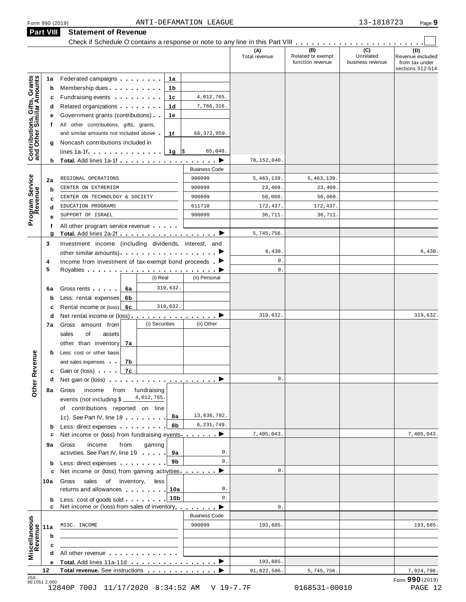### Form <sup>990</sup> (2019) Page **9** ANTI-DEFAMATION LEAGUE 13-1818723 **Part VIII Statement of Revenue**

|                                                           |             | Check if Schedule O contains a response or note to any line in this Part VIII                                                                                                                                                        |                 |                      |                      |                                              |                                      |                                                               |
|-----------------------------------------------------------|-------------|--------------------------------------------------------------------------------------------------------------------------------------------------------------------------------------------------------------------------------------|-----------------|----------------------|----------------------|----------------------------------------------|--------------------------------------|---------------------------------------------------------------|
|                                                           |             |                                                                                                                                                                                                                                      |                 |                      | (A)<br>Total revenue | (B)<br>Related or exempt<br>function revenue | (C)<br>Unrelated<br>business revenue | (D)<br>Revenue excluded<br>from tax under<br>sections 512-514 |
|                                                           | 1a          | Federated campaigns <b>Federated</b>                                                                                                                                                                                                 | 1a              |                      |                      |                                              |                                      |                                                               |
|                                                           | b           | Membership dues <b>All Accords</b> Membership dues <b>All Accords</b>                                                                                                                                                                | 1b              |                      |                      |                                              |                                      |                                                               |
|                                                           | c           | Fundraising events <b>Example 2</b> is a set of the set of the set of the set of the set of the set of the set of the set of the set of the set of the set of the set of the set of the set of the set of the set of the set of the  | 1c              | 4,012,765.           |                      |                                              |                                      |                                                               |
|                                                           | d           | Related organizations <b>and the set of the set of the set of the set of the set of the set of the set of the set of the set of the set of the set of the set of the set of the set of the set of the set of the set of the set </b> | 1d              | 7,766,316.           |                      |                                              |                                      |                                                               |
|                                                           | е           | Government grants (contributions)                                                                                                                                                                                                    | 1е              |                      |                      |                                              |                                      |                                                               |
|                                                           | t           | All other contributions, gifts, grants,                                                                                                                                                                                              |                 |                      |                      |                                              |                                      |                                                               |
|                                                           |             | and similar amounts not included above                                                                                                                                                                                               | 1f              | 66, 372, 959.        |                      |                                              |                                      |                                                               |
|                                                           | g           | Noncash contributions included in                                                                                                                                                                                                    |                 |                      |                      |                                              |                                      |                                                               |
| Contributions, Gifts, Grants<br>and Other Similar Amounts |             | $lines 1a-1f$ . $\ldots$ . $\ldots$ . $\vert$                                                                                                                                                                                        |                 | $1g$ \$<br>65,048.   |                      |                                              |                                      |                                                               |
|                                                           |             |                                                                                                                                                                                                                                      |                 | ▶                    | 78,152,040.          |                                              |                                      |                                                               |
|                                                           |             |                                                                                                                                                                                                                                      |                 | <b>Business Code</b> |                      |                                              |                                      |                                                               |
|                                                           | 2a          | REGIONAL OPERATIONS                                                                                                                                                                                                                  |                 | 900099               | 5, 463, 139.         | 5,463,139.                                   |                                      |                                                               |
|                                                           | b           | CENTER ON EXTREMISM                                                                                                                                                                                                                  |                 | 900099               | 23,409.              | 23,409.                                      |                                      |                                                               |
|                                                           | C           | CENTER ON TECHNOLOGY & SOCIETY                                                                                                                                                                                                       |                 | 900099               | 50,060.              | 50,060.                                      |                                      |                                                               |
|                                                           | d           | EDUCATION PROGRAMS                                                                                                                                                                                                                   |                 | 611710               | 172,437.             | 172,437.                                     |                                      |                                                               |
| Program Service<br>Revenue                                | e           | SUPPORT OF ISRAEL                                                                                                                                                                                                                    |                 | 900099               | 36,711.              | 36,711.                                      |                                      |                                                               |
|                                                           | f           | All other program service revenue                                                                                                                                                                                                    |                 |                      |                      |                                              |                                      |                                                               |
|                                                           | g           |                                                                                                                                                                                                                                      |                 |                      | 5,745,756.           |                                              |                                      |                                                               |
|                                                           | 3           | Investment income (including dividends, interest, and                                                                                                                                                                                |                 |                      |                      |                                              |                                      |                                                               |
|                                                           |             |                                                                                                                                                                                                                                      |                 |                      | 6,430.               |                                              |                                      | 6,430.                                                        |
|                                                           | 4           | Income from investment of tax-exempt bond proceeds $\blacktriangleright$                                                                                                                                                             |                 |                      | $0$ .                |                                              |                                      |                                                               |
|                                                           | 5           | Royalties <b>Example 20</b> and the set of the set of the set of the set of the set of the set of the set of the set of the set of the set of the set of the set of the set of the set of the set of the set of the set of the set   | (i) Real        |                      | $0$ .                |                                              |                                      |                                                               |
|                                                           |             |                                                                                                                                                                                                                                      |                 | (ii) Personal        |                      |                                              |                                      |                                                               |
|                                                           | 6a          | Gross rents and the state of the state of the state of the state of the state of the state of the state of the state of the state of the state of the state of the state of the state of the state of the state of the state o<br>6a | 319,632.        |                      |                      |                                              |                                      |                                                               |
|                                                           | $\mathbf b$ | Less: rental expenses<br>6b                                                                                                                                                                                                          |                 |                      |                      |                                              |                                      |                                                               |
|                                                           | c           | Rental income or (loss)<br>6c                                                                                                                                                                                                        | 319,632.        |                      |                      |                                              |                                      |                                                               |
|                                                           | d           | Net rental income or (loss) ▶                                                                                                                                                                                                        |                 |                      | 319,632.             |                                              |                                      | 319,632.                                                      |
|                                                           | 7a          | Gross amount from                                                                                                                                                                                                                    | (i) Securities  | (ii) Other           |                      |                                              |                                      |                                                               |
|                                                           |             | sales<br>of<br>assets                                                                                                                                                                                                                |                 |                      |                      |                                              |                                      |                                                               |
|                                                           |             | other than inventory<br>7a                                                                                                                                                                                                           |                 |                      |                      |                                              |                                      |                                                               |
|                                                           | b           | Less: cost or other basis                                                                                                                                                                                                            |                 |                      |                      |                                              |                                      |                                                               |
| evenue                                                    |             | and sales expenses<br>7b                                                                                                                                                                                                             |                 |                      |                      |                                              |                                      |                                                               |
|                                                           |             | 7c<br><b>c</b> Gain or (loss) <b>c</b>                                                                                                                                                                                               |                 |                      |                      |                                              |                                      |                                                               |
|                                                           | d           | Net gain or (loss) $\cdots$ $\cdots$ $\cdots$ $\cdots$ $\cdots$ $\cdots$                                                                                                                                                             |                 |                      | $0$ .                |                                              |                                      |                                                               |
| Other <sub>R</sub>                                        | 8а          | Gross<br>income from                                                                                                                                                                                                                 | fundraising     |                      |                      |                                              |                                      |                                                               |
|                                                           |             | events (not including \$                                                                                                                                                                                                             | 4,012,765.      |                      |                      |                                              |                                      |                                                               |
|                                                           |             | of contributions reported on line                                                                                                                                                                                                    |                 |                      |                      |                                              |                                      |                                                               |
|                                                           |             | 1c). See Part IV, line 18 <b></b>                                                                                                                                                                                                    | 8а              | 13,636,792.          |                      |                                              |                                      |                                                               |
|                                                           | $\mathbf b$ | Less: direct expenses                                                                                                                                                                                                                | 8b              | 6, 231, 749.         |                      |                                              |                                      |                                                               |
|                                                           | c           | Net income or (loss) from fundraising events ▶                                                                                                                                                                                       |                 |                      | 7,405,043.           |                                              |                                      | 7,405,043.                                                    |
|                                                           | 9а          | income<br>from<br>Gross                                                                                                                                                                                                              | gaming          |                      |                      |                                              |                                      |                                                               |
|                                                           |             | activities. See Part IV, line 19                                                                                                                                                                                                     | 9а              | 0.                   |                      |                                              |                                      |                                                               |
|                                                           | b           | Less: direct expenses                                                                                                                                                                                                                | 9b              | $0$ .                |                      |                                              |                                      |                                                               |
|                                                           | c           | Net income or (loss) from gaming activities.                                                                                                                                                                                         |                 | ▸                    | $0$ .                |                                              |                                      |                                                               |
|                                                           | 10a         | sales of inventory,<br>Gross                                                                                                                                                                                                         | less            |                      |                      |                                              |                                      |                                                               |
|                                                           |             | returns and allowances                                                                                                                                                                                                               | 10a             | 0.                   |                      |                                              |                                      |                                                               |
|                                                           | $\mathbf b$ | Less: cost of goods sold                                                                                                                                                                                                             | 10 <sub>b</sub> | $0$ .                |                      |                                              |                                      |                                                               |
|                                                           | c           | Net income or (loss) from sales of inventory                                                                                                                                                                                         |                 |                      | $0$ .                |                                              |                                      |                                                               |
|                                                           |             |                                                                                                                                                                                                                                      |                 | <b>Business Code</b> |                      |                                              |                                      |                                                               |
| Miscellaneous<br>Revenue                                  | 11a         | MISC. INCOME                                                                                                                                                                                                                         |                 | 900099               | 193,685.             |                                              |                                      | 193,685.                                                      |
|                                                           | $\mathbf b$ |                                                                                                                                                                                                                                      |                 |                      |                      |                                              |                                      |                                                               |
|                                                           | c           |                                                                                                                                                                                                                                      |                 |                      |                      |                                              |                                      |                                                               |
|                                                           | d           | All other revenue                                                                                                                                                                                                                    |                 |                      |                      |                                              |                                      |                                                               |
|                                                           |             |                                                                                                                                                                                                                                      |                 |                      |                      |                                              |                                      |                                                               |
|                                                           | е           |                                                                                                                                                                                                                                      |                 |                      | 193,685.             |                                              |                                      |                                                               |

12840P 700J 11/17/2020 8:34:52 AM V 19-7.7F 0168531-00010 PAGE 12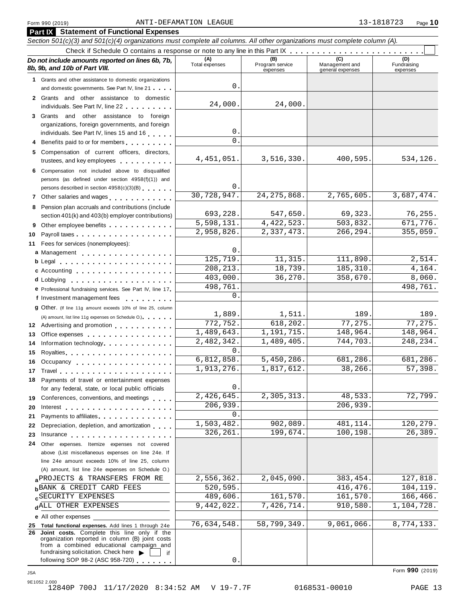### Form <sup>990</sup> (2019) Page **10** ANTI-DEFAMATION LEAGUE 13-1818723

|     | <b>Part IX</b> Statement of Functional Expenses                                                                                                                                                                                |                       |                                    |                                    |                                |
|-----|--------------------------------------------------------------------------------------------------------------------------------------------------------------------------------------------------------------------------------|-----------------------|------------------------------------|------------------------------------|--------------------------------|
|     | Section 501(c)(3) and 501(c)(4) organizations must complete all columns. All other organizations must complete column (A).                                                                                                     |                       |                                    |                                    |                                |
|     |                                                                                                                                                                                                                                |                       |                                    |                                    |                                |
|     | Do not include amounts reported on lines 6b, 7b,<br>8b, 9b, and 10b of Part VIII.                                                                                                                                              | (A)<br>Total expenses | (B)<br>Program service<br>expenses | Management and<br>general expenses | (D)<br>Fundraising<br>expenses |
|     | 1 Grants and other assistance to domestic organizations                                                                                                                                                                        |                       |                                    |                                    |                                |
|     | and domestic governments. See Part IV, line 21                                                                                                                                                                                 | $\mathsf{O}$ .        |                                    |                                    |                                |
|     | 2 Grants and other assistance to domestic                                                                                                                                                                                      |                       |                                    |                                    |                                |
|     | individuals. See Part IV, line 22                                                                                                                                                                                              | 24,000.               | 24,000.                            |                                    |                                |
|     | 3 Grants and other assistance to foreign                                                                                                                                                                                       |                       |                                    |                                    |                                |
|     | organizations, foreign governments, and foreign                                                                                                                                                                                | $\mathsf{O}$ .        |                                    |                                    |                                |
|     | individuals. See Part IV, lines 15 and 16<br>Benefits paid to or for members                                                                                                                                                   | $\Omega$ .            |                                    |                                    |                                |
|     | 5 Compensation of current officers, directors,                                                                                                                                                                                 |                       |                                    |                                    |                                |
|     | trustees, and key employees expressed and the state of the state of the state of the state of the state of the                                                                                                                 | 4, 451, 051.          | 3,516,330.                         | 400,595.                           | 534,126.                       |
|     | 6 Compensation not included above to disqualified                                                                                                                                                                              |                       |                                    |                                    |                                |
|     | persons (as defined under section 4958(f)(1)) and                                                                                                                                                                              |                       |                                    |                                    |                                |
|     | persons described in section 4958(c)(3)(B)                                                                                                                                                                                     | $0$ .                 |                                    |                                    |                                |
|     |                                                                                                                                                                                                                                | 30,728,947.           | 24, 275, 868.                      | 2,765,605.                         | 3,687,474.                     |
|     | 8 Pension plan accruals and contributions (include                                                                                                                                                                             |                       |                                    |                                    |                                |
|     | section 401(k) and 403(b) employer contributions)                                                                                                                                                                              | 693,228.              | 547,650.                           | 69,323.                            | 76,255.                        |
| 9   | Other employee benefits                                                                                                                                                                                                        | 5,598,131.            | 4, 422, 523.                       | 503,832.                           | 671,776.                       |
| 10  |                                                                                                                                                                                                                                | 2,958,826.            | 2,337,473.                         | 266,294.                           | 355,059.                       |
|     | 11 Fees for services (nonemployees):                                                                                                                                                                                           |                       |                                    |                                    |                                |
|     | a Management                                                                                                                                                                                                                   | $\mathbf{0}$ .        |                                    |                                    | 2,514.                         |
|     |                                                                                                                                                                                                                                | 125,719.<br>208, 213. | 11,315.<br>18,739.                 | 111,890.<br>185,310.               | 4,164.                         |
|     | c Accounting                                                                                                                                                                                                                   | 403,000.              | 36,270.                            | 358,670.                           | 8,060.                         |
|     |                                                                                                                                                                                                                                | 498,761.              |                                    |                                    | 498,761.                       |
|     | e Professional fundraising services. See Part IV, line 17                                                                                                                                                                      | 0.                    |                                    |                                    |                                |
|     | f Investment management fees                                                                                                                                                                                                   |                       |                                    |                                    |                                |
|     | <b>g</b> Other. (If line 11g amount exceeds 10% of line 25, column<br>(A) amount, list line 11g expenses on Schedule O.). The manufacturer of                                                                                  | 1,889.                | 1,511.                             | 189                                | 189.                           |
|     | 12 Advertising and promotion                                                                                                                                                                                                   | 772,752.              | 618,202.                           | 77,275.                            | 77,275.                        |
| 13  | Office expenses                                                                                                                                                                                                                | 1,489,643.            | 1,191,715.                         | 148,964.                           | 148,964.                       |
| 14  | Information technology experience and the state of the state of the state of the state of the state of the state of the state of the state of the state of the state of the state of the state of the state of the state of th | 2,482,342.            | 1,489,405.                         | 744,703.                           | 248,234.                       |
| 15  |                                                                                                                                                                                                                                | $\Omega$ .            |                                    |                                    |                                |
|     | 16 Occupancy                                                                                                                                                                                                                   | 6,812,858.            | 5,450,286.                         | 681,286.                           | 681,286.                       |
|     |                                                                                                                                                                                                                                | 1,913,276.            | 1,817,612                          | 38,266.                            | 57,398.                        |
|     | 18 Payments of travel or entertainment expenses                                                                                                                                                                                |                       |                                    |                                    |                                |
|     | for any federal, state, or local public officials                                                                                                                                                                              | $0$ .                 |                                    |                                    |                                |
|     | 19 Conferences, conventions, and meetings                                                                                                                                                                                      | 2,426,645.            | 2,305,313.                         | 48,533.                            | 72,799.                        |
| 20  |                                                                                                                                                                                                                                | 206,939.<br>0.        |                                    | 206,939                            |                                |
| 21. | Payments to affiliates.                                                                                                                                                                                                        | 1,503,482.            | 902,089.                           | 481,114.                           | 120,279.                       |
| 22  | Depreciation, depletion, and amortization                                                                                                                                                                                      | 326,261.              | 199,674.                           | 100,198.                           | 26, 389.                       |
| 23  | Insurance in the contract of the contract of the contract of the contract of the contract of the contract of the contract of the contract of the contract of the contract of the contract of the contract of the contract of t |                       |                                    |                                    |                                |
|     | 24 Other expenses. Itemize expenses not covered<br>above (List miscellaneous expenses on line 24e. If                                                                                                                          |                       |                                    |                                    |                                |
|     | line 24e amount exceeds 10% of line 25, column                                                                                                                                                                                 |                       |                                    |                                    |                                |
|     | (A) amount, list line 24e expenses on Schedule O.)                                                                                                                                                                             |                       |                                    |                                    |                                |
|     | <b>APROJECTS &amp; TRANSFERS FROM RE</b>                                                                                                                                                                                       | 2,556,362.            | 2,045,090.                         | 383,454.                           | 127,818.                       |
|     | <b>b</b> BANK & CREDIT CARD FEES                                                                                                                                                                                               | 520,595.              |                                    | 416,476.                           | 104,119.                       |
|     | <b>CSECURITY EXPENSES</b>                                                                                                                                                                                                      | 489,606.              | 161,570.                           | 161,570.                           | 166,466.                       |
|     | dALL OTHER EXPENSES                                                                                                                                                                                                            | 9,442,022.            | 7,426,714.                         | 910,580.                           | 1,104,728.                     |
|     | <b>e</b> All other expenses                                                                                                                                                                                                    |                       |                                    |                                    |                                |
|     | 25 Total functional expenses. Add lines 1 through 24e                                                                                                                                                                          | 76,634,548.           | 58,799,349.                        | 9,061,066.                         | 8,774,133.                     |
| 26  | Joint costs. Complete this line only if the<br>organization reported in column (B) joint costs                                                                                                                                 |                       |                                    |                                    |                                |
|     | from a combined educational campaign and                                                                                                                                                                                       |                       |                                    |                                    |                                |
|     | fundraising solicitation. Check here<br>if<br>following SOP 98-2 (ASC 958-720)                                                                                                                                                 | О.                    |                                    |                                    |                                |
|     |                                                                                                                                                                                                                                |                       |                                    |                                    |                                |

Form **990** (2019) JSA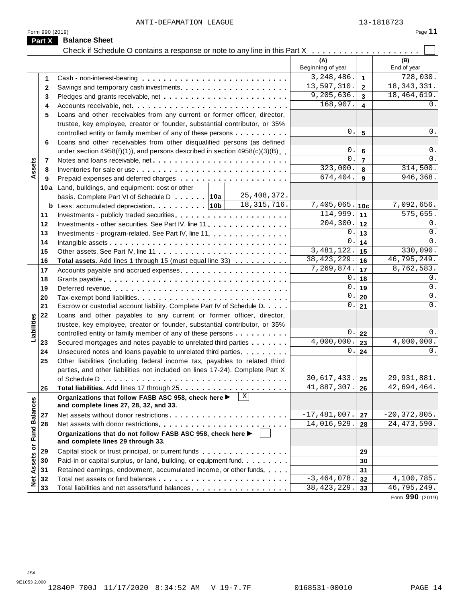ANTI-DEFAMATION LEAGUE 13-1818723

|                      | Check if Schedule O contains a response or note to any line in this Part X                          |                          |                         |                                |
|----------------------|-----------------------------------------------------------------------------------------------------|--------------------------|-------------------------|--------------------------------|
|                      |                                                                                                     | (A)<br>Beginning of year |                         | (B)<br>End of year             |
| 1                    |                                                                                                     | 3, 248, 486.             | $\overline{1}$          | 728,030.                       |
| $\mathbf{2}$         |                                                                                                     | 13,597,310.              | $\overline{2}$          | 18,343,331.                    |
| 3                    |                                                                                                     | 9,205,636.               | $\overline{3}$          | 18, 464, 619.                  |
| 4                    |                                                                                                     | 168,907.                 | $\overline{\mathbf{4}}$ | 0.                             |
| 5                    | Loans and other receivables from any current or former officer, director,                           |                          |                         |                                |
|                      | trustee, key employee, creator or founder, substantial contributor, or 35%                          |                          |                         |                                |
|                      | controlled entity or family member of any of these persons                                          | $0$ .                    | 5                       | 0.                             |
| 6                    | Loans and other receivables from other disqualified persons (as defined                             |                          |                         |                                |
|                      | under section $4958(f)(1)$ , and persons described in section $4958(c)(3)(B)$                       | $0$ .                    | $6\phantom{1}6$         | $0$ .                          |
| 7                    |                                                                                                     | 0.                       | $\overline{7}$          | 0.                             |
| Assets<br>8          |                                                                                                     | 323,000.                 | 8                       | 314,500.                       |
| 9                    |                                                                                                     | 674,404.                 | 9                       | 946,368.                       |
|                      | 10a Land, buildings, and equipment: cost or other                                                   |                          |                         |                                |
|                      | 25, 408, 372.<br>basis. Complete Part VI of Schedule D 10a                                          |                          |                         |                                |
|                      | $\overline{18}$ , 315, 716.                                                                         | $7,405,065.$ 10c         |                         | 7,092,656.                     |
| 11                   |                                                                                                     | 114,999.                 | 11                      | 575,655.                       |
| 12                   | Investments - other securities. See Part IV, line 11.                                               | 204, 300.                | $12$                    | 0.                             |
| 13                   | Investments - program-related. See Part IV, line 11                                                 | 0.1                      | 13                      | 0.                             |
| 14                   |                                                                                                     | $0$ .                    | 14                      | $0$ .                          |
| 15                   |                                                                                                     | 3, 481, 122.             | 15                      | 330,090.                       |
| 16                   |                                                                                                     | 38, 423, 229.            | 16                      | 46,795,249.                    |
|                      | Total assets. Add lines 1 through 15 (must equal line 33)                                           | 7,269,874.               | 17                      | 8,762,583.                     |
| 17                   |                                                                                                     | 0.1                      | 18                      | 0.                             |
| 18                   |                                                                                                     | $0$ .                    |                         | 0.                             |
| 19                   |                                                                                                     | $0$ .                    | 19                      | 0.                             |
| 20                   |                                                                                                     | 0.                       | 20                      | 0.                             |
| 21                   | Escrow or custodial account liability. Complete Part IV of Schedule D.                              |                          | 21                      |                                |
| 22                   | Loans and other payables to any current or former officer, director,                                |                          |                         |                                |
| Liabilities          | trustee, key employee, creator or founder, substantial contributor, or 35%                          |                          |                         |                                |
|                      | controlled entity or family member of any of these persons                                          | 0.                       | 22                      | 0.<br>4,000,000.               |
| 23                   | Secured mortgages and notes payable to unrelated third parties                                      | 4,000,000.               | 23                      |                                |
| 24                   | Unsecured notes and loans payable to unrelated third parties                                        | 0.1                      | 24                      | 0.                             |
| 25                   | Other liabilities (including federal income tax, payables to related third                          |                          |                         |                                |
|                      | parties, and other liabilities not included on lines 17-24). Complete Part X                        |                          |                         |                                |
|                      |                                                                                                     | 30,617,433.              | 25                      | 29,931,881.                    |
| 26                   |                                                                                                     | 41,887,307.              | 26                      | 42,694,464.                    |
| <b>Fund Balances</b> | X<br>Organizations that follow FASB ASC 958, check here ▶<br>and complete lines 27, 28, 32, and 33. |                          |                         |                                |
| 27                   |                                                                                                     | $-17,481,007.$           | 27                      | $-20, 372, 805.$               |
| 28                   |                                                                                                     | 14,016,929.              | 28                      | 24, 473, 590.                  |
|                      | Organizations that do not follow FASB ASC 958, check here ▶<br>and complete lines 29 through 33.    |                          |                         |                                |
| 29                   | Capital stock or trust principal, or current funds                                                  |                          |                         |                                |
| Assets or            |                                                                                                     |                          | 29                      |                                |
| 30                   | Paid-in or capital surplus, or land, building, or equipment fund.                                   |                          | 30                      |                                |
| 31                   | Retained earnings, endowment, accumulated income, or other funds                                    | $-3, 464, 078.$          | 31                      | 4,100,785.                     |
| <b>Net</b><br>32     |                                                                                                     |                          | 32                      |                                |
| 33                   |                                                                                                     |                          |                         |                                |
|                      | Total liabilities and net assets/fund balances                                                      | 38, 423, 229.            | 33                      | 46,795,249.<br>Form 990 (2019) |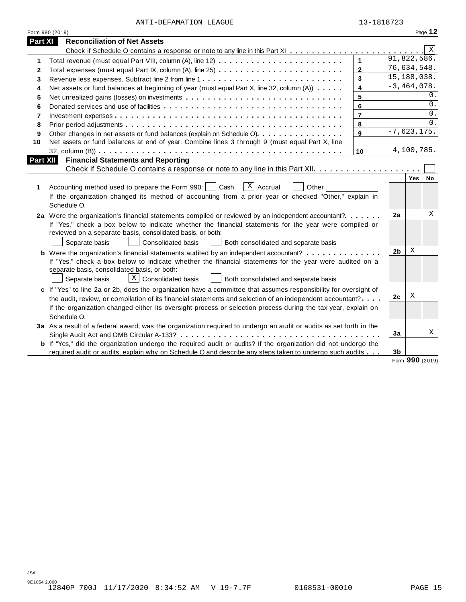|  | ANTI-DEFAMATION LEAGUE |  |  |
|--|------------------------|--|--|
|--|------------------------|--|--|

|                | Form 990 (2019)                                                                                                       |                         |                |                             | Page 12 |
|----------------|-----------------------------------------------------------------------------------------------------------------------|-------------------------|----------------|-----------------------------|---------|
| <b>Part XI</b> | <b>Reconciliation of Net Assets</b>                                                                                   |                         |                |                             |         |
|                |                                                                                                                       |                         |                |                             | X       |
| 1              |                                                                                                                       | $\mathbf{1}$            |                | 91,822,586.                 |         |
| 2              |                                                                                                                       | $\mathbf{2}$            |                | 76,634,548.                 |         |
| 3              |                                                                                                                       | $\mathbf{3}$            |                | 15, 188, 038.               |         |
| 4              | Net assets or fund balances at beginning of year (must equal Part X, line 32, column (A))                             | $\overline{\mathbf{4}}$ |                | $-3,464,078.$               |         |
| 5              |                                                                                                                       | 5                       |                |                             | $0$ .   |
| 6              |                                                                                                                       | 6                       |                |                             | 0.      |
| 7              |                                                                                                                       | $\overline{7}$          |                |                             | 0.      |
| 8              |                                                                                                                       | 8                       |                |                             | $0$ .   |
| 9              | Other changes in net assets or fund balances (explain on Schedule O)                                                  | 9                       |                | $-7,623,175.$               |         |
| 10             | Net assets or fund balances at end of year. Combine lines 3 through 9 (must equal Part X, line                        |                         |                |                             |         |
|                |                                                                                                                       | 10                      |                | 4,100,785.                  |         |
| Part XII       | <b>Financial Statements and Reporting</b>                                                                             |                         |                |                             |         |
|                |                                                                                                                       |                         |                |                             |         |
|                |                                                                                                                       |                         |                | Yes                         | No      |
| 1              | $x \mid$ Accrual<br>Accounting method used to prepare the Form 990:     Cash<br>Other                                 |                         |                |                             |         |
|                | If the organization changed its method of accounting from a prior year or checked "Other," explain in                 |                         |                |                             |         |
|                | Schedule O.                                                                                                           |                         |                |                             | Χ       |
|                | 2a Were the organization's financial statements compiled or reviewed by an independent accountant?                    |                         | 2a             |                             |         |
|                | If "Yes," check a box below to indicate whether the financial statements for the year were compiled or                |                         |                |                             |         |
|                | reviewed on a separate basis, consolidated basis, or both:                                                            |                         |                |                             |         |
|                | Separate basis<br><b>Consolidated basis</b><br>Both consolidated and separate basis                                   |                         |                | X                           |         |
|                | <b>b</b> Were the organization's financial statements audited by an independent accountant?                           |                         | 2 <sub>b</sub> |                             |         |
|                | If "Yes," check a box below to indicate whether the financial statements for the year were audited on a               |                         |                |                             |         |
|                | separate basis, consolidated basis, or both:                                                                          |                         |                |                             |         |
|                | $X$ Consolidated basis<br>Separate basis<br>Both consolidated and separate basis                                      |                         |                |                             |         |
|                | c If "Yes" to line 2a or 2b, does the organization have a committee that assumes responsibility for oversight of      |                         |                | X                           |         |
|                | the audit, review, or compilation of its financial statements and selection of an independent accountant?             |                         | 2c             |                             |         |
|                | If the organization changed either its oversight process or selection process during the tax year, explain on         |                         |                |                             |         |
|                | Schedule O.                                                                                                           |                         |                |                             |         |
|                | 3a As a result of a federal award, was the organization required to undergo an audit or audits as set forth in the    |                         |                |                             | X       |
|                |                                                                                                                       |                         | 3a             |                             |         |
|                | <b>b</b> If "Yes," did the organization undergo the required audit or audits? If the organization did not undergo the |                         |                |                             |         |
|                | required audit or audits, explain why on Schedule O and describe any steps taken to undergo such audits               |                         | 3 <sub>b</sub> | $F_{\text{arm}}$ QQN (2010) |         |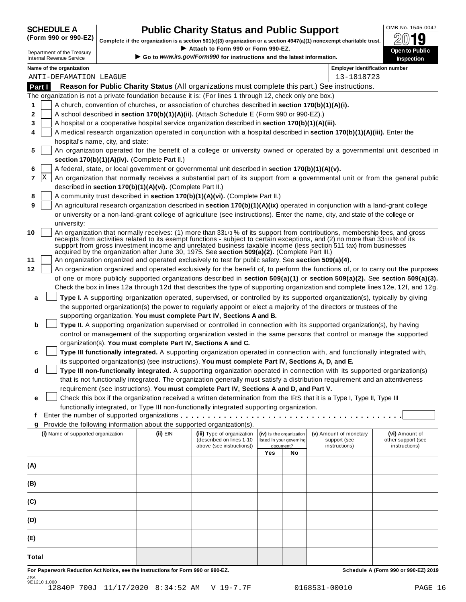# SCHEDULE A **Public Charity Status and Public Support** (Form 990 or 990-EZ) complete if the organization is a section 501(c)(3) organization or a section 4947(a)(1) nonexempt charitable trust.

(Form 990 or 990-EZ) complete if the organization is a section 501(c)(3) organization or a section 4947(a)(1) nonexempt charitable trust.  $2019$ 

|        |                                                                                  |                                                            | Complete if the organization is a section 501(c)(3) organization or a section 4947(a)(1) nonexempt charitable trust. |     |                                                      |                                                                                                                                | ZW IJ                                                                                                                            |
|--------|----------------------------------------------------------------------------------|------------------------------------------------------------|----------------------------------------------------------------------------------------------------------------------|-----|------------------------------------------------------|--------------------------------------------------------------------------------------------------------------------------------|----------------------------------------------------------------------------------------------------------------------------------|
|        | Department of the Treasury<br><b>Internal Revenue Service</b>                    |                                                            | Attach to Form 990 or Form 990-EZ.<br>Go to www.irs.gov/Form990 for instructions and the latest information.         |     |                                                      |                                                                                                                                | Open to Public<br><b>Inspection</b>                                                                                              |
|        | Name of the organization                                                         |                                                            |                                                                                                                      |     |                                                      | <b>Employer identification number</b>                                                                                          |                                                                                                                                  |
|        | ANTI-DEFAMATION LEAGUE                                                           |                                                            |                                                                                                                      |     |                                                      | 13-1818723                                                                                                                     |                                                                                                                                  |
| Part I |                                                                                  |                                                            |                                                                                                                      |     |                                                      | Reason for Public Charity Status (All organizations must complete this part.) See instructions.                                |                                                                                                                                  |
|        |                                                                                  |                                                            | The organization is not a private foundation because it is: (For lines 1 through 12, check only one box.)            |     |                                                      |                                                                                                                                |                                                                                                                                  |
| 1      |                                                                                  |                                                            | A church, convention of churches, or association of churches described in section 170(b)(1)(A)(i).                   |     |                                                      |                                                                                                                                |                                                                                                                                  |
| 2      |                                                                                  |                                                            | A school described in section 170(b)(1)(A)(ii). (Attach Schedule E (Form 990 or 990-EZ).)                            |     |                                                      |                                                                                                                                |                                                                                                                                  |
| 3      |                                                                                  |                                                            | A hospital or a cooperative hospital service organization described in section 170(b)(1)(A)(iii).                    |     |                                                      |                                                                                                                                |                                                                                                                                  |
| 4      | hospital's name, city, and state:                                                |                                                            |                                                                                                                      |     |                                                      | A medical research organization operated in conjunction with a hospital described in section 170(b)(1)(A)(iii). Enter the      |                                                                                                                                  |
| 5      |                                                                                  |                                                            |                                                                                                                      |     |                                                      |                                                                                                                                | An organization operated for the benefit of a college or university owned or operated by a governmental unit described in        |
|        |                                                                                  | section 170(b)(1)(A)(iv). (Complete Part II.)              |                                                                                                                      |     |                                                      |                                                                                                                                |                                                                                                                                  |
| 6      |                                                                                  |                                                            | A federal, state, or local government or governmental unit described in section 170(b)(1)(A)(v).                     |     |                                                      |                                                                                                                                |                                                                                                                                  |
| 7      | ΙX                                                                               |                                                            |                                                                                                                      |     |                                                      |                                                                                                                                | An organization that normally receives a substantial part of its support from a governmental unit or from the general public     |
|        |                                                                                  | described in section 170(b)(1)(A)(vi). (Complete Part II.) |                                                                                                                      |     |                                                      |                                                                                                                                |                                                                                                                                  |
| 8      |                                                                                  |                                                            | A community trust described in section 170(b)(1)(A)(vi). (Complete Part II.)                                         |     |                                                      |                                                                                                                                |                                                                                                                                  |
| 9      |                                                                                  |                                                            |                                                                                                                      |     |                                                      | An agricultural research organization described in section 170(b)(1)(A)(ix) operated in conjunction with a land-grant college  |                                                                                                                                  |
|        | university:                                                                      |                                                            |                                                                                                                      |     |                                                      | or university or a non-land-grant college of agriculture (see instructions). Enter the name, city, and state of the college or |                                                                                                                                  |
| 10     |                                                                                  |                                                            |                                                                                                                      |     |                                                      | An organization that normally receives: (1) more than 331/3% of its support from contributions, membership fees, and gross     |                                                                                                                                  |
|        |                                                                                  |                                                            |                                                                                                                      |     |                                                      | receipts from activities related to its exempt functions - subject to certain exceptions, and (2) no more than 331/3% of its   |                                                                                                                                  |
|        |                                                                                  |                                                            | acquired by the organization after June 30, 1975. See section 509(a)(2). (Complete Part III.)                        |     |                                                      | support from gross investment income and unrelated business taxable income (less section 511 tax) from businesses              |                                                                                                                                  |
| 11     |                                                                                  |                                                            | An organization organized and operated exclusively to test for public safety. See section 509(a)(4).                 |     |                                                      |                                                                                                                                |                                                                                                                                  |
| 12     |                                                                                  |                                                            |                                                                                                                      |     |                                                      |                                                                                                                                | An organization organized and operated exclusively for the benefit of, to perform the functions of, or to carry out the purposes |
|        |                                                                                  |                                                            |                                                                                                                      |     |                                                      |                                                                                                                                | of one or more publicly supported organizations described in section 509(a)(1) or section 509(a)(2). See section 509(a)(3).      |
|        |                                                                                  |                                                            |                                                                                                                      |     |                                                      |                                                                                                                                | Check the box in lines 12a through 12d that describes the type of supporting organization and complete lines 12e, 12f, and 12g.  |
| a      |                                                                                  |                                                            |                                                                                                                      |     |                                                      | Type I. A supporting organization operated, supervised, or controlled by its supported organization(s), typically by giving    |                                                                                                                                  |
|        |                                                                                  |                                                            | supporting organization. You must complete Part IV, Sections A and B.                                                |     |                                                      | the supported organization(s) the power to regularly appoint or elect a majority of the directors or trustees of the           |                                                                                                                                  |
| b      |                                                                                  |                                                            |                                                                                                                      |     |                                                      | Type II. A supporting organization supervised or controlled in connection with its supported organization(s), by having        |                                                                                                                                  |
|        |                                                                                  |                                                            |                                                                                                                      |     |                                                      | control or management of the supporting organization vested in the same persons that control or manage the supported           |                                                                                                                                  |
|        |                                                                                  |                                                            | organization(s). You must complete Part IV, Sections A and C.                                                        |     |                                                      |                                                                                                                                |                                                                                                                                  |
| c      |                                                                                  |                                                            |                                                                                                                      |     |                                                      | Type III functionally integrated. A supporting organization operated in connection with, and functionally integrated with,     |                                                                                                                                  |
|        |                                                                                  |                                                            | its supported organization(s) (see instructions). You must complete Part IV, Sections A, D, and E.                   |     |                                                      |                                                                                                                                |                                                                                                                                  |
| d      |                                                                                  |                                                            |                                                                                                                      |     |                                                      | Type III non-functionally integrated. A supporting organization operated in connection with its supported organization(s)      |                                                                                                                                  |
|        |                                                                                  |                                                            |                                                                                                                      |     |                                                      | that is not functionally integrated. The organization generally must satisfy a distribution requirement and an attentiveness   |                                                                                                                                  |
| e      |                                                                                  |                                                            | requirement (see instructions). You must complete Part IV, Sections A and D, and Part V.                             |     |                                                      | Check this box if the organization received a written determination from the IRS that it is a Type I, Type II, Type III        |                                                                                                                                  |
|        |                                                                                  |                                                            | functionally integrated, or Type III non-functionally integrated supporting organization.                            |     |                                                      |                                                                                                                                |                                                                                                                                  |
| f      |                                                                                  |                                                            | Enter the number of supported organizations                                                                          |     |                                                      |                                                                                                                                |                                                                                                                                  |
| g      |                                                                                  |                                                            | Provide the following information about the supported organization(s).                                               |     |                                                      |                                                                                                                                |                                                                                                                                  |
|        | (i) Name of supported organization                                               | (ii) EIN                                                   | (iii) Type of organization<br>(described on lines 1-10                                                               |     | (iv) Is the organization<br>listed in your governing | (v) Amount of monetary<br>support (see                                                                                         | (vi) Amount of<br>other support (see                                                                                             |
|        |                                                                                  |                                                            | above (see instructions))                                                                                            |     | document?                                            | instructions)                                                                                                                  | instructions)                                                                                                                    |
|        |                                                                                  |                                                            |                                                                                                                      | Yes | No                                                   |                                                                                                                                |                                                                                                                                  |
| (A)    |                                                                                  |                                                            |                                                                                                                      |     |                                                      |                                                                                                                                |                                                                                                                                  |
| (B)    |                                                                                  |                                                            |                                                                                                                      |     |                                                      |                                                                                                                                |                                                                                                                                  |
| (C)    |                                                                                  |                                                            |                                                                                                                      |     |                                                      |                                                                                                                                |                                                                                                                                  |
| (D)    |                                                                                  |                                                            |                                                                                                                      |     |                                                      |                                                                                                                                |                                                                                                                                  |
| (E)    |                                                                                  |                                                            |                                                                                                                      |     |                                                      |                                                                                                                                |                                                                                                                                  |
| Total  |                                                                                  |                                                            |                                                                                                                      |     |                                                      |                                                                                                                                |                                                                                                                                  |
|        | For Paperwork Reduction Act Notice, see the Instructions for Form 990 or 990-EZ. |                                                            |                                                                                                                      |     |                                                      |                                                                                                                                | Schedule A (Form 990 or 990-EZ) 2019                                                                                             |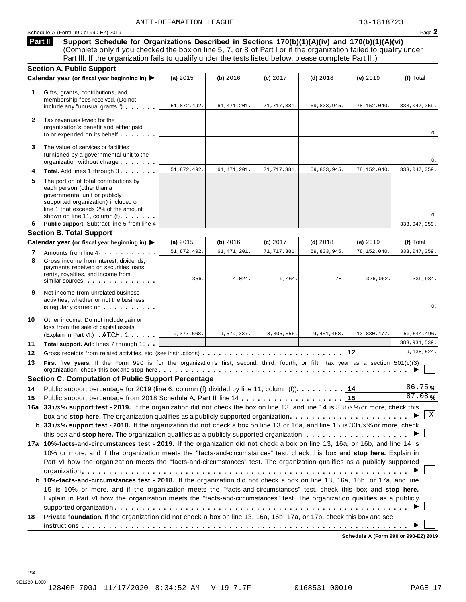**Support Schedule for Organizations Described in Sections 170(b)(1)(A)(iv) and 170(b)(1)(A)(vi)** (Complete only if you checked the box on line 5, 7, or 8 of Part I or if the organization failed to qualify under Part III. If the organization fails to qualify under the tests listed below, please complete Part III.) **Part II**

|              | <b>Section A. Public Support</b>                                                                                                                                                                                   |             |               |               |              |             |                |
|--------------|--------------------------------------------------------------------------------------------------------------------------------------------------------------------------------------------------------------------|-------------|---------------|---------------|--------------|-------------|----------------|
|              | Calendar year (or fiscal year beginning in) ▶                                                                                                                                                                      | (a) 2015    | (b) 2016      | (c) 2017      | $(d)$ 2018   | (e) 2019    | (f) Total      |
| 1            | Gifts, grants, contributions, and<br>membership fees received. (Do not<br>include any "unusual grants.")                                                                                                           | 51,872,492. | 61, 471, 201. | 71, 717, 381. | 69,833,945.  | 78,152,040. | 333,047,059.   |
| $\mathbf{2}$ | Tax revenues levied for the<br>organization's benefit and either paid<br>to or expended on its behalf                                                                                                              |             |               |               |              |             | 0.             |
| 3            | The value of services or facilities<br>furnished by a governmental unit to the<br>organization without charge                                                                                                      |             |               |               |              |             | 0.             |
| 4            | Total. Add lines 1 through 3                                                                                                                                                                                       | 51,872,492. | 61, 471, 201  | 71, 717, 381. | 69,833,945.  | 78,152,040. | 333,047,059.   |
| 5            | The portion of total contributions by<br>each person (other than a<br>governmental unit or publicly<br>supported organization) included on<br>line 1 that exceeds 2% of the amount<br>shown on line 11, column (f) |             |               |               |              |             | 0.             |
| 6            | Public support. Subtract line 5 from line 4                                                                                                                                                                        |             |               |               |              |             | 333,047,059.   |
|              | <b>Section B. Total Support</b>                                                                                                                                                                                    |             |               |               |              |             |                |
|              | Calendar year (or fiscal year beginning in) ▶                                                                                                                                                                      | (a) 2015    | (b) 2016      | (c) 2017      | $(d)$ 2018   | (e) 2019    | (f) Total      |
| 7            | Amounts from line 4                                                                                                                                                                                                | 51,872,492. | 61, 471, 201. | 71, 717, 381. | 69,833,945   | 78,152,040. | 333,047,059.   |
| 8            | Gross income from interest, dividends,<br>payments received on securities loans,<br>rents, royalties, and income from<br>similar sources experiences                                                               | 356.        | 4,024.        | 9,464.        | 78.          | 326,062.    | 339,984.       |
| 9            | Net income from unrelated business<br>activities, whether or not the business<br>is regularly carried on the control of the set of the set of the set of the set of the set of the set of the s                    |             |               |               |              |             | 0.             |
| 10           | Other income. Do not include gain or<br>loss from the sale of capital assets<br>(Explain in Part VI.) ATCH 1                                                                                                       | 9,377,668.  | 9,579,337.    | 8,305,556.    | 9, 451, 458. | 13,830,477. | 50, 544, 496.  |
| 11           | Total support. Add lines 7 through 10                                                                                                                                                                              |             |               |               |              |             | 383, 931, 539. |
| 12           |                                                                                                                                                                                                                    |             |               |               |              |             | 9,138,524.     |
| 13           | First five years. If the Form 990 is for the organization's first, second, third, fourth, or fifth tax year as a section 501(c)(3)                                                                                 |             |               |               |              |             |                |
|              | <b>Section C. Computation of Public Support Percentage</b>                                                                                                                                                         |             |               |               |              |             |                |
| 14           | Public support percentage for 2019 (line 6, column (f) divided by line 11, column (f)).                                                                                                                            |             |               |               |              | 14          | 86.75%         |
| 15           |                                                                                                                                                                                                                    |             |               |               |              | 15          | 87.08%         |
|              |                                                                                                                                                                                                                    |             |               |               |              |             |                |
|              |                                                                                                                                                                                                                    |             |               |               |              |             | Χ              |
|              | 16a 331/3% support test - 2019. If the organization did not check the box on line 13, and line 14 is 331/3% or more, check this                                                                                    |             |               |               |              |             |                |
|              |                                                                                                                                                                                                                    |             |               |               |              |             |                |
|              | b 331/3% support test - 2018. If the organization did not check a box on line 13 or 16a, and line 15 is 331/3% or more, check                                                                                      |             |               |               |              |             |                |
|              | 17a 10%-facts-and-circumstances test - 2019. If the organization did not check a box on line 13, 16a, or 16b, and line 14 is                                                                                       |             |               |               |              |             |                |
|              | 10% or more, and if the organization meets the "facts-and-circumstances" test, check this box and stop here. Explain in                                                                                            |             |               |               |              |             |                |
|              | Part VI how the organization meets the "facts-and-circumstances" test. The organization qualifies as a publicly supported                                                                                          |             |               |               |              |             |                |
|              |                                                                                                                                                                                                                    |             |               |               |              |             |                |
|              | b 10%-facts-and-circumstances test - 2018. If the organization did not check a box on line 13, 16a, 16b, or 17a, and line                                                                                          |             |               |               |              |             |                |
|              | 15 is 10% or more, and if the organization meets the "facts-and-circumstances" test, check this box and stop here.                                                                                                 |             |               |               |              |             |                |
|              | Explain in Part VI how the organization meets the "facts-and-circumstances" test. The organization qualifies as a publicly                                                                                         |             |               |               |              |             |                |
|              |                                                                                                                                                                                                                    |             |               |               |              |             |                |
| 18           | Private foundation. If the organization did not check a box on line 13, 16a, 16b, 17a, or 17b, check this box and see                                                                                              |             |               |               |              |             |                |

**Schedule A (Form 990 or 990-EZ) 2019**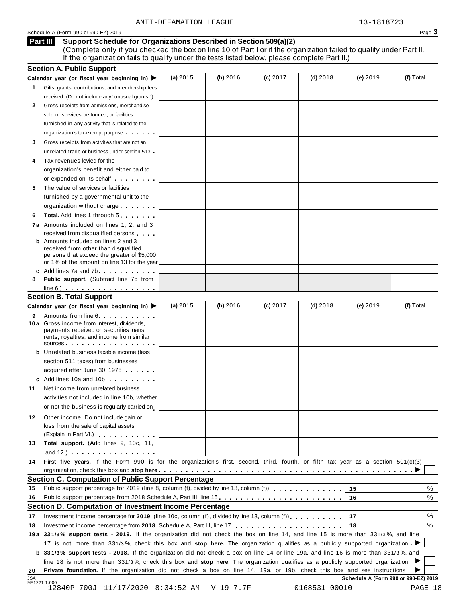### Schedule <sup>A</sup> (Form <sup>990</sup> or 990-EZ) <sup>2019</sup> Page **3**

### **Support Schedule for Organizations Described in Section 509(a)(2) Part III**

(Complete only if you checked the box on line 10 of Part I or if the organization failed to qualify under Part II. If the organization fails to qualify under the tests listed below, please complete Part II.)

|                  | <b>Section A. Public Support</b>                                                                                                                                                                                                     |            |           |            |               |            |                                      |
|------------------|--------------------------------------------------------------------------------------------------------------------------------------------------------------------------------------------------------------------------------------|------------|-----------|------------|---------------|------------|--------------------------------------|
|                  | Calendar year (or fiscal year beginning in)                                                                                                                                                                                          | (a) $2015$ | (b) 2016  | $(c)$ 2017 | (d) $2018$    | (e) $2019$ | (f) Total                            |
| 1.               | Gifts, grants, contributions, and membership fees                                                                                                                                                                                    |            |           |            |               |            |                                      |
|                  | received. (Do not include any "unusual grants.")                                                                                                                                                                                     |            |           |            |               |            |                                      |
| 2                | Gross receipts from admissions, merchandise                                                                                                                                                                                          |            |           |            |               |            |                                      |
|                  | sold or services performed, or facilities                                                                                                                                                                                            |            |           |            |               |            |                                      |
|                  | furnished in any activity that is related to the                                                                                                                                                                                     |            |           |            |               |            |                                      |
|                  | organization's tax-exempt purpose                                                                                                                                                                                                    |            |           |            |               |            |                                      |
| 3                | Gross receipts from activities that are not an                                                                                                                                                                                       |            |           |            |               |            |                                      |
|                  | unrelated trade or business under section 513 .                                                                                                                                                                                      |            |           |            |               |            |                                      |
|                  | Tax revenues levied for the                                                                                                                                                                                                          |            |           |            |               |            |                                      |
|                  | organization's benefit and either paid to                                                                                                                                                                                            |            |           |            |               |            |                                      |
|                  | or expended on its behalf <b>contains the set of the set of the set of the set of the set of the set of the set of the set of the set of the set of the set of the set of the set of the set of the set of the set of the set of</b> |            |           |            |               |            |                                      |
| 5                | The value of services or facilities                                                                                                                                                                                                  |            |           |            |               |            |                                      |
|                  | furnished by a governmental unit to the                                                                                                                                                                                              |            |           |            |               |            |                                      |
|                  | organization without charge                                                                                                                                                                                                          |            |           |            |               |            |                                      |
| 6                | <b>Total.</b> Add lines 1 through 5                                                                                                                                                                                                  |            |           |            |               |            |                                      |
|                  | 7a Amounts included on lines 1, 2, and 3                                                                                                                                                                                             |            |           |            |               |            |                                      |
|                  | received from disqualified persons                                                                                                                                                                                                   |            |           |            |               |            |                                      |
|                  | <b>b</b> Amounts included on lines 2 and 3                                                                                                                                                                                           |            |           |            |               |            |                                      |
|                  | received from other than disqualified                                                                                                                                                                                                |            |           |            |               |            |                                      |
|                  | persons that exceed the greater of \$5,000<br>or 1% of the amount on line 13 for the year                                                                                                                                            |            |           |            |               |            |                                      |
|                  | c Add lines 7a and 7b                                                                                                                                                                                                                |            |           |            |               |            |                                      |
| 8                | Public support. (Subtract line 7c from                                                                                                                                                                                               |            |           |            |               |            |                                      |
|                  | $line 6.)$                                                                                                                                                                                                                           |            |           |            |               |            |                                      |
|                  | <b>Section B. Total Support</b>                                                                                                                                                                                                      |            |           |            |               |            |                                      |
|                  | Calendar year (or fiscal year beginning in)                                                                                                                                                                                          | (a) $2015$ | (b) 2016  | $(c)$ 2017 | (d) $2018$    | (e) 2019   | (f) Total                            |
| 9                | Amounts from line 6                                                                                                                                                                                                                  |            |           |            |               |            |                                      |
|                  | 10 a Gross income from interest, dividends,<br>payments received on securities loans,<br>rents, royalties, and income from similar<br>SOUICES                                                                                        |            |           |            |               |            |                                      |
|                  | <b>b</b> Unrelated business taxable income (less                                                                                                                                                                                     |            |           |            |               |            |                                      |
|                  | section 511 taxes) from businesses                                                                                                                                                                                                   |            |           |            |               |            |                                      |
|                  | acquired after June 30, 1975                                                                                                                                                                                                         |            |           |            |               |            |                                      |
|                  | c Add lines 10a and 10b                                                                                                                                                                                                              |            |           |            |               |            |                                      |
| 11               | Net income from unrelated business                                                                                                                                                                                                   |            |           |            |               |            |                                      |
|                  | activities not included in line 10b, whether                                                                                                                                                                                         |            |           |            |               |            |                                      |
|                  | or not the business is regularly carried on                                                                                                                                                                                          |            |           |            |               |            |                                      |
| 12 <sup>12</sup> | Other income. Do not include gain or                                                                                                                                                                                                 |            |           |            |               |            |                                      |
|                  | loss from the sale of capital assets                                                                                                                                                                                                 |            |           |            |               |            |                                      |
|                  | (Explain in Part VI.)                                                                                                                                                                                                                |            |           |            |               |            |                                      |
| 13               | Total support. (Add lines 9, 10c, 11,                                                                                                                                                                                                |            |           |            |               |            |                                      |
|                  | and 12.) $\cdots$ $\cdots$ $\cdots$ $\cdots$                                                                                                                                                                                         |            |           |            |               |            |                                      |
| 14               | First five years. If the Form 990 is for the organization's first, second, third, fourth, or fifth tax year as a section 501(c)(3)                                                                                                   |            |           |            |               |            |                                      |
|                  |                                                                                                                                                                                                                                      |            |           |            |               |            |                                      |
|                  | <b>Section C. Computation of Public Support Percentage</b>                                                                                                                                                                           |            |           |            |               |            |                                      |
| 15               |                                                                                                                                                                                                                                      |            |           |            |               | 15         | ℅                                    |
| 16               | Public support percentage from 2018 Schedule A, Part III, line 15.                                                                                                                                                                   |            |           |            |               | 16         | %                                    |
|                  | Section D. Computation of Investment Income Percentage                                                                                                                                                                               |            |           |            |               |            |                                      |
| 17               | Investment income percentage for 2019 (line 10c, column (f), divided by line 13, column (f)).                                                                                                                                        |            |           |            |               | 17         | %                                    |
| 18               |                                                                                                                                                                                                                                      |            |           |            |               | 18         | %                                    |
|                  | 19a 331/3% support tests - 2019. If the organization did not check the box on line 14, and line 15 is more than 331/3%, and line                                                                                                     |            |           |            |               |            |                                      |
|                  | 17 is not more than 331/3%, check this box and stop here. The organization qualifies as a publicly supported organization                                                                                                            |            |           |            |               |            |                                      |
|                  | <b>b</b> 331/3% support tests - 2018. If the organization did not check a box on line 14 or line 19a, and line 16 is more than 331/3%, and                                                                                           |            |           |            |               |            |                                      |
|                  | line 18 is not more than 331/3%, check this box and stop here. The organization qualifies as a publicly supported organization                                                                                                       |            |           |            |               |            |                                      |
| 20               | Private foundation. If the organization did not check a box on line 14, 19a, or 19b, check this box and see instructions                                                                                                             |            |           |            |               |            |                                      |
| JSA              |                                                                                                                                                                                                                                      |            |           |            |               |            | Schedule A (Form 990 or 990-EZ) 2019 |
|                  | 9E1221 1.000<br>12840P 700J 11/17/2020 8:34:52 AM                                                                                                                                                                                    |            | V 19-7.7F |            | 0168531-00010 |            | PAGE 18                              |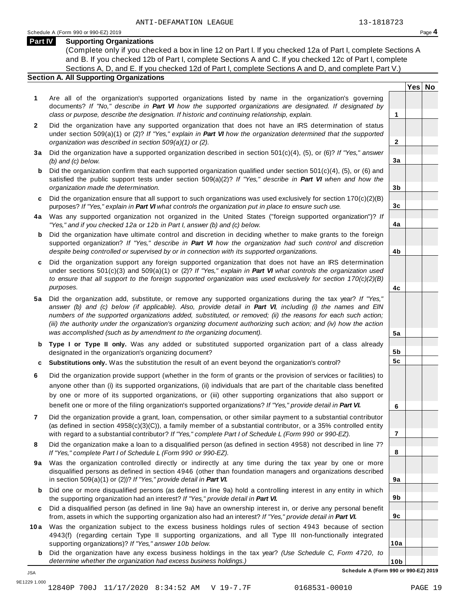**Yes No**

**2**

**3a**

**3b**

**3c**

**4a**

**4b**

**4c**

**5a**

**5b 5c**

**6**

**7**

**8**

**9a**

**9b**

**9c**

**10a**

### **Part IV Supporting Organizations**

(Complete only if you checked a box in line 12 on Part I. If you checked 12a of Part I, complete Sections A and B. If you checked 12b of Part I, complete Sections A and C. If you checked 12c of Part I, complete Sections A, D, and E. If you checked 12d of Part I, complete Sections A and D, and complete Part V.)

### **Section A. All Supporting Organizations**

- **1** Are all of the organization's supported organizations listed by name in the organization's governing documents? *If "No," describe in Part VI how the supported organizations are designated. If designated by class or purpose, describe the designation. If historic and continuing relationship, explain.* **1**
- **2** Did the organization have any supported organization that does not have an IRS determination of status under section 509(a)(1) or (2)? *If"Yes," explain in Part VI how the organization determined that the supported organization was described in section 509(a)(1) or (2).*
- **3 a** Did the organization have a supported organization described in section 501(c)(4), (5), or (6)? *If "Yes," answer (b) and (c) below.*
- **b** Did the organization confirm that each supported organization qualified under section 501(c)(4), (5), or (6) and | satisfied the public support tests under section 509(a)(2)? *If "Yes," describe in Part VI when and how the organization made the determination.*
- **c** Did the organization ensure that all support to such organizations was used exclusively for section 170(c)(2)(B) purposes? *If"Yes," explain in Part VI what controls the organization put in place to ensure such use.*
- **4 a** Was any supported organization not organized in the United States ("foreign supported organization")? *If "Yes," and if you checked 12a or 12b in Part I, answer (b) and (c) below.*
- **b** Did the organization have ultimate control and discretion in deciding whether to make grants to the foreign | supported organization? *If "Yes," describe in Part VI how the organization had such control and discretion despite being controlled or supervised by or in connection with its supported organizations.*
- **c** Did the organization support any foreign supported organization that does not have an IRS determination under sections 501(c)(3) and 509(a)(1) or (2)? *If "Yes," explain in Part VI what controls the organization used to ensure that all support to the foreign supported organization was used exclusively for section 170(c)(2)(B) purposes.*
- **5 a** Did the organization add, substitute, or remove any supported organizations during the tax year? *If "Yes,"* answer (b) and (c) below (if applicable). Also, provide detail in Part VI, including (i) the names and EIN *numbers of the supported organizations added, substituted, or removed; (ii) the reasons for each such action;* (iii) the authority under the organization's organizing document authorizing such action; and (iv) how the action *was accomplished (such as by amendment to the organizing document).*
- **b Type I or Type II only.** Was any added or substituted supported organization part of a class already designated in the organization's organizing document?
- **c Substitutions only.** Was the substitution the result of an event beyond the organization's control?
- **6** Did the organization provide support (whether in the form of grants or the provision of services or facilities) to anyone other than (i) its supported organizations, (ii) individuals that are part of the charitable class benefited by one or more of its supported organizations, or (iii) other supporting organizations that also support or benefit one or more of the filing organization's supported organizations? *If"Yes," provide detail in Part VI.*
- **7** Did the organization provide a grant, loan, compensation, or other similar payment to a substantial contributor (as defined in section 4958(c)(3)(C)), a family member of a substantial contributor, or a 35% controlled entity with regard to a substantial contributor? *If"Yes," complete Part I of Schedule L (Form 990 or 990-EZ).*
- **8** Did the organization make a loan to a disqualified person (as defined in section 4958) not described in line 7? *If "Yes," complete Part I of Schedule L (Form 990 or 990-EZ).*
- **9a** Was the organization controlled directly or indirectly at any time during the tax year by one or more | disqualified persons as defined in section 4946 (other than foundation managers and organizations described in section 509(a)(1) or (2))? *If"Yes," provide detail in Part VI.*
- **b** Did one or more disqualified persons (as defined in line 9a) hold a controlling interest in any entity in which | the supporting organization had an interest? *If"Yes," provide detail in Part VI.*
- **c** Did a disqualified person (as defined in line 9a) have an ownership interest in, or derive any personal benefit from, assets in which the supporting organization also had an interest? *If"Yes," provide detail in Part VI.*
- **10a** Was the organization subject to the excess business holdings rules of section 4943 because of section | 4943(f) (regarding certain Type II supporting organizations, and all Type III non-functionally integrated supporting organizations)? *If"Yes," answer 10b below.*
	- **b** Did the organization have any excess business holdings in the tax year? *(Use Schedule C, Form 4720, to determine whether the organization had excess business holdings.)*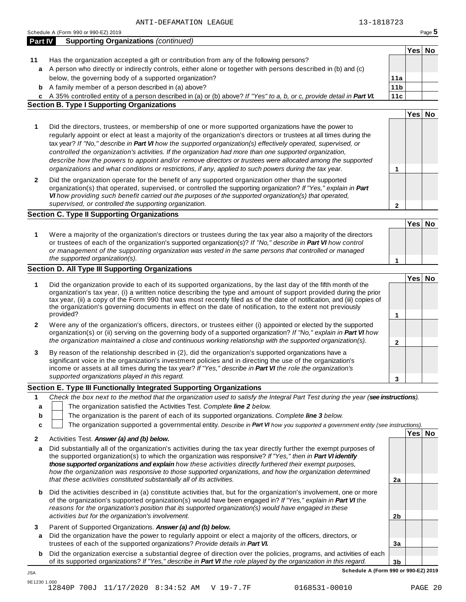|                | 13-1818723<br>ANTI-DEFAMATION LEAGUE                                                                                                                                                                                                                                                                                                                                                                                                                                                                                                                                                                                                                                         |                 |        |        |
|----------------|------------------------------------------------------------------------------------------------------------------------------------------------------------------------------------------------------------------------------------------------------------------------------------------------------------------------------------------------------------------------------------------------------------------------------------------------------------------------------------------------------------------------------------------------------------------------------------------------------------------------------------------------------------------------------|-----------------|--------|--------|
|                | Schedule A (Form 990 or 990-EZ) 2019                                                                                                                                                                                                                                                                                                                                                                                                                                                                                                                                                                                                                                         |                 |        | Page 5 |
| <b>Part IV</b> | <b>Supporting Organizations (continued)</b>                                                                                                                                                                                                                                                                                                                                                                                                                                                                                                                                                                                                                                  |                 |        |        |
|                |                                                                                                                                                                                                                                                                                                                                                                                                                                                                                                                                                                                                                                                                              |                 | Yes No |        |
| 11             | Has the organization accepted a gift or contribution from any of the following persons?                                                                                                                                                                                                                                                                                                                                                                                                                                                                                                                                                                                      |                 |        |        |
| a              | A person who directly or indirectly controls, either alone or together with persons described in (b) and (c)                                                                                                                                                                                                                                                                                                                                                                                                                                                                                                                                                                 |                 |        |        |
|                | below, the governing body of a supported organization?                                                                                                                                                                                                                                                                                                                                                                                                                                                                                                                                                                                                                       | 11a             |        |        |
| b              | A family member of a person described in (a) above?                                                                                                                                                                                                                                                                                                                                                                                                                                                                                                                                                                                                                          | 11 <sub>b</sub> |        |        |
|                | c A 35% controlled entity of a person described in (a) or (b) above? If "Yes" to a, b, or c, provide detail in Part VI.                                                                                                                                                                                                                                                                                                                                                                                                                                                                                                                                                      | 11c             |        |        |
|                | <b>Section B. Type I Supporting Organizations</b>                                                                                                                                                                                                                                                                                                                                                                                                                                                                                                                                                                                                                            |                 |        |        |
|                |                                                                                                                                                                                                                                                                                                                                                                                                                                                                                                                                                                                                                                                                              |                 | Yes No |        |
| 1              | Did the directors, trustees, or membership of one or more supported organizations have the power to<br>regularly appoint or elect at least a majority of the organization's directors or trustees at all times during the<br>tax year? If "No," describe in Part VI how the supported organization(s) effectively operated, supervised, or<br>controlled the organization's activities. If the organization had more than one supported organization,<br>describe how the powers to appoint and/or remove directors or trustees were allocated among the supported<br>organizations and what conditions or restrictions, if any, applied to such powers during the tax year. | 1               |        |        |
| 2              | Did the organization operate for the benefit of any supported organization other than the supported<br>organization(s) that operated, supervised, or controlled the supporting organization? If "Yes," explain in Part<br>VI how providing such benefit carried out the purposes of the supported organization(s) that operated,<br>supervised, or controlled the supporting organization.                                                                                                                                                                                                                                                                                   |                 |        |        |
|                | <b>Section C. Type II Supporting Organizations</b>                                                                                                                                                                                                                                                                                                                                                                                                                                                                                                                                                                                                                           | 2               |        |        |
|                |                                                                                                                                                                                                                                                                                                                                                                                                                                                                                                                                                                                                                                                                              |                 | Yes No |        |
| 1              | Were a majority of the organization's directors or trustees during the tax year also a majority of the directors<br>or trustees of each of the organization's supported organization(s)? If "No," describe in Part VI how control<br>or management of the supporting organization was vested in the same persons that controlled or managed<br>the supported organization(s).                                                                                                                                                                                                                                                                                                | 1               |        |        |
|                | Section D. All Type III Supporting Organizations                                                                                                                                                                                                                                                                                                                                                                                                                                                                                                                                                                                                                             |                 |        |        |
|                |                                                                                                                                                                                                                                                                                                                                                                                                                                                                                                                                                                                                                                                                              |                 | Yes No |        |
| 1              | Did the organization provide to each of its supported organizations, by the last day of the fifth month of the<br>organization's tax year, (i) a written notice describing the type and amount of support provided during the prior<br>tax year, (ii) a copy of the Form 990 that was most recently filed as of the date of notification, and (iii) copies of<br>the organization's governing documents in effect on the date of notification, to the extent not previously<br>provided?                                                                                                                                                                                     | 1               |        |        |
| 2              | Were any of the organization's officers, directors, or trustees either (i) appointed or elected by the supported<br>organization(s) or (ii) serving on the governing body of a supported organization? If "No," explain in Part VI how<br>the organization maintained a close and continuous working relationship with the supported organization(s).                                                                                                                                                                                                                                                                                                                        |                 |        |        |
|                |                                                                                                                                                                                                                                                                                                                                                                                                                                                                                                                                                                                                                                                                              | 2               |        |        |
| 3              | By reason of the relationship described in (2), did the organization's supported organizations have a                                                                                                                                                                                                                                                                                                                                                                                                                                                                                                                                                                        |                 |        |        |
|                | significant voice in the organization's investment policies and in directing the use of the organization's<br>income or assets at all times during the tax year? If "Yes," describe in Part VI the role the organization's                                                                                                                                                                                                                                                                                                                                                                                                                                                   |                 |        |        |
|                | supported organizations played in this regard.                                                                                                                                                                                                                                                                                                                                                                                                                                                                                                                                                                                                                               |                 |        |        |
|                |                                                                                                                                                                                                                                                                                                                                                                                                                                                                                                                                                                                                                                                                              | 3               |        |        |
|                | Section E. Type III Functionally Integrated Supporting Organizations                                                                                                                                                                                                                                                                                                                                                                                                                                                                                                                                                                                                         |                 |        |        |
| 1              | Check the box next to the method that the organization used to satisfy the Integral Part Test during the year (see instructions).                                                                                                                                                                                                                                                                                                                                                                                                                                                                                                                                            |                 |        |        |
| a              | The organization satisfied the Activities Test. Complete line 2 below.                                                                                                                                                                                                                                                                                                                                                                                                                                                                                                                                                                                                       |                 |        |        |
| b              | The organization is the parent of each of its supported organizations. Complete line 3 below.                                                                                                                                                                                                                                                                                                                                                                                                                                                                                                                                                                                |                 |        |        |
| c              | The organization supported a governmental entity. Describe in Part VI how you supported a government entity (see instructions).                                                                                                                                                                                                                                                                                                                                                                                                                                                                                                                                              |                 |        |        |
| 2              | Activities Test. Answer (a) and (b) below.                                                                                                                                                                                                                                                                                                                                                                                                                                                                                                                                                                                                                                   |                 | Yes No |        |
| a              | Did substantially all of the organization's activities during the tax year directly further the exempt purposes of                                                                                                                                                                                                                                                                                                                                                                                                                                                                                                                                                           |                 |        |        |
|                | the supported organization(s) to which the organization was responsive? If "Yes," then in Part VI identify<br>those supported organizations and explain how these activities directly furthered their exempt purposes,<br>how the organization was responsive to those supported organizations, and how the organization determined                                                                                                                                                                                                                                                                                                                                          |                 |        |        |
|                | that these activities constituted substantially all of its activities.                                                                                                                                                                                                                                                                                                                                                                                                                                                                                                                                                                                                       | 2a              |        |        |
| b              | Did the activities described in (a) constitute activities that, but for the organization's involvement, one or more<br>of the organization's supported organization(s) would have been engaged in? If "Yes," explain in Part VI the<br>reasons for the organization's position that its supported organization(s) would have engaged in these                                                                                                                                                                                                                                                                                                                                |                 |        |        |
|                | activities but for the organization's involvement.                                                                                                                                                                                                                                                                                                                                                                                                                                                                                                                                                                                                                           | 2b              |        |        |
| 3              | Parent of Supported Organizations. Answer (a) and (b) below.                                                                                                                                                                                                                                                                                                                                                                                                                                                                                                                                                                                                                 |                 |        |        |
| а              | Did the organization have the power to regularly appoint or elect a majority of the officers, directors, or<br>trustees of each of the supported organizations? Provide details in Part VI.                                                                                                                                                                                                                                                                                                                                                                                                                                                                                  | 3a              |        |        |

**3b b** Did the organization exercise a substantial degree of direction over the policies, programs, and activities of each of its supported organizations? *If"Yes," describe in Part VI the role played by the organization in this regard.*

**Schedule A (Form 990 or 990-EZ) 2019**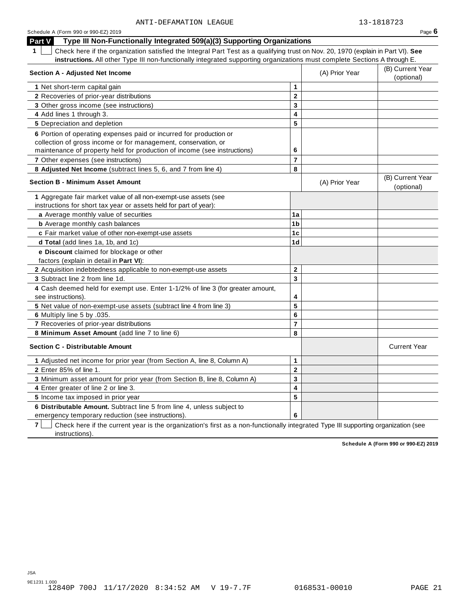### **Part V Type III Non-Functionally Integrated 509(a)(3) Supporting Organizations 1** Check here if the organization satisfied the Integral Part Test as a qualifying trust on Nov. 20, 1970 (explain in Part VI). **See instructions.** All other Type III non-functionally integrated supporting organizations must complete Sections A through E. (B) Current Year **Section <sup>A</sup> - Adjusted Net Income** (A) Prior Year (optional) **1** Net short-term capital gain **1 2 3 4 5 2** Recoveries of prior-year distributions **3** Other gross income (see instructions) **4** Add lines 1 through 3. **5** Depreciation and depletion **6** Portion of operating expenses paid or incurred for production or collection of gross income or for management, conservation, or maintenance of property held for production of income (see instructions) **6 7** Other expenses (see instructions) **7 8 Adjusted Net Income** (subtract lines 5, 6, and 7 from line 4) **8** (B) Current Year **Section <sup>B</sup> - Minimum Asset Amount** (A) Prior Year (optional) **1** Aggregate fair market value of all non-exempt-use assets (see instructions for short tax year or assets held for part of year): **a** Average monthly value of securities **1a 1a 1b 1c 1d b** Average monthly cash balances **c** Fair market value of other non-exempt-use assets **d Total** (add lines 1a, 1b, and 1c) **e Discount** claimed for blockage or other factors (explain in detail in **Part VI**): **2** Acquisition indebtedness applicable to non-exempt-use assets **2 3 4 5 6 7 8 3** Subtract line 2 from line 1d. **4** Cash deemed held for exempt use. Enter 1-1/2% of line 3 (for greater amount, see instructions). **5** Net value of non-exempt-use assets (subtract line 4 from line 3) **6** Multiply line 5 by .035. **7** Recoveries of prior-year distributions **8 Minimum Asset Amount** (add line 7 to line 6) **Section C - Distributable Amount** Current Year **Current Year Amount** Current Year Amount **1** Adjusted net income for prior year (from Section A, line 8, Column A) **1 2 3 4 5 2** Enter 85% of line 1. **3** Minimum asset amount for prior year (from Section B, line 8, Column A) **4** Enter greater of line 2 or line 3. **5** Income tax imposed in prior year **6 Distributable Amount.** Subtract line 5 from line 4, unless subject to

emergency temporary reduction (see instructions).

**7** Check here if the current year is the organization's first as a non-functionally integrated Type III supporting organization (see instructions).

**Schedule A (Form 990 or 990-EZ) 2019**

**6**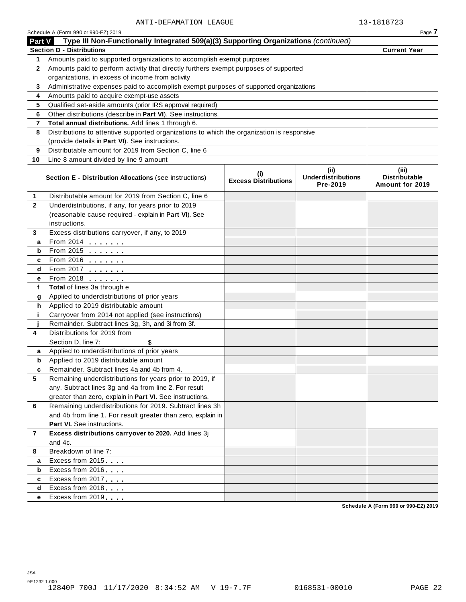|              | Schedule A (Form 990 or 990-EZ) 2019<br>Type III Non-Functionally Integrated 509(a)(3) Supporting Organizations (continued)              |                                    |                                               | Page 7                                           |
|--------------|------------------------------------------------------------------------------------------------------------------------------------------|------------------------------------|-----------------------------------------------|--------------------------------------------------|
| Part V       |                                                                                                                                          |                                    |                                               |                                                  |
|              | <b>Section D - Distributions</b>                                                                                                         |                                    |                                               | <b>Current Year</b>                              |
| 1            | Amounts paid to supported organizations to accomplish exempt purposes                                                                    |                                    |                                               |                                                  |
| $\mathbf{2}$ | Amounts paid to perform activity that directly furthers exempt purposes of supported<br>organizations, in excess of income from activity |                                    |                                               |                                                  |
|              | Administrative expenses paid to accomplish exempt purposes of supported organizations                                                    |                                    |                                               |                                                  |
| 3<br>4       |                                                                                                                                          |                                    |                                               |                                                  |
| 5            | Amounts paid to acquire exempt-use assets<br>Qualified set-aside amounts (prior IRS approval required)                                   |                                    |                                               |                                                  |
| 6            | Other distributions (describe in Part VI). See instructions.                                                                             |                                    |                                               |                                                  |
| 7            | Total annual distributions. Add lines 1 through 6.                                                                                       |                                    |                                               |                                                  |
| 8            | Distributions to attentive supported organizations to which the organization is responsive                                               |                                    |                                               |                                                  |
|              | (provide details in Part VI). See instructions.                                                                                          |                                    |                                               |                                                  |
| 9            | Distributable amount for 2019 from Section C, line 6                                                                                     |                                    |                                               |                                                  |
| 10           | Line 8 amount divided by line 9 amount                                                                                                   |                                    |                                               |                                                  |
|              |                                                                                                                                          |                                    |                                               |                                                  |
|              | <b>Section E - Distribution Allocations (see instructions)</b>                                                                           | (i)<br><b>Excess Distributions</b> | (ii)<br><b>Underdistributions</b><br>Pre-2019 | (iii)<br><b>Distributable</b><br>Amount for 2019 |
| 1            | Distributable amount for 2019 from Section C, line 6                                                                                     |                                    |                                               |                                                  |
| $\mathbf{2}$ | Underdistributions, if any, for years prior to 2019                                                                                      |                                    |                                               |                                                  |
|              | (reasonable cause required - explain in Part VI). See                                                                                    |                                    |                                               |                                                  |
|              | instructions.                                                                                                                            |                                    |                                               |                                                  |
| 3            | Excess distributions carryover, if any, to 2019                                                                                          |                                    |                                               |                                                  |
| a            | From 2014 $\frac{1}{\sqrt{2}}$                                                                                                           |                                    |                                               |                                                  |
| b            | From 2015 $\frac{1}{2}$                                                                                                                  |                                    |                                               |                                                  |
| c            | From 2016 $\frac{2016}{200}$                                                                                                             |                                    |                                               |                                                  |
| d            | From 2017 $\frac{1}{\sqrt{2}}$                                                                                                           |                                    |                                               |                                                  |
| е            | From 2018                                                                                                                                |                                    |                                               |                                                  |
| f            | Total of lines 3a through e                                                                                                              |                                    |                                               |                                                  |
| g            | Applied to underdistributions of prior years                                                                                             |                                    |                                               |                                                  |
| h            | Applied to 2019 distributable amount                                                                                                     |                                    |                                               |                                                  |
| j.           | Carryover from 2014 not applied (see instructions)                                                                                       |                                    |                                               |                                                  |
|              | Remainder. Subtract lines 3g, 3h, and 3i from 3f.                                                                                        |                                    |                                               |                                                  |
| 4            | Distributions for 2019 from                                                                                                              |                                    |                                               |                                                  |
|              | Section D, line 7:<br>\$                                                                                                                 |                                    |                                               |                                                  |
| a            | Applied to underdistributions of prior years                                                                                             |                                    |                                               |                                                  |
| b            | Applied to 2019 distributable amount                                                                                                     |                                    |                                               |                                                  |
| c            | Remainder. Subtract lines 4a and 4b from 4.                                                                                              |                                    |                                               |                                                  |
| 5            | Remaining underdistributions for years prior to 2019, if                                                                                 |                                    |                                               |                                                  |
|              | any. Subtract lines 3g and 4a from line 2. For result                                                                                    |                                    |                                               |                                                  |
|              | greater than zero, explain in Part VI. See instructions.                                                                                 |                                    |                                               |                                                  |
| 6            | Remaining underdistributions for 2019. Subtract lines 3h                                                                                 |                                    |                                               |                                                  |
|              | and 4b from line 1. For result greater than zero, explain in                                                                             |                                    |                                               |                                                  |
|              | Part VI. See instructions.                                                                                                               |                                    |                                               |                                                  |
| 7            | Excess distributions carryover to 2020. Add lines 3j                                                                                     |                                    |                                               |                                                  |
|              | and 4c.                                                                                                                                  |                                    |                                               |                                                  |
| 8            | Breakdown of line 7:                                                                                                                     |                                    |                                               |                                                  |
| a            | Excess from 2015                                                                                                                         |                                    |                                               |                                                  |
| b            | Excess from 2016                                                                                                                         |                                    |                                               |                                                  |
| c            | Excess from 2017                                                                                                                         |                                    |                                               |                                                  |
| d            | Excess from 2018                                                                                                                         |                                    |                                               |                                                  |
| е            | Excess from 2019                                                                                                                         |                                    |                                               | Schodule A (Form 990 or 990-F7) 2019             |

**Schedule A (Form 990 or 990-EZ) 2019**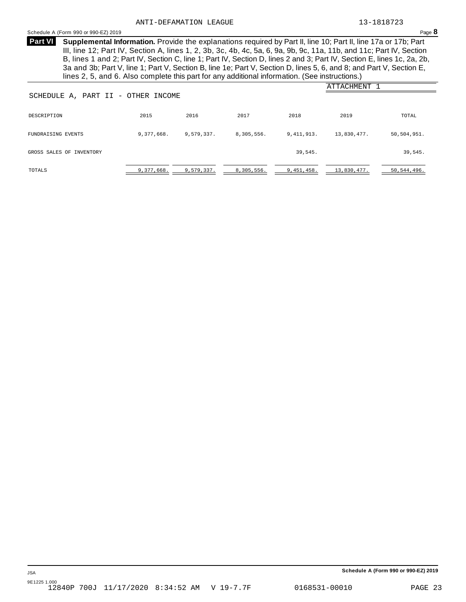### <span id="page-20-0"></span>Schedule <sup>A</sup> (Form <sup>990</sup> or 990-EZ) <sup>2019</sup> Page **8**

**Supplemental Information.** Provide the explanations required by Part II, line 10; Part II, line 17a or 17b; Part **Part VI** III, line 12; Part IV, Section A, lines 1, 2, 3b, 3c, 4b, 4c, 5a, 6, 9a, 9b, 9c, 11a, 11b, and 11c; Part IV, Section B, lines 1 and 2; Part IV, Section C, line 1; Part IV, Section D, lines 2 and 3; Part IV, Section E, lines 1c, 2a, 2b, 3a and 3b; Part V, line 1; Part V, Section B, line 1e; Part V, Section D, lines 5, 6, and 8; and Part V, Section E, lines 2, 5, and 6. Also complete this part for any additional information. (See instructions.)

| ATTACHMENT<br>SCHEDULE A, PART II - OTHER INCOME |            |            |            |            |             |               |  |  |  |  |  |
|--------------------------------------------------|------------|------------|------------|------------|-------------|---------------|--|--|--|--|--|
|                                                  |            |            |            |            |             |               |  |  |  |  |  |
| DESCRIPTION                                      | 2015       | 2016       | 2017       | 2018       | 2019        | TOTAL         |  |  |  |  |  |
| FUNDRAISING EVENTS                               | 9,377,668. | 9,579,337. | 8,305,556. | 9,411,913. | 13,830,477. | 50,504,951.   |  |  |  |  |  |
| GROSS SALES OF INVENTORY                         |            |            |            | 39,545.    |             | 39,545.       |  |  |  |  |  |
| TOTALS                                           | 9,377,668. | 9,579,337. | 8,305,556. | 9,451,458. | 13,830,477. | 50, 544, 496. |  |  |  |  |  |

**Schedule A (Form 990 or 990-EZ) 2019**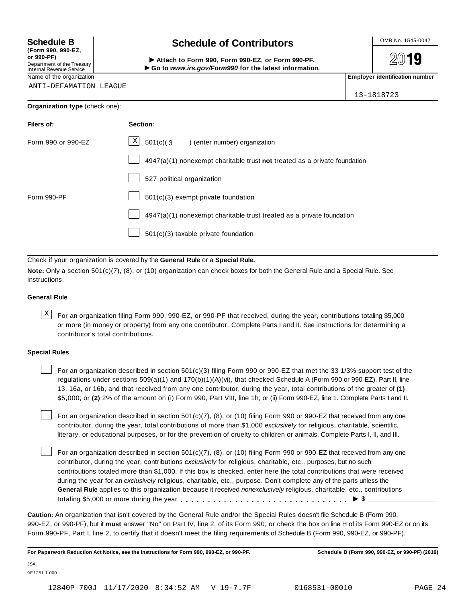**(Form 990, 990-EZ, or 990-PF)** Department of the Treasury<br>Internal Revenue Service

### **Schedule B chedule of Contributors**

(Point issue, sub-EZ,<br>Department of the Treasury internal Revenue Service<br>Department of the Treasury internal Revenue Service internal Revenue Service internal Revenue Service internal<br>Name of the organization internal Re

2019

13-1818723

ANTI-DEFAMATION LEAGUE

| Organization type (check one): |
|--------------------------------|
|--------------------------------|

| <b>Filers of:</b>  | Section:                                                                  |
|--------------------|---------------------------------------------------------------------------|
| Form 990 or 990-EZ | $\mathbf{X}$<br>$501(c)$ (3<br>enter number) organization                 |
|                    | 4947(a)(1) nonexempt charitable trust not treated as a private foundation |
|                    | 527 political organization                                                |
| Form 990-PF        | 501(c)(3) exempt private foundation                                       |
|                    | 4947(a)(1) nonexempt charitable trust treated as a private foundation     |
|                    | 501(c)(3) taxable private foundation                                      |
|                    |                                                                           |

Check if your organization is covered by the **General Rule** or a **Special Rule.**

**Note:** Only a section 501(c)(7), (8), or (10) organization can check boxes for both the General Rule and a Special Rule. See instructions.

### **General Rule**

 $\overline{X}$  For an organization filing Form 990, 990-EZ, or 990-PF that received, during the year, contributions totaling \$5,000 or more (in money or property) from any one contributor. Complete Parts I and II. See instructions for determining a contributor's total contributions.

### **Special Rules**

For an organization described in section 501(c)(3) filing Form 990 or 990-EZ that met the 33 1/3% support test of the regulations under sections 509(a)(1) and 170(b)(1)(A)(vi), that checked Schedule A (Form 990 or 990-EZ), Part II, line 13, 16a, or 16b, and that received from any one contributor, during the year, total contributions of the greater of **(1)** \$5,000; or **(2)** 2% of the amount on (i) Form 990, Part VIII, line 1h; or (ii) Form 990-EZ, line 1. Complete Parts I and II.

For an organization described in section 501(c)(7), (8), or (10) filing Form 990 or 990-EZ that received from any one contributor, during the year, total contributions of more than \$1,000 *exclusively* for religious, charitable, scientific, literary, or educational purposes, or for the prevention of cruelty to children or animals. Complete Parts I, II, and III.

For an organization described in section 501(c)(7), (8), or (10) filing Form 990 or 990-EZ that received from any one contributor, during the year, contributions *exclusively* for religious, charitable, etc., purposes, but no such contributions totaled more than \$1,000. If this box is checked, enter here the total contributions that were received during the year for an *exclusively* religious, charitable, etc., purpose. Don't complete any of the parts unless the **General Rule** applies to this organization because it received *nonexclusively* religious, charitable, etc., contributions totaling \$5,000 or more during the year m m m m m m m m m m m m m m m m m m m m m m m m m m m m m m m I \$

**Caution:** An organization that isn't covered by the General Rule and/or the Special Rules doesn't file Schedule B (Form 990, 990-EZ, or 990-PF), but it **must** answer "No" on Part IV, line 2, of its Form 990; or check the box on line H of its Form 990-EZ or on its Form 990-PF, Part I, line 2, to certify that it doesn't meet the filing requirements of Schedule B (Form 990, 990-EZ, or 990-PF).

For Paperwork Reduction Act Notice, see the instructions for Form 990, 990-EZ, or 990-PF. Schedule B (Form 990, 990-EZ, or 990-PF) (2019)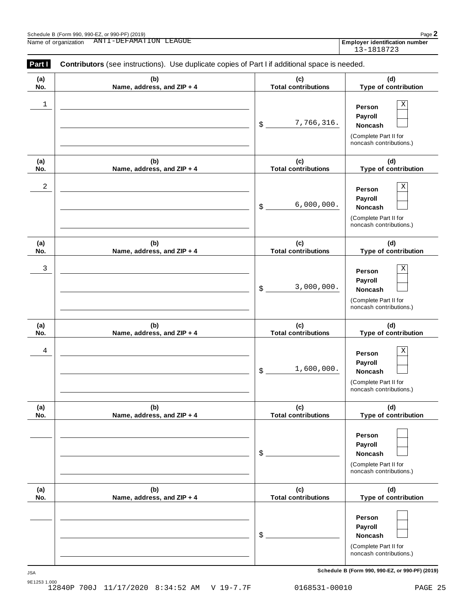|                                   | 6,000,000.<br>\$                  | <b>Payroll</b><br><b>Noncash</b><br>(Complete Part II for<br>noncash contributions.)         |
|-----------------------------------|-----------------------------------|----------------------------------------------------------------------------------------------|
| (b)<br>Name, address, and ZIP + 4 | (c)<br><b>Total contributions</b> | (d)<br>Type of contribution                                                                  |
|                                   | 3,000,000.<br>\$                  | Χ<br>Person<br>Payroll<br><b>Noncash</b><br>(Complete Part II for<br>noncash contributions.) |
| (b)                               | (c)                               | (d)<br>Type of contribution                                                                  |
|                                   | 1,600,000.<br>\$                  | Χ<br>Person<br>Payroll<br><b>Noncash</b><br>(Complete Part II for<br>noncash contributions.) |
| (b)<br>Name, address, and ZIP + 4 | (c)<br><b>Total contributions</b> | (d)<br>Type of contribution                                                                  |
|                                   | \$                                | Person<br>Payroll<br>Noncash<br>(Complete Part II for<br>noncash contributions.)             |
| (b)<br>Name, address, and ZIP + 4 | (c)<br><b>Total contributions</b> | (d)<br>Type of contribution                                                                  |
|                                   | \$                                | Person<br>Payroll<br>Noncash<br>(Complete Part II for<br>noncash contributions.)             |
|                                   | Name, address, and ZIP + 4        | <b>Total contributions</b>                                                                   |

**(a) No.**

**(a) No.**

**Part <b>I** Contributors (see instructions). Use duplicate copies of Part I if additional space is needed.

 $1$  **person**  $X$ 

2  $\vert$  **person**  $\vert$  **X** 

**(b) Name, address, and ZIP + 4**

**(b) Name, address, and ZIP + 4** **Person Payroll**

**Person**

(Complete Part II for noncash contributions.)

**(d) Type of contribution**

**(d) Type of contribution**

**(c) Total contributions**

**(c) Total contributions**

\$ **Noncash** 7,766,316.

 $\overline{\phantom{0}}$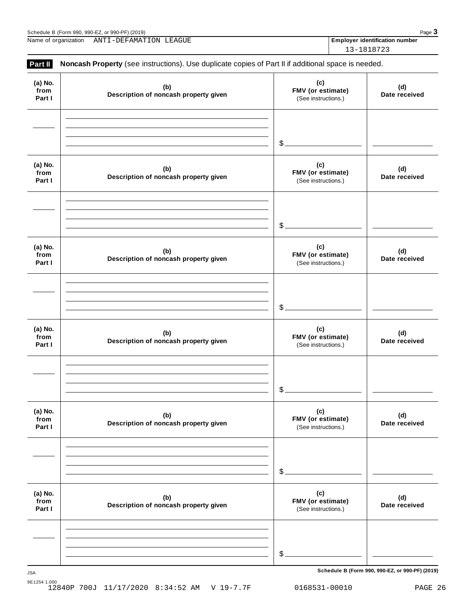| Name of organization   ANTI-DEFAMATION LEAGUE |
|-----------------------------------------------|
|-----------------------------------------------|

Name of organization **Employer identification number** 13-1818723

| Part II                   | Noncash Property (see instructions). Use duplicate copies of Part II if additional space is needed. |                                                 |                      |
|---------------------------|-----------------------------------------------------------------------------------------------------|-------------------------------------------------|----------------------|
| (a) No.<br>from<br>Part I | (b)<br>Description of noncash property given                                                        | (c)<br>FMV (or estimate)<br>(See instructions.) | (d)<br>Date received |
|                           |                                                                                                     | $$^{\circ}$                                     |                      |
| (a) No.<br>from<br>Part I | (b)<br>Description of noncash property given                                                        | (c)<br>FMV (or estimate)<br>(See instructions.) | (d)<br>Date received |
|                           |                                                                                                     | $\frac{2}{2}$                                   |                      |
| (a) No.<br>from<br>Part I | (b)<br>Description of noncash property given                                                        | (c)<br>FMV (or estimate)<br>(See instructions.) | (d)<br>Date received |
|                           |                                                                                                     | $\frac{2}{2}$                                   |                      |
| (a) No.<br>from<br>Part I | (b)<br>Description of noncash property given                                                        | (c)<br>FMV (or estimate)<br>(See instructions.) | (d)<br>Date received |
|                           |                                                                                                     | \$                                              |                      |
| (a) No.<br>from<br>Part I | (b)<br>Description of noncash property given                                                        | (c)<br>FMV (or estimate)<br>(See instructions.) | (d)<br>Date received |
|                           |                                                                                                     | \$                                              |                      |
| (a) No.<br>from<br>Part I | (b)<br>Description of noncash property given                                                        | (c)<br>FMV (or estimate)<br>(See instructions.) | (d)<br>Date received |
|                           |                                                                                                     |                                                 |                      |
|                           |                                                                                                     | \$                                              |                      |

**Schedule B (Form 990, 990-EZ, or 990-PF) (2019)** JSA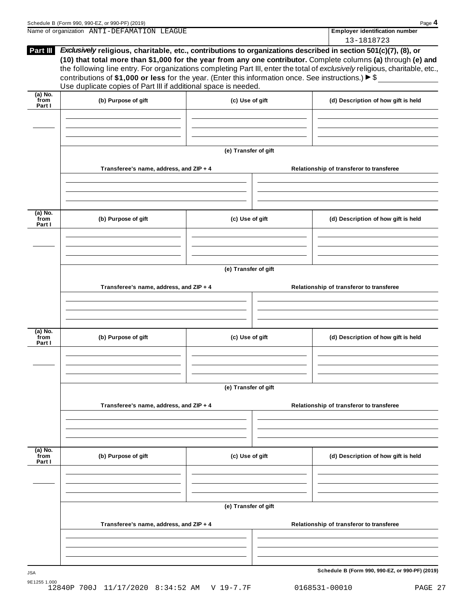| Schedule B (Form 990, 990-EZ, or 990-PF) (2019) |                                       | Page 4 |
|-------------------------------------------------|---------------------------------------|--------|
| Name of organization ANTI-DEFAMATION LEAGUE     | <b>Employer identification number</b> |        |
|                                                 | 13-1818723                            |        |

| Part III                    | Exclusively religious, charitable, etc., contributions to organizations described in section 501(c)(7), (8), or<br>(10) that total more than \$1,000 for the year from any one contributor. Complete columns (a) through (e) and<br>the following line entry. For organizations completing Part III, enter the total of exclusively religious, charitable, etc.,<br>contributions of \$1,000 or less for the year. (Enter this information once. See instructions.) $\triangleright$ \$<br>Use duplicate copies of Part III if additional space is needed. |                      |                                                 |  |  |
|-----------------------------|------------------------------------------------------------------------------------------------------------------------------------------------------------------------------------------------------------------------------------------------------------------------------------------------------------------------------------------------------------------------------------------------------------------------------------------------------------------------------------------------------------------------------------------------------------|----------------------|-------------------------------------------------|--|--|
| $(a)$ No.<br>from<br>Part I | (b) Purpose of gift                                                                                                                                                                                                                                                                                                                                                                                                                                                                                                                                        | (c) Use of gift      | (d) Description of how gift is held             |  |  |
|                             |                                                                                                                                                                                                                                                                                                                                                                                                                                                                                                                                                            | (e) Transfer of gift |                                                 |  |  |
|                             | Transferee's name, address, and ZIP + 4                                                                                                                                                                                                                                                                                                                                                                                                                                                                                                                    |                      | Relationship of transferor to transferee        |  |  |
| $(a)$ No.<br>from<br>Part I | (b) Purpose of gift                                                                                                                                                                                                                                                                                                                                                                                                                                                                                                                                        | (c) Use of gift      | (d) Description of how gift is held             |  |  |
|                             | (e) Transfer of gift<br>Transferee's name, address, and ZIP + 4                                                                                                                                                                                                                                                                                                                                                                                                                                                                                            |                      | Relationship of transferor to transferee        |  |  |
| $(a)$ No.<br>from<br>Part I | (b) Purpose of gift                                                                                                                                                                                                                                                                                                                                                                                                                                                                                                                                        | (c) Use of gift      | (d) Description of how gift is held             |  |  |
|                             | (e) Transfer of gift<br>Transferee's name, address, and ZIP + 4                                                                                                                                                                                                                                                                                                                                                                                                                                                                                            |                      | Relationship of transferor to transferee        |  |  |
| (a) No.<br>from<br>Part I   | (b) Purpose of gift                                                                                                                                                                                                                                                                                                                                                                                                                                                                                                                                        | (c) Use of gift      | (d) Description of how gift is held             |  |  |
|                             | (e) Transfer of gift                                                                                                                                                                                                                                                                                                                                                                                                                                                                                                                                       |                      |                                                 |  |  |
|                             | Transferee's name, address, and ZIP + 4                                                                                                                                                                                                                                                                                                                                                                                                                                                                                                                    |                      | Relationship of transferor to transferee        |  |  |
| <b>JSA</b>                  |                                                                                                                                                                                                                                                                                                                                                                                                                                                                                                                                                            |                      | Schedule B (Form 990, 990-EZ, or 990-PF) (2019) |  |  |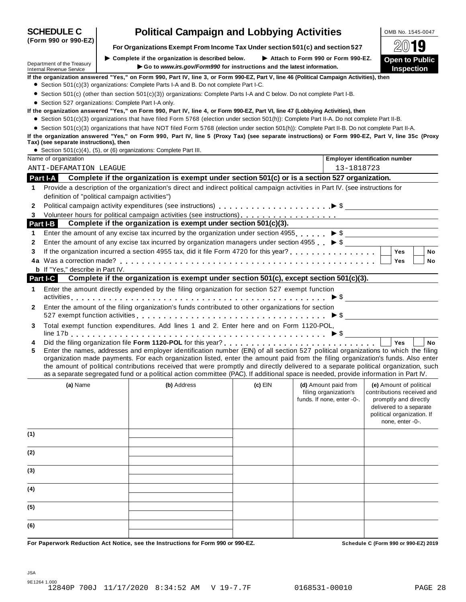|                                                               |                                                                                                                          |                                                                                                                                                                                                                                                                                                                                                                                                                                                                                                                                                      |           |                                                                             | (C) IV                                                                                                                                                      |  |  |  |
|---------------------------------------------------------------|--------------------------------------------------------------------------------------------------------------------------|------------------------------------------------------------------------------------------------------------------------------------------------------------------------------------------------------------------------------------------------------------------------------------------------------------------------------------------------------------------------------------------------------------------------------------------------------------------------------------------------------------------------------------------------------|-----------|-----------------------------------------------------------------------------|-------------------------------------------------------------------------------------------------------------------------------------------------------------|--|--|--|
| Department of the Treasury<br><b>Internal Revenue Service</b> |                                                                                                                          | $\blacktriangleright$ Complete if the organization is described below.<br>Go to www.irs.gov/Form990 for instructions and the latest information.                                                                                                                                                                                                                                                                                                                                                                                                     |           | Attach to Form 990 or Form 990-EZ.                                          | <b>Open to Public</b><br><b>Inspection</b>                                                                                                                  |  |  |  |
|                                                               |                                                                                                                          | If the organization answered "Yes," on Form 990, Part IV, line 3, or Form 990-EZ, Part V, line 46 (Political Campaign Activities), then                                                                                                                                                                                                                                                                                                                                                                                                              |           |                                                                             |                                                                                                                                                             |  |  |  |
|                                                               |                                                                                                                          | • Section 501(c)(3) organizations: Complete Parts I-A and B. Do not complete Part I-C.                                                                                                                                                                                                                                                                                                                                                                                                                                                               |           |                                                                             |                                                                                                                                                             |  |  |  |
|                                                               | • Section 501(c) (other than section 501(c)(3)) organizations: Complete Parts I-A and C below. Do not complete Part I-B. |                                                                                                                                                                                                                                                                                                                                                                                                                                                                                                                                                      |           |                                                                             |                                                                                                                                                             |  |  |  |
| • Section 527 organizations: Complete Part I-A only.          |                                                                                                                          |                                                                                                                                                                                                                                                                                                                                                                                                                                                                                                                                                      |           |                                                                             |                                                                                                                                                             |  |  |  |
|                                                               |                                                                                                                          | If the organization answered "Yes," on Form 990, Part IV, line 4, or Form 990-EZ, Part VI, line 47 (Lobbying Activities), then<br>• Section 501(c)(3) organizations that have filed Form 5768 (election under section 501(h)): Complete Part II-A. Do not complete Part II-B.                                                                                                                                                                                                                                                                        |           |                                                                             |                                                                                                                                                             |  |  |  |
|                                                               |                                                                                                                          | • Section 501(c)(3) organizations that have NOT filed Form 5768 (election under section 501(h)): Complete Part II-B. Do not complete Part II-A.                                                                                                                                                                                                                                                                                                                                                                                                      |           |                                                                             |                                                                                                                                                             |  |  |  |
|                                                               |                                                                                                                          | If the organization answered "Yes," on Form 990, Part IV, line 5 (Proxy Tax) (see separate instructions) or Form 990-EZ, Part V, line 35c (Proxy                                                                                                                                                                                                                                                                                                                                                                                                     |           |                                                                             |                                                                                                                                                             |  |  |  |
| Tax) (see separate instructions), then                        |                                                                                                                          |                                                                                                                                                                                                                                                                                                                                                                                                                                                                                                                                                      |           |                                                                             |                                                                                                                                                             |  |  |  |
|                                                               |                                                                                                                          | • Section $501(c)(4)$ , $(5)$ , or $(6)$ organizations: Complete Part III.                                                                                                                                                                                                                                                                                                                                                                                                                                                                           |           |                                                                             |                                                                                                                                                             |  |  |  |
| Name of organization                                          |                                                                                                                          |                                                                                                                                                                                                                                                                                                                                                                                                                                                                                                                                                      |           |                                                                             | Employer identification number                                                                                                                              |  |  |  |
| ANTI-DEFAMATION LEAGUE                                        |                                                                                                                          |                                                                                                                                                                                                                                                                                                                                                                                                                                                                                                                                                      |           | 13-1818723                                                                  |                                                                                                                                                             |  |  |  |
| Part I-A                                                      |                                                                                                                          | Complete if the organization is exempt under section 501(c) or is a section 527 organization.                                                                                                                                                                                                                                                                                                                                                                                                                                                        |           |                                                                             |                                                                                                                                                             |  |  |  |
| 1                                                             |                                                                                                                          | Provide a description of the organization's direct and indirect political campaign activities in Part IV. (see instructions for                                                                                                                                                                                                                                                                                                                                                                                                                      |           |                                                                             |                                                                                                                                                             |  |  |  |
| definition of "political campaign activities")                |                                                                                                                          |                                                                                                                                                                                                                                                                                                                                                                                                                                                                                                                                                      |           |                                                                             |                                                                                                                                                             |  |  |  |
| 2                                                             |                                                                                                                          | Political campaign activity expenditures (see instructions) $\bullet \bullet \bullet$ $\bullet \bullet$ $\bullet \bullet$ $\bullet$ $\bullet$ $\bullet$ $\bullet$                                                                                                                                                                                                                                                                                                                                                                                    |           |                                                                             |                                                                                                                                                             |  |  |  |
| 3                                                             |                                                                                                                          |                                                                                                                                                                                                                                                                                                                                                                                                                                                                                                                                                      |           |                                                                             |                                                                                                                                                             |  |  |  |
| Part I-B                                                      |                                                                                                                          | Complete if the organization is exempt under section 501(c)(3).                                                                                                                                                                                                                                                                                                                                                                                                                                                                                      |           |                                                                             |                                                                                                                                                             |  |  |  |
| 1                                                             |                                                                                                                          | Enter the amount of any excise tax incurred by the organization under section 4955. $\triangleright$ \$                                                                                                                                                                                                                                                                                                                                                                                                                                              |           |                                                                             |                                                                                                                                                             |  |  |  |
| 2                                                             |                                                                                                                          | Enter the amount of any excise tax incurred by organization managers under section 4955 $\triangleright$ \$                                                                                                                                                                                                                                                                                                                                                                                                                                          |           |                                                                             |                                                                                                                                                             |  |  |  |
| 3                                                             |                                                                                                                          |                                                                                                                                                                                                                                                                                                                                                                                                                                                                                                                                                      |           |                                                                             | <b>Yes</b><br><b>No</b>                                                                                                                                     |  |  |  |
|                                                               |                                                                                                                          |                                                                                                                                                                                                                                                                                                                                                                                                                                                                                                                                                      |           |                                                                             | Yes<br>No                                                                                                                                                   |  |  |  |
| <b>b</b> If "Yes," describe in Part IV.                       |                                                                                                                          |                                                                                                                                                                                                                                                                                                                                                                                                                                                                                                                                                      |           |                                                                             |                                                                                                                                                             |  |  |  |
| Part I-C                                                      |                                                                                                                          | Complete if the organization is exempt under section 501(c), except section 501(c)(3).                                                                                                                                                                                                                                                                                                                                                                                                                                                               |           |                                                                             |                                                                                                                                                             |  |  |  |
| 1                                                             |                                                                                                                          | Enter the amount directly expended by the filing organization for section 527 exempt function                                                                                                                                                                                                                                                                                                                                                                                                                                                        |           |                                                                             |                                                                                                                                                             |  |  |  |
| 2                                                             |                                                                                                                          | Enter the amount of the filing organization's funds contributed to other organizations for section                                                                                                                                                                                                                                                                                                                                                                                                                                                   |           |                                                                             | $\triangleright$ \$                                                                                                                                         |  |  |  |
| 3                                                             |                                                                                                                          | Total exempt function expenditures. Add lines 1 and 2. Enter here and on Form 1120-POL,                                                                                                                                                                                                                                                                                                                                                                                                                                                              |           |                                                                             |                                                                                                                                                             |  |  |  |
| 4                                                             |                                                                                                                          |                                                                                                                                                                                                                                                                                                                                                                                                                                                                                                                                                      |           |                                                                             | <b>Yes</b><br><b>No</b>                                                                                                                                     |  |  |  |
| 5                                                             |                                                                                                                          | Enter the names, addresses and employer identification number (EIN) of all section 527 political organizations to which the filing<br>organization made payments. For each organization listed, enter the amount paid from the filing organization's funds. Also enter<br>the amount of political contributions received that were promptly and directly delivered to a separate political organization, such<br>as a separate segregated fund or a political action committee (PAC). If additional space is needed, provide information in Part IV. |           |                                                                             |                                                                                                                                                             |  |  |  |
|                                                               |                                                                                                                          |                                                                                                                                                                                                                                                                                                                                                                                                                                                                                                                                                      |           |                                                                             |                                                                                                                                                             |  |  |  |
| (a) Name                                                      |                                                                                                                          | (b) Address                                                                                                                                                                                                                                                                                                                                                                                                                                                                                                                                          | $(c)$ EIN | (d) Amount paid from<br>filing organization's<br>funds. If none, enter -0-. | (e) Amount of political<br>contributions received and<br>promptly and directly<br>delivered to a separate<br>political organization. If<br>none. enter -0-. |  |  |  |
| (1)                                                           |                                                                                                                          |                                                                                                                                                                                                                                                                                                                                                                                                                                                                                                                                                      |           |                                                                             |                                                                                                                                                             |  |  |  |
| (2)                                                           |                                                                                                                          |                                                                                                                                                                                                                                                                                                                                                                                                                                                                                                                                                      |           |                                                                             |                                                                                                                                                             |  |  |  |
| (3)                                                           |                                                                                                                          |                                                                                                                                                                                                                                                                                                                                                                                                                                                                                                                                                      |           |                                                                             |                                                                                                                                                             |  |  |  |
| (4)                                                           |                                                                                                                          |                                                                                                                                                                                                                                                                                                                                                                                                                                                                                                                                                      |           |                                                                             |                                                                                                                                                             |  |  |  |
| (5)                                                           |                                                                                                                          |                                                                                                                                                                                                                                                                                                                                                                                                                                                                                                                                                      |           |                                                                             |                                                                                                                                                             |  |  |  |
| (6)                                                           |                                                                                                                          |                                                                                                                                                                                                                                                                                                                                                                                                                                                                                                                                                      |           |                                                                             |                                                                                                                                                             |  |  |  |
|                                                               |                                                                                                                          | For Paperwork Reduction Act Notice, see the Instructions for Form 990 or 990-EZ.                                                                                                                                                                                                                                                                                                                                                                                                                                                                     |           |                                                                             | Schedule C (Form 990 or 990-EZ) 2019                                                                                                                        |  |  |  |
|                                                               |                                                                                                                          |                                                                                                                                                                                                                                                                                                                                                                                                                                                                                                                                                      |           |                                                                             |                                                                                                                                                             |  |  |  |

# **SCHEDULE C Political Campaign and Lobbying Activities**  $\frac{1 \text{ OMB NO. } 1545-0047}{2 \text{ OMB} }$

JSA

| For Organizations Exempt From Income Tax Under section 501(c) and section 527 | 2019 |
|-------------------------------------------------------------------------------|------|
|-------------------------------------------------------------------------------|------|

**(Form 990 or 990-EZ)**

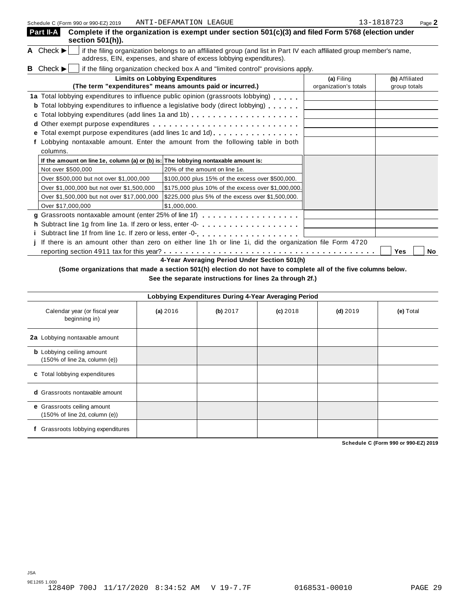| Schedule C (Form 990 or 990-EZ) 2019                                                                                     | ANTI-DEFAMATION LEAGUE                                                                                                                                                                     |                                     | 13-1818723<br>Page 2           |  |  |  |
|--------------------------------------------------------------------------------------------------------------------------|--------------------------------------------------------------------------------------------------------------------------------------------------------------------------------------------|-------------------------------------|--------------------------------|--|--|--|
| Part II-A<br>section 501(h)).                                                                                            | Complete if the organization is exempt under section 501(c)(3) and filed Form 5768 (election under                                                                                         |                                     |                                |  |  |  |
| A Check $\blacktriangleright$                                                                                            | if the filing organization belongs to an affiliated group (and list in Part IV each affiliated group member's name,<br>address, EIN, expenses, and share of excess lobbying expenditures). |                                     |                                |  |  |  |
| <b>B</b> Check $\blacktriangleright$<br>if the filing organization checked box A and "limited control" provisions apply. |                                                                                                                                                                                            |                                     |                                |  |  |  |
|                                                                                                                          | <b>Limits on Lobbying Expenditures</b><br>(The term "expenditures" means amounts paid or incurred.)                                                                                        | (a) Filing<br>organization's totals | (b) Affiliated<br>group totals |  |  |  |
|                                                                                                                          | 1a Total lobbying expenditures to influence public opinion (grassroots lobbying)<br><b>b</b> Total lobbying expenditures to influence a legislative body (direct lobbying)                 |                                     |                                |  |  |  |
|                                                                                                                          |                                                                                                                                                                                            |                                     |                                |  |  |  |
|                                                                                                                          |                                                                                                                                                                                            |                                     |                                |  |  |  |
| columns.                                                                                                                 | f Lobbying nontaxable amount. Enter the amount from the following table in both                                                                                                            |                                     |                                |  |  |  |
| If the amount on line 1e, column (a) or (b) is: The lobbying nontaxable amount is:                                       |                                                                                                                                                                                            |                                     |                                |  |  |  |
| Not over \$500,000                                                                                                       | 20% of the amount on line 1e.                                                                                                                                                              |                                     |                                |  |  |  |
| Over \$500,000 but not over \$1,000,000                                                                                  | \$100,000 plus 15% of the excess over \$500,000.                                                                                                                                           |                                     |                                |  |  |  |
| Over \$1,000,000 but not over \$1,500,000                                                                                | \$175,000 plus 10% of the excess over \$1,000,000.                                                                                                                                         |                                     |                                |  |  |  |
| Over \$1,500,000 but not over \$17,000,000                                                                               | \$225,000 plus 5% of the excess over \$1,500,000.                                                                                                                                          |                                     |                                |  |  |  |
| Over \$17,000,000                                                                                                        | \$1,000,000.                                                                                                                                                                               |                                     |                                |  |  |  |
|                                                                                                                          | g Grassroots nontaxable amount (enter 25% of line 1f)                                                                                                                                      |                                     |                                |  |  |  |
|                                                                                                                          | h Subtract line 1g from line 1a. If zero or less, enter -0-                                                                                                                                |                                     |                                |  |  |  |
|                                                                                                                          |                                                                                                                                                                                            |                                     |                                |  |  |  |
|                                                                                                                          | j If there is an amount other than zero on either line 1h or line 1i, did the organization file Form 4720                                                                                  |                                     |                                |  |  |  |
|                                                                                                                          |                                                                                                                                                                                            |                                     | Yes<br>No                      |  |  |  |
|                                                                                                                          | 4 Vest Australian Deriad Huder Continu E04(b)                                                                                                                                              |                                     |                                |  |  |  |

**4-Year Averaging Period Under Section 501(h)**

(Some organizations that made a section 501(h) election do not have to complete all of the five columns below.

**See the separate instructions for lines 2a through 2f.)**

| Lobbying Expenditures During 4-Year Averaging Period              |            |          |            |            |           |  |
|-------------------------------------------------------------------|------------|----------|------------|------------|-----------|--|
| Calendar year (or fiscal year<br>beginning in)                    | (a) $2016$ | (b) 2017 | $(c)$ 2018 | $(d)$ 2019 | (e) Total |  |
| 2a Lobbying nontaxable amount                                     |            |          |            |            |           |  |
| <b>b</b> Lobbying ceiling amount<br>(150% of line 2a, column (e)) |            |          |            |            |           |  |
| c Total lobbying expenditures                                     |            |          |            |            |           |  |
| <b>d</b> Grassroots nontaxable amount                             |            |          |            |            |           |  |
| e Grassroots ceiling amount<br>(150% of line 2d, column (e))      |            |          |            |            |           |  |
| Grassroots lobbying expenditures                                  |            |          |            |            |           |  |

**Schedule C (Form 990 or 990-EZ) 2019**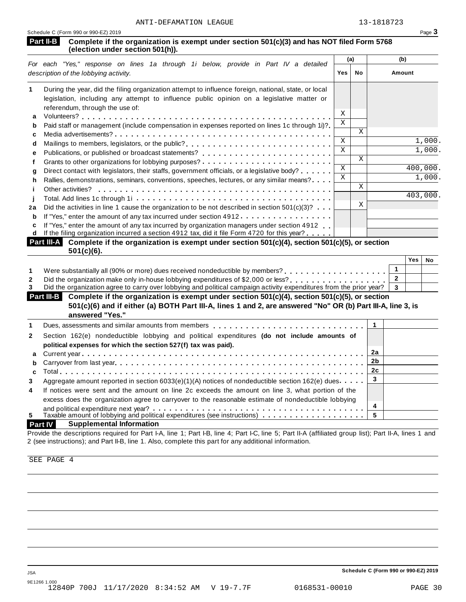| Schedule C (Form 990 or 990-EZ) 2019                                                                                                                                                                                                                                                                                          |                                        |              | 13-1818723          | Page 3             |
|-------------------------------------------------------------------------------------------------------------------------------------------------------------------------------------------------------------------------------------------------------------------------------------------------------------------------------|----------------------------------------|--------------|---------------------|--------------------|
| Part II-B<br>Complete if the organization is exempt under section 501(c)(3) and has NOT filed Form 5768<br>(election under section 501(h)).                                                                                                                                                                                   |                                        |              |                     |                    |
| For each "Yes," response on lines 1a through 1i below, provide in Part IV a detailed                                                                                                                                                                                                                                          |                                        | (a)          | (b)                 |                    |
| description of the lobbying activity.                                                                                                                                                                                                                                                                                         | Yes                                    | No           | Amount              |                    |
| During the year, did the filing organization attempt to influence foreign, national, state, or local<br>legislation, including any attempt to influence public opinion on a legislative matter or                                                                                                                             |                                        |              |                     |                    |
| referendum, through the use of:<br>a                                                                                                                                                                                                                                                                                          | Χ                                      |              |                     |                    |
| Paid staff or management (include compensation in expenses reported on lines 1c through 1i)?<br>b                                                                                                                                                                                                                             | Χ                                      |              |                     |                    |
| C                                                                                                                                                                                                                                                                                                                             |                                        | $\mathbf X$  |                     |                    |
| Mailings to members, legislators, or the public?<br>d                                                                                                                                                                                                                                                                         | $\mathbf X$                            |              |                     | 1,000.             |
| e                                                                                                                                                                                                                                                                                                                             | $\mathbf X$                            |              |                     | 1,000.             |
|                                                                                                                                                                                                                                                                                                                               |                                        | $\mathbf X$  |                     |                    |
| Direct contact with legislators, their staffs, government officials, or a legislative body?<br>g                                                                                                                                                                                                                              | $\overline{\mathbf{x}}$<br>$\mathbf X$ |              |                     | 400,000.<br>1,000. |
| Rallies, demonstrations, seminars, conventions, speeches, lectures, or any similar means?<br>h                                                                                                                                                                                                                                |                                        | $\mathbf X$  |                     |                    |
| Other activities?                                                                                                                                                                                                                                                                                                             |                                        |              |                     | 403,000.           |
|                                                                                                                                                                                                                                                                                                                               |                                        | $\mathbf X$  |                     |                    |
| Did the activities in line 1 cause the organization to be not described in section $501(c)(3)$ ?<br>2a<br>If "Yes," enter the amount of any tax incurred under section 4912                                                                                                                                                   |                                        |              |                     |                    |
| b<br>If "Yes," enter the amount of any tax incurred by organization managers under section 4912<br>c                                                                                                                                                                                                                          |                                        |              |                     |                    |
| If the filing organization incurred a section 4912 tax, did it file Form 4720 for this year?<br>d                                                                                                                                                                                                                             |                                        |              |                     |                    |
| Part III-A Complete if the organization is exempt under section $501(c)(4)$ , section $501(c)(5)$ , or section<br>$501(c)(6)$ .                                                                                                                                                                                               |                                        |              |                     |                    |
|                                                                                                                                                                                                                                                                                                                               |                                        |              |                     | Yes<br><b>No</b>   |
|                                                                                                                                                                                                                                                                                                                               |                                        |              |                     |                    |
| Were substantially all (90% or more) dues received nondeductible by members?                                                                                                                                                                                                                                                  |                                        |              | $\mathbf{1}$        |                    |
| Did the organization make only in-house lobbying expenditures of \$2,000 or less?<br>Did the organization agree to carry over lobbying and political campaign activity expenditures from the prior year?                                                                                                                      |                                        |              | $\overline{2}$<br>3 |                    |
| Part III-B Complete if the organization is exempt under section 501(c)(4), section 501(c)(5), or section<br>501(c)(6) and if either (a) BOTH Part III-A, lines 1 and 2, are answered "No" OR (b) Part III-A, line 3, is                                                                                                       |                                        |              |                     |                    |
| answered "Yes."                                                                                                                                                                                                                                                                                                               |                                        |              |                     |                    |
| Dues, assessments and similar amounts from members quaragetic property assessments and similar members of the state of the state of the state of the state of the state of the state of the state of the state of the state of<br>Section 162(e) nondeductible lobbying and political expenditures (do not include amounts of |                                        | $\mathbf{1}$ |                     |                    |
| political expenses for which the section 527(f) tax was paid).                                                                                                                                                                                                                                                                |                                        |              |                     |                    |
|                                                                                                                                                                                                                                                                                                                               |                                        | 2a           |                     |                    |
|                                                                                                                                                                                                                                                                                                                               |                                        | 2b           |                     |                    |
|                                                                                                                                                                                                                                                                                                                               |                                        | 2c           |                     |                    |
| Aggregate amount reported in section $6033(e)(1)(A)$ notices of nondeductible section $162(e)$ dues $\cdots$                                                                                                                                                                                                                  |                                        | 3            |                     |                    |
| If notices were sent and the amount on line 2c exceeds the amount on line 3, what portion of the                                                                                                                                                                                                                              |                                        |              |                     |                    |
| excess does the organization agree to carryover to the reasonable estimate of nondeductible lobbying                                                                                                                                                                                                                          |                                        | 4            |                     |                    |
| а<br>b<br>C                                                                                                                                                                                                                                                                                                                   |                                        | 5            |                     |                    |
| <b>Supplemental Information</b><br><b>Part IV</b>                                                                                                                                                                                                                                                                             |                                        |              |                     |                    |
| Provide the descriptions required for Part I-A, line 1; Part I-B, line 4; Part I-C, line 5; Part II-A (affiliated group list); Part II-A, lines 1 and<br>2 (see instructions); and Part II-B, line 1. Also, complete this part for any additional information.                                                                |                                        |              |                     |                    |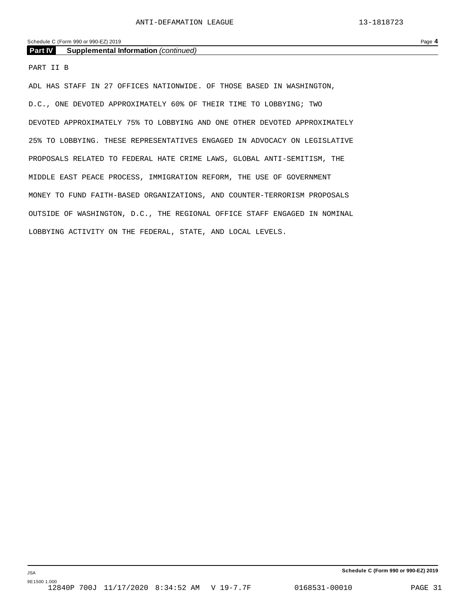### Schedule C (Form 990 or 990-EZ) 2019 Page **4**

### **Part IV Supplemental Information** *(continued)*

### PART II B

ADL HAS STAFF IN 27 OFFICES NATIONWIDE. OF THOSE BASED IN WASHINGTON, D.C., ONE DEVOTED APPROXIMATELY 60% OF THEIR TIME TO LOBBYING; TWO DEVOTED APPROXIMATELY 75% TO LOBBYING AND ONE OTHER DEVOTED APPROXIMATELY 25% TO LOBBYING. THESE REPRESENTATIVES ENGAGED IN ADVOCACY ON LEGISLATIVE PROPOSALS RELATED TO FEDERAL HATE CRIME LAWS, GLOBAL ANTI-SEMITISM, THE MIDDLE EAST PEACE PROCESS, IMMIGRATION REFORM, THE USE OF GOVERNMENT MONEY TO FUND FAITH-BASED ORGANIZATIONS, AND COUNTER-TERRORISM PROPOSALS OUTSIDE OF WASHINGTON, D.C., THE REGIONAL OFFICE STAFF ENGAGED IN NOMINAL LOBBYING ACTIVITY ON THE FEDERAL, STATE, AND LOCAL LEVELS.

**Schedule C (Form 990 or 990-EZ) 2019**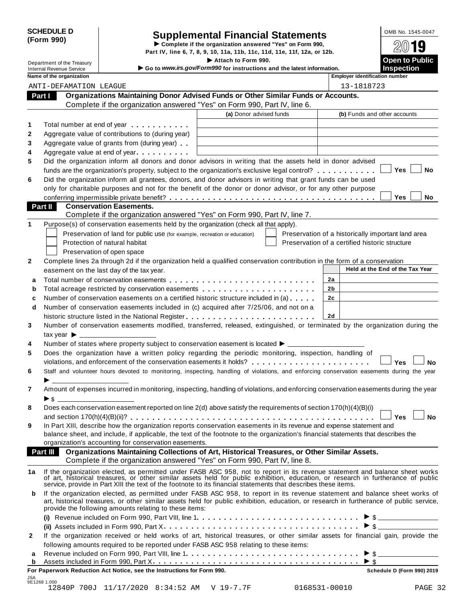| <b>SCHEDULE D</b> |  |
|-------------------|--|
| (Form 990)        |  |

# SCHEDULE D<br>
Supplemental Financial Statements<br>
Form 990) Part IV, line 6, 7, 8, 9, 10, 11a, 11b, 11c, 11d, 11e, 11f, 12a, or 12b.

Department of the Treasury **I Attach 1990.** The S. 7, 8, 9, 10, 11a, 11b, 11c, 11d, 11e, 11f, 12a, or 12b.<br> **Department of the Treasury Inches Containery Containery Containery Containery Containery Containery** 

**Example 1 Bookstand Revenue Service** I **Consumersed Consumersed Consumersed Consumersed Consumersed Consumersed Consumersed Consumersed Consumersed Consumersed Consumersed Consumersed Consumersed Consumersed Consumersed Name of the organization in the set of the organization in the set of the set of the organization in the set of the organization in the set of the organization in the set of the organization in the set of the** 

|               | ANTI-DEFAMATION LEAGUE                 |
|---------------|----------------------------------------|
| <b>Part I</b> | <b>Organizations Maintaining Donor</b> |
|               | Complete if the organization answe     |

|                                                                                                                                                                                                                                                     | 13-1818723                                         |
|-----------------------------------------------------------------------------------------------------------------------------------------------------------------------------------------------------------------------------------------------------|----------------------------------------------------|
| Organizations Maintaining Donor Advised Funds or Other Similar Funds or Accounts.<br>Part I                                                                                                                                                         |                                                    |
| Complete if the organization answered "Yes" on Form 990, Part IV, line 6.                                                                                                                                                                           |                                                    |
| (a) Donor advised funds                                                                                                                                                                                                                             | (b) Funds and other accounts                       |
| 1<br>Total number at end of year                                                                                                                                                                                                                    |                                                    |
| Aggregate value of contributions to (during year)<br>2                                                                                                                                                                                              |                                                    |
| Aggregate value of grants from (during year)<br>3                                                                                                                                                                                                   |                                                    |
| 4<br>Aggregate value at end of year                                                                                                                                                                                                                 |                                                    |
| Did the organization inform all donors and donor advisors in writing that the assets held in donor advised<br>5                                                                                                                                     |                                                    |
| funds are the organization's property, subject to the organization's exclusive legal control?                                                                                                                                                       | <b>Yes</b><br>No                                   |
| 6<br>Did the organization inform all grantees, donors, and donor advisors in writing that grant funds can be used                                                                                                                                   |                                                    |
| only for charitable purposes and not for the benefit of the donor or donor advisor, or for any other purpose                                                                                                                                        |                                                    |
|                                                                                                                                                                                                                                                     | <b>Yes</b><br>No                                   |
| Part II<br><b>Conservation Easements.</b>                                                                                                                                                                                                           |                                                    |
| Complete if the organization answered "Yes" on Form 990, Part IV, line 7.                                                                                                                                                                           |                                                    |
| 1<br>Purpose(s) of conservation easements held by the organization (check all that apply).                                                                                                                                                          |                                                    |
| Preservation of land for public use (for example, recreation or education)                                                                                                                                                                          | Preservation of a historically important land area |
| Protection of natural habitat                                                                                                                                                                                                                       | Preservation of a certified historic structure     |
| Preservation of open space                                                                                                                                                                                                                          |                                                    |
| 2<br>Complete lines 2a through 2d if the organization held a qualified conservation contribution in the form of a conservation                                                                                                                      |                                                    |
| easement on the last day of the tax year.                                                                                                                                                                                                           | Held at the End of the Tax Year                    |
| a                                                                                                                                                                                                                                                   | 2a                                                 |
| Total acreage restricted by conservation easements<br>b                                                                                                                                                                                             | 2b                                                 |
| Number of conservation easements on a certified historic structure included in (a)<br>c                                                                                                                                                             | 2с                                                 |
| Number of conservation easements included in (c) acquired after 7/25/06, and not on a<br>d                                                                                                                                                          |                                                    |
|                                                                                                                                                                                                                                                     | 2d                                                 |
| Number of conservation easements modified, transferred, released, extinguished, or terminated by the organization during the                                                                                                                        |                                                    |
| tax year $\blacktriangleright$ ____                                                                                                                                                                                                                 |                                                    |
|                                                                                                                                                                                                                                                     |                                                    |
| Number of states where property subject to conservation easement is located $\blacktriangleright$ _____                                                                                                                                             |                                                    |
| Does the organization have a written policy regarding the periodic monitoring, inspection, handling of                                                                                                                                              |                                                    |
|                                                                                                                                                                                                                                                     | Yes<br>No                                          |
| Staff and volunteer hours devoted to monitoring, inspecting, handling of violations, and enforcing conservation easements during the year                                                                                                           |                                                    |
|                                                                                                                                                                                                                                                     |                                                    |
| Amount of expenses incurred in monitoring, inspecting, handling of violations, and enforcing conservation easements during the year                                                                                                                 |                                                    |
| ► \$                                                                                                                                                                                                                                                |                                                    |
| Does each conservation easement reported on line 2(d) above satisfy the requirements of section 170(h)(4)(B)(i)                                                                                                                                     |                                                    |
|                                                                                                                                                                                                                                                     | Yes<br>No                                          |
| In Part XIII, describe how the organization reports conservation easements in its revenue and expense statement and                                                                                                                                 |                                                    |
| balance sheet, and include, if applicable, the text of the footnote to the organization's financial statements that describes the                                                                                                                   |                                                    |
| organization's accounting for conservation easements.                                                                                                                                                                                               |                                                    |
| Organizations Maintaining Collections of Art, Historical Treasures, or Other Similar Assets.                                                                                                                                                        |                                                    |
| Complete if the organization answered "Yes" on Form 990, Part IV, line 8.                                                                                                                                                                           |                                                    |
| If the organization elected, as permitted under FASB ASC 958, not to report in its revenue statement and balance sheet works                                                                                                                        |                                                    |
| of art, historical treasures, or other similar assets held for public exhibition, education, or research in furtherance of public<br>service, provide in Part XIII the text of the footnote to its financial statements that describes these items. |                                                    |
| If the organization elected, as permitted under FASB ASC 958, to report in its revenue statement and balance sheet works of                                                                                                                         |                                                    |
| art, historical treasures, or other similar assets held for public exhibition, education, or research in furtherance of public service,                                                                                                             |                                                    |
| provide the following amounts relating to these items:                                                                                                                                                                                              |                                                    |
|                                                                                                                                                                                                                                                     |                                                    |
|                                                                                                                                                                                                                                                     |                                                    |
| If the organization received or held works of art, historical treasures, or other similar assets for financial gain, provide the                                                                                                                    |                                                    |
| 4<br>5<br>6<br>7<br>8<br>9<br>Part III<br>1a<br>b<br>2<br>following amounts required to be reported under FASB ASC 958 relating to these items:                                                                                                     |                                                    |
| а<br>b                                                                                                                                                                                                                                              |                                                    |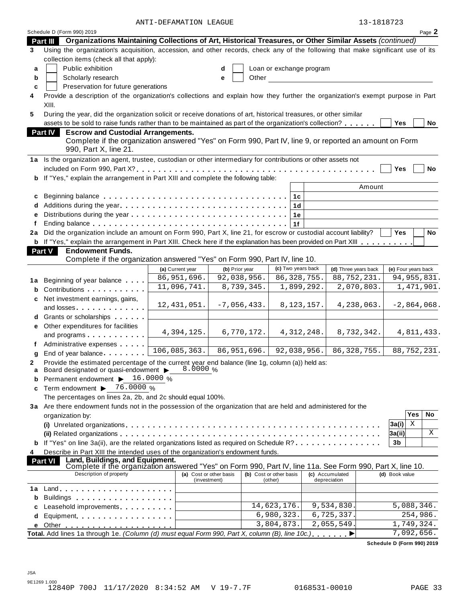ANTI-DEFAMATION LEAGUE

| 13-1818723 |  |
|------------|--|
|------------|--|

|    |                                                                                                                                                              | ANII-DEFAMATION LEAGUE                  |                |               |                                    |              |                                 | T3-T8T8123 |                            |                             |
|----|--------------------------------------------------------------------------------------------------------------------------------------------------------------|-----------------------------------------|----------------|---------------|------------------------------------|--------------|---------------------------------|------------|----------------------------|-----------------------------|
|    | Schedule D (Form 990) 2019                                                                                                                                   |                                         |                |               |                                    |              |                                 |            |                            | Page 2                      |
|    | Organizations Maintaining Collections of Art, Historical Treasures, or Other Similar Assets (continued)<br>Part III                                          |                                         |                |               |                                    |              |                                 |            |                            |                             |
| 3  | Using the organization's acquisition, accession, and other records, check any of the following that make significant use of its                              |                                         |                |               |                                    |              |                                 |            |                            |                             |
|    | collection items (check all that apply):                                                                                                                     |                                         |                |               |                                    |              |                                 |            |                            |                             |
| a  | Public exhibition                                                                                                                                            |                                         | d              |               | Loan or exchange program           |              |                                 |            |                            |                             |
| b  | Scholarly research                                                                                                                                           |                                         | е              | Other         |                                    |              |                                 |            |                            |                             |
| C  | Preservation for future generations                                                                                                                          |                                         |                |               |                                    |              |                                 |            |                            |                             |
| 4  | Provide a description of the organization's collections and explain how they further the organization's exempt purpose in Part                               |                                         |                |               |                                    |              |                                 |            |                            |                             |
|    | XIII.                                                                                                                                                        |                                         |                |               |                                    |              |                                 |            |                            |                             |
| 5  | During the year, did the organization solicit or receive donations of art, historical treasures, or other similar                                            |                                         |                |               |                                    |              |                                 |            |                            |                             |
|    | assets to be sold to raise funds rather than to be maintained as part of the organization's collection?                                                      |                                         |                |               |                                    |              |                                 |            | Yes                        | No                          |
|    | <b>Part IV</b><br><b>Escrow and Custodial Arrangements.</b>                                                                                                  |                                         |                |               |                                    |              |                                 |            |                            |                             |
|    | Complete if the organization answered "Yes" on Form 990, Part IV, line 9, or reported an amount on Form<br>990, Part X, line 21.                             |                                         |                |               |                                    |              |                                 |            |                            |                             |
|    | 1a Is the organization an agent, trustee, custodian or other intermediary for contributions or other assets not                                              |                                         |                |               |                                    |              |                                 |            |                            |                             |
|    |                                                                                                                                                              |                                         |                |               |                                    |              |                                 |            | Yes                        | <b>No</b>                   |
| b  | If "Yes," explain the arrangement in Part XIII and complete the following table:                                                                             |                                         |                |               |                                    |              |                                 |            |                            |                             |
|    |                                                                                                                                                              |                                         |                |               |                                    |              |                                 | Amount     |                            |                             |
| c  |                                                                                                                                                              |                                         |                |               | 1с                                 |              |                                 |            |                            |                             |
|    |                                                                                                                                                              |                                         |                |               | 1 <sub>d</sub>                     |              |                                 |            |                            |                             |
| e  |                                                                                                                                                              |                                         |                |               | 1е                                 |              |                                 |            |                            |                             |
| f  |                                                                                                                                                              |                                         |                |               | 1f                                 |              |                                 |            |                            |                             |
| 2a | Did the organization include an amount on Form 990, Part X, line 21, for escrow or custodial account liability?                                              |                                         |                |               |                                    |              |                                 |            | <b>Yes</b>                 | <b>No</b>                   |
|    | b If "Yes," explain the arrangement in Part XIII. Check here if the explanation has been provided on Part XIII                                               |                                         |                |               |                                    |              |                                 |            |                            |                             |
|    | Part V<br><b>Endowment Funds.</b>                                                                                                                            |                                         |                |               |                                    |              |                                 |            |                            |                             |
|    | Complete if the organization answered "Yes" on Form 990, Part IV, line 10.                                                                                   |                                         |                |               |                                    |              |                                 |            |                            |                             |
|    |                                                                                                                                                              | (a) Current year                        | (b) Prior year |               | (c) Two years back                 |              | (d) Three years back            |            | (e) Four years back        |                             |
|    |                                                                                                                                                              | 86,951,696.                             |                | 92,038,956.   | 86, 328, 755.                      |              | 88,752,231.                     |            |                            | $\overline{94}$ , 955, 831. |
| 1a | Beginning of year balance                                                                                                                                    | 11,096,741.                             |                | 8,739,345.    |                                    | 1,899,292.   |                                 | 2,070,803. |                            | 1,471,901.                  |
| b  | Contributions                                                                                                                                                |                                         |                |               |                                    |              |                                 |            |                            |                             |
| c  | Net investment earnings, gains,                                                                                                                              | 12,431,051.                             |                | $-7,056,433.$ |                                    | 8, 123, 157. |                                 | 4,238,063. |                            | $-2,864,068.$               |
|    | and losses experiences and losses                                                                                                                            |                                         |                |               |                                    |              |                                 |            |                            |                             |
|    | d Grants or scholarships                                                                                                                                     |                                         |                |               |                                    |              |                                 |            |                            |                             |
| е  | Other expenditures for facilities                                                                                                                            | 4,394,125.                              |                | 6,770,172.    |                                    | 4, 312, 248. |                                 | 8,732,342. |                            | 4,811,433.                  |
|    | and programs                                                                                                                                                 |                                         |                |               |                                    |              |                                 |            |                            |                             |
|    | Administrative expenses <b>Administrative</b>                                                                                                                | 106,085,363.                            |                | 86,951,696.   | 92,038,956.                        |              | 86, 328, 755.                   |            |                            | 88,752,231.                 |
| g  | End of year balance                                                                                                                                          |                                         |                |               |                                    |              |                                 |            |                            |                             |
|    | Provide the estimated percentage of the current year end balance (line 1g, column (a)) held as:<br>Board designated or quasi-endowment $\blacktriangleright$ | 8.0000%                                 |                |               |                                    |              |                                 |            |                            |                             |
| a  | Permanent endowment > 16.0000 %                                                                                                                              |                                         |                |               |                                    |              |                                 |            |                            |                             |
| b  | Term endowment $\triangleright$ 76.0000 %                                                                                                                    |                                         |                |               |                                    |              |                                 |            |                            |                             |
| c  | The percentages on lines 2a, 2b, and 2c should equal 100%.                                                                                                   |                                         |                |               |                                    |              |                                 |            |                            |                             |
|    | 3a Are there endowment funds not in the possession of the organization that are held and administered for the                                                |                                         |                |               |                                    |              |                                 |            |                            |                             |
|    | organization by:                                                                                                                                             |                                         |                |               |                                    |              |                                 |            |                            | Yes<br>No                   |
|    |                                                                                                                                                              |                                         |                |               |                                    |              |                                 |            | 3a(i)                      | Χ                           |
|    |                                                                                                                                                              |                                         |                |               |                                    |              |                                 |            | 3a(ii)                     | Χ                           |
|    | If "Yes" on line 3a(ii), are the related organizations listed as required on Schedule R?                                                                     |                                         |                |               |                                    |              |                                 |            | 3b                         |                             |
|    |                                                                                                                                                              |                                         |                |               |                                    |              |                                 |            |                            |                             |
| 4  | Describe in Part XIII the intended uses of the organization's endowment funds.<br>Land, Buildings, and Equipment.<br><b>Part VI</b>                          |                                         |                |               |                                    |              |                                 |            |                            |                             |
|    | Complete if the organization answered "Yes" on Form 990, Part IV, line 11a. See Form 990, Part X, line 10.                                                   |                                         |                |               |                                    |              |                                 |            |                            |                             |
|    | Description of property                                                                                                                                      | (a) Cost or other basis<br>(investment) |                |               | (b) Cost or other basis<br>(other) |              | (c) Accumulated<br>depreciation |            | (d) Book value             |                             |
|    |                                                                                                                                                              |                                         |                |               |                                    |              |                                 |            |                            |                             |
| b  | Buildings                                                                                                                                                    |                                         |                |               |                                    |              |                                 |            |                            |                             |
| c  | Leasehold improvements <b>Leasehold</b> improvements                                                                                                         |                                         |                |               | 14,623,176.                        |              | 9,534,830.                      |            |                            | 5,088,346.                  |
| d  | Equipment                                                                                                                                                    |                                         |                |               | 6,980,323.                         |              | 6,725,337.                      |            |                            | 254,986.                    |
|    |                                                                                                                                                              |                                         |                |               | 3,804,873.                         |              | 2,055,549.                      |            |                            | 1,749,324.                  |
|    | Total. Add lines 1a through 1e. (Column (d) must equal Form 990, Part X, column (B), line 10c.)                                                              |                                         |                |               |                                    |              |                                 |            |                            | 7,092,656.                  |
|    |                                                                                                                                                              |                                         |                |               |                                    |              |                                 |            | Schedule D (Form 990) 2019 |                             |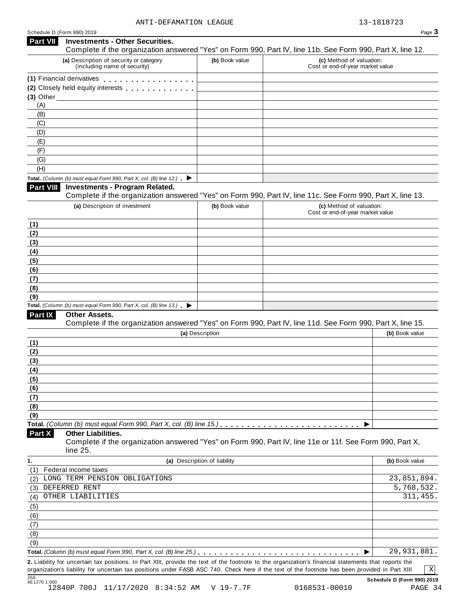| <b>Part VII</b>                                                                                                        |                                                                                                           |                              |                                                                                                            |
|------------------------------------------------------------------------------------------------------------------------|-----------------------------------------------------------------------------------------------------------|------------------------------|------------------------------------------------------------------------------------------------------------|
|                                                                                                                        | <b>Investments - Other Securities.</b>                                                                    |                              | Complete if the organization answered "Yes" on Form 990, Part IV, line 11b. See Form 990, Part X, line 12. |
|                                                                                                                        | (a) Description of security or category<br>(including name of security)                                   | (b) Book value               | (c) Method of valuation:<br>Cost or end-of-year market value                                               |
|                                                                                                                        | (1) Financial derivatives                                                                                 |                              |                                                                                                            |
|                                                                                                                        | (2) Closely held equity interests [1] [1] Closely held equity interests                                   |                              |                                                                                                            |
|                                                                                                                        |                                                                                                           |                              |                                                                                                            |
| (A)                                                                                                                    |                                                                                                           |                              |                                                                                                            |
| (B)                                                                                                                    |                                                                                                           |                              |                                                                                                            |
| (C)                                                                                                                    |                                                                                                           |                              |                                                                                                            |
| (D)<br>(E)                                                                                                             |                                                                                                           |                              |                                                                                                            |
| (F)                                                                                                                    |                                                                                                           |                              |                                                                                                            |
| (G)                                                                                                                    |                                                                                                           |                              |                                                                                                            |
| (H)                                                                                                                    |                                                                                                           |                              |                                                                                                            |
|                                                                                                                        | Total. (Column (b) must equal Form 990, Part X, col. (B) line 12.) $\blacktriangleright$                  |                              |                                                                                                            |
| Part VIII                                                                                                              | <b>Investments - Program Related.</b>                                                                     |                              | Complete if the organization answered "Yes" on Form 990, Part IV, line 11c. See Form 990, Part X, line 13. |
|                                                                                                                        | (a) Description of investment                                                                             | (b) Book value               | (c) Method of valuation:<br>Cost or end-of-year market value                                               |
| (1)                                                                                                                    |                                                                                                           |                              |                                                                                                            |
| (2)                                                                                                                    |                                                                                                           |                              |                                                                                                            |
| (3)                                                                                                                    |                                                                                                           |                              |                                                                                                            |
| (4)                                                                                                                    |                                                                                                           |                              |                                                                                                            |
| (5)                                                                                                                    |                                                                                                           |                              |                                                                                                            |
| (6)                                                                                                                    |                                                                                                           |                              |                                                                                                            |
| (7)                                                                                                                    |                                                                                                           |                              |                                                                                                            |
|                                                                                                                        |                                                                                                           |                              |                                                                                                            |
|                                                                                                                        |                                                                                                           |                              |                                                                                                            |
|                                                                                                                        |                                                                                                           |                              |                                                                                                            |
| (8)<br>(9)<br>Part IX                                                                                                  | Total. (Column (b) must equal Form 990, Part X, col. (B) line 13.) $\blacktriangleright$<br>Other Assets. |                              |                                                                                                            |
|                                                                                                                        |                                                                                                           |                              | Complete if the organization answered "Yes" on Form 990, Part IV, line 11d. See Form 990, Part X, line 15. |
|                                                                                                                        |                                                                                                           | (a) Description              | (b) Book value                                                                                             |
|                                                                                                                        |                                                                                                           |                              |                                                                                                            |
|                                                                                                                        |                                                                                                           |                              |                                                                                                            |
|                                                                                                                        |                                                                                                           |                              |                                                                                                            |
|                                                                                                                        |                                                                                                           |                              |                                                                                                            |
|                                                                                                                        |                                                                                                           |                              |                                                                                                            |
|                                                                                                                        |                                                                                                           |                              |                                                                                                            |
|                                                                                                                        |                                                                                                           |                              |                                                                                                            |
|                                                                                                                        |                                                                                                           |                              |                                                                                                            |
|                                                                                                                        |                                                                                                           |                              |                                                                                                            |
|                                                                                                                        | <b>Other Liabilities.</b><br>line 25.                                                                     |                              | Complete if the organization answered "Yes" on Form 990, Part IV, line 11e or 11f. See Form 990, Part X,   |
|                                                                                                                        |                                                                                                           | (a) Description of liability | (b) Book value                                                                                             |
|                                                                                                                        | Federal income taxes                                                                                      |                              |                                                                                                            |
|                                                                                                                        | LONG TERM PENSION OBLIGATIONS                                                                             |                              | 23,851,894.                                                                                                |
|                                                                                                                        | DEFERRED RENT                                                                                             |                              | 5,768,532.                                                                                                 |
|                                                                                                                        | OTHER LIABILITIES                                                                                         |                              | 311,455.                                                                                                   |
|                                                                                                                        |                                                                                                           |                              |                                                                                                            |
|                                                                                                                        |                                                                                                           |                              |                                                                                                            |
| (1)<br>(2)<br>(3)<br>(4)<br>(5)<br>(6)<br>(7)<br>(8)<br>(9)<br>Part X<br>(1)<br>(2)<br>(3)<br>(4)<br>(5)<br>(6)<br>(7) |                                                                                                           |                              |                                                                                                            |
|                                                                                                                        |                                                                                                           |                              |                                                                                                            |
| (8)<br>(9)                                                                                                             |                                                                                                           |                              | 29,931,881.                                                                                                |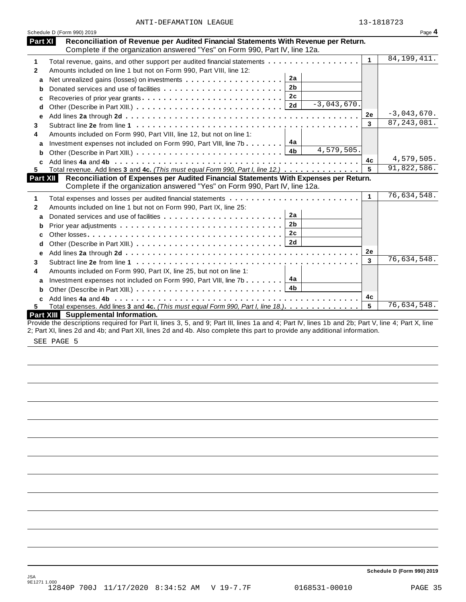| ANTI-DEFAMATION LEAGUE | 13-1818723 |
|------------------------|------------|
|------------------------|------------|

|                | Schedule D (Form 990) 2019                                                                                                                                                                                                                                                       |                      | Page 4        |
|----------------|----------------------------------------------------------------------------------------------------------------------------------------------------------------------------------------------------------------------------------------------------------------------------------|----------------------|---------------|
| <b>Part XI</b> | Reconciliation of Revenue per Audited Financial Statements With Revenue per Return.<br>Complete if the organization answered "Yes" on Form 990, Part IV, line 12a.                                                                                                               |                      |               |
| 1              | Total revenue, gains, and other support per audited financial statements                                                                                                                                                                                                         | $\blacktriangleleft$ | 84, 199, 411. |
| $\mathbf{2}$   | Amounts included on line 1 but not on Form 990, Part VIII, line 12:                                                                                                                                                                                                              |                      |               |
| a              | 2a<br>Net unrealized gains (losses) on investments                                                                                                                                                                                                                               |                      |               |
| b              | 2 <sub>b</sub>                                                                                                                                                                                                                                                                   |                      |               |
| c              | 2c                                                                                                                                                                                                                                                                               |                      |               |
| d              | $-3,043,670.$                                                                                                                                                                                                                                                                    |                      |               |
| e              |                                                                                                                                                                                                                                                                                  | 2e                   | $-3,043,670.$ |
| 3              |                                                                                                                                                                                                                                                                                  | 3                    | 87, 243, 081. |
| 4              | Amounts included on Form 990, Part VIII, line 12, but not on line 1:                                                                                                                                                                                                             |                      |               |
| a              | Investment expenses not included on Form 990, Part VIII, line 7b $\boxed{4a}$                                                                                                                                                                                                    |                      |               |
| b              | 4,579,505.                                                                                                                                                                                                                                                                       |                      |               |
| C              |                                                                                                                                                                                                                                                                                  | 4c                   | 4,579,505.    |
| 5.             | Total revenue. Add lines 3 and 4c. (This must equal Form 990, Part I, line 12.)                                                                                                                                                                                                  | 5                    | 91,822,586.   |
| Part XII       | Reconciliation of Expenses per Audited Financial Statements With Expenses per Return.<br>Complete if the organization answered "Yes" on Form 990, Part IV, line 12a.                                                                                                             |                      |               |
| 1              |                                                                                                                                                                                                                                                                                  | $\blacktriangleleft$ | 76,634,548.   |
| $\mathbf{2}$   | Amounts included on line 1 but not on Form 990, Part IX, line 25:                                                                                                                                                                                                                |                      |               |
| a              | 2a                                                                                                                                                                                                                                                                               |                      |               |
| b              | 2 <sub>b</sub>                                                                                                                                                                                                                                                                   |                      |               |
| c              | 2c                                                                                                                                                                                                                                                                               |                      |               |
| d              |                                                                                                                                                                                                                                                                                  |                      |               |
| е              |                                                                                                                                                                                                                                                                                  | 2e                   |               |
| 3              |                                                                                                                                                                                                                                                                                  | 3                    | 76,634,548.   |
| 4              | Amounts included on Form 990, Part IX, line 25, but not on line 1:                                                                                                                                                                                                               |                      |               |
| a              | 4a<br>Investment expenses not included on Form 990, Part VIII, line 7b                                                                                                                                                                                                           |                      |               |
| b              | 4 <sub>b</sub>                                                                                                                                                                                                                                                                   |                      |               |
| C              |                                                                                                                                                                                                                                                                                  | 4c                   |               |
| 5.             | Total expenses. Add lines 3 and 4c. (This must equal Form 990, Part I, line 18.).                                                                                                                                                                                                | 5                    | 76,634,548.   |
|                | <b>Part XIII</b> Supplemental Information.                                                                                                                                                                                                                                       |                      |               |
|                | Provide the descriptions required for Part II, lines 3, 5, and 9; Part III, lines 1a and 4; Part IV, lines 1b and 2b; Part V, line 4; Part X, line<br>2; Part XI, lines 2d and 4b; and Part XII, lines 2d and 4b. Also complete this part to provide any additional information. |                      |               |

SEE PAGE 5

**Schedule D (Form 990) 2019**

JSA 9E1271 1.000 12840P 700J 11/17/2020 8:34:52 AM V 19-7.7F 0168531-00010 PAGE 35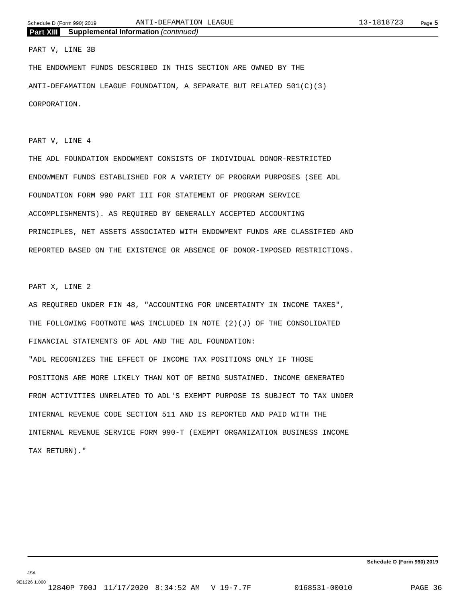**Part XIII Supplemental Information** *(continued)*

### PART V, LINE 3B

THE ENDOWMENT FUNDS DESCRIBED IN THIS SECTION ARE OWNED BY THE ANTI-DEFAMATION LEAGUE FOUNDATION, A SEPARATE BUT RELATED 501(C)(3) CORPORATION.

### PART V, LINE 4

THE ADL FOUNDATION ENDOWMENT CONSISTS OF INDIVIDUAL DONOR-RESTRICTED ENDOWMENT FUNDS ESTABLISHED FOR A VARIETY OF PROGRAM PURPOSES (SEE ADL FOUNDATION FORM 990 PART III FOR STATEMENT OF PROGRAM SERVICE ACCOMPLISHMENTS). AS REQUIRED BY GENERALLY ACCEPTED ACCOUNTING PRINCIPLES, NET ASSETS ASSOCIATED WITH ENDOWMENT FUNDS ARE CLASSIFIED AND REPORTED BASED ON THE EXISTENCE OR ABSENCE OF DONOR-IMPOSED RESTRICTIONS.

PART X, LINE 2

AS REQUIRED UNDER FIN 48, "ACCOUNTING FOR UNCERTAINTY IN INCOME TAXES", THE FOLLOWING FOOTNOTE WAS INCLUDED IN NOTE (2)(J) OF THE CONSOLIDATED FINANCIAL STATEMENTS OF ADL AND THE ADL FOUNDATION: "ADL RECOGNIZES THE EFFECT OF INCOME TAX POSITIONS ONLY IF THOSE POSITIONS ARE MORE LIKELY THAN NOT OF BEING SUSTAINED. INCOME GENERATED FROM ACTIVITIES UNRELATED TO ADL'S EXEMPT PURPOSE IS SUBJECT TO TAX UNDER

INTERNAL REVENUE CODE SECTION 511 AND IS REPORTED AND PAID WITH THE INTERNAL REVENUE SERVICE FORM 990-T (EXEMPT ORGANIZATION BUSINESS INCOME TAX RETURN)."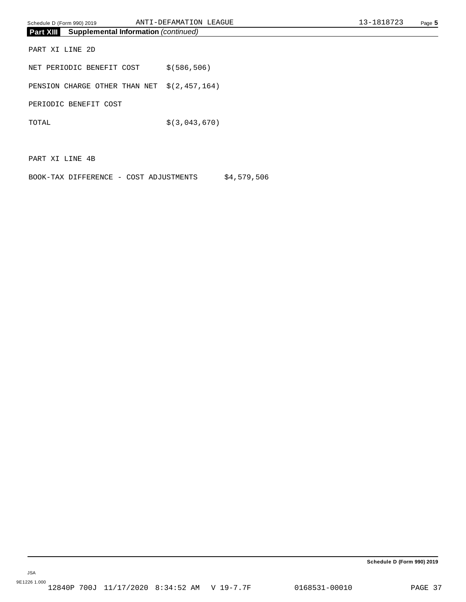| Schedule D (Form 990) 2019                               | ANTI-DEFAMATION LEAGUE | 13-1818723 | Page 5 |
|----------------------------------------------------------|------------------------|------------|--------|
| Part XIII<br><b>Supplemental Information (continued)</b> |                        |            |        |
| PART XI LINE 2D                                          |                        |            |        |
| NET PERIODIC BENEFIT COST                                | \$(586, 506)           |            |        |
| PENSION CHARGE OTHER THAN NET                            | \$(2, 457, 164)        |            |        |
| PERIODIC BENEFIT COST                                    |                        |            |        |
| TOTAL                                                    | \$(3,043,670)          |            |        |
|                                                          |                        |            |        |
| PART XI LINE 4B                                          |                        |            |        |

BOOK-TAX DIFFERENCE - COST ADJUSTMENTS  $$4,579,506$ 

**Schedule D (Form 990) 2019**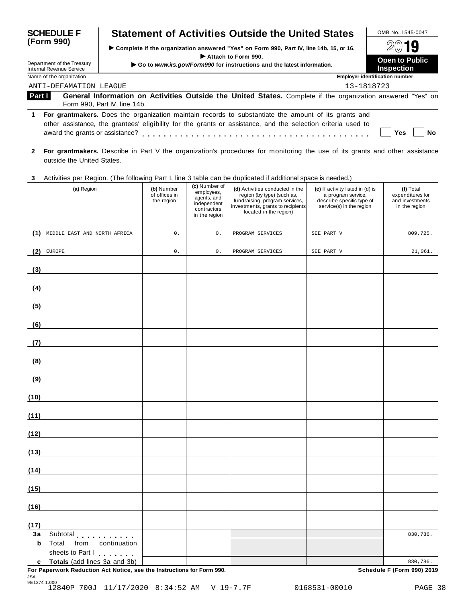| <b>SCHEDULE F</b>                                                    | <b>Statement of Activities Outside the United States</b>                                                                                                                                                             | OMB No. 1545-0047 |                                                    |  |
|----------------------------------------------------------------------|----------------------------------------------------------------------------------------------------------------------------------------------------------------------------------------------------------------------|-------------------|----------------------------------------------------|--|
| (Form 990)<br>Department of the Treasury<br>Internal Revenue Service | ► Complete if the organization answered "Yes" on Form 990, Part IV, line 14b, 15, or 16.<br>Attach to Form 990.<br>Go to www.irs.gov/Form990 for instructions and the latest information.                            |                   | 2019<br><b>Open to Public</b><br><b>Inspection</b> |  |
| Name of the organization                                             |                                                                                                                                                                                                                      |                   | <b>Employer identification number</b>              |  |
| ANTI-DEFAMATION LEAGUE                                               | 13-1818723                                                                                                                                                                                                           |                   |                                                    |  |
| Part I                                                               | General Information on Activities Outside the United States. Complete if the organization answered "Yes" on<br>Form 990, Part IV, line 14b.                                                                          |                   |                                                    |  |
| award the grants or assistance?                                      | For grantmakers. Does the organization maintain records to substantiate the amount of its grants and<br>other assistance, the grantees' eligibility for the grants or assistance, and the selection criteria used to |                   | Yes<br>Nο                                          |  |

- **2 For grantmakers.** Describe in Part V the organization's procedures for monitoring the use of its grants and other assistance outside the United States.
- **3** Activities per Region. (The following Part I, line 3 table can be duplicated if additional space is needed.)

| $A$ cuvilles per region. The following r art i, line 5 table can be duplicated if additional space is needed.)<br>(a) Region                                                                                                                                                                  | (b) Number<br>of offices in<br>the region | (c) Number of<br>employees,<br>agents, and<br>independent<br>contractors<br>in the region | (d) Activities conducted in the<br>region (by type) (such as,<br>fundraising, program services,<br>investments, grants to recipients<br>located in the region) | (e) If activity listed in (d) is<br>a program service,<br>describe specific type of<br>service(s) in the region | (f) Total<br>expenditures for<br>and investments<br>in the region |
|-----------------------------------------------------------------------------------------------------------------------------------------------------------------------------------------------------------------------------------------------------------------------------------------------|-------------------------------------------|-------------------------------------------------------------------------------------------|----------------------------------------------------------------------------------------------------------------------------------------------------------------|-----------------------------------------------------------------------------------------------------------------|-------------------------------------------------------------------|
| (1) MIDDLE EAST AND NORTH AFRICA                                                                                                                                                                                                                                                              | $\mathsf 0$ .                             | 0.                                                                                        | PROGRAM SERVICES                                                                                                                                               | SEE PART V                                                                                                      | 809,725.                                                          |
| EUROPE<br>(2)                                                                                                                                                                                                                                                                                 | $\mathsf 0$ .                             | $\mathsf{0}$ .                                                                            | PROGRAM SERVICES                                                                                                                                               | SEE PART V                                                                                                      | 21,061.                                                           |
| (3)                                                                                                                                                                                                                                                                                           |                                           |                                                                                           |                                                                                                                                                                |                                                                                                                 |                                                                   |
| (4)                                                                                                                                                                                                                                                                                           |                                           |                                                                                           |                                                                                                                                                                |                                                                                                                 |                                                                   |
| (5)                                                                                                                                                                                                                                                                                           |                                           |                                                                                           |                                                                                                                                                                |                                                                                                                 |                                                                   |
| (6)                                                                                                                                                                                                                                                                                           |                                           |                                                                                           |                                                                                                                                                                |                                                                                                                 |                                                                   |
| (7)                                                                                                                                                                                                                                                                                           |                                           |                                                                                           |                                                                                                                                                                |                                                                                                                 |                                                                   |
| (8)                                                                                                                                                                                                                                                                                           |                                           |                                                                                           |                                                                                                                                                                |                                                                                                                 |                                                                   |
| (9)                                                                                                                                                                                                                                                                                           |                                           |                                                                                           |                                                                                                                                                                |                                                                                                                 |                                                                   |
| (10)                                                                                                                                                                                                                                                                                          |                                           |                                                                                           |                                                                                                                                                                |                                                                                                                 |                                                                   |
| (11)                                                                                                                                                                                                                                                                                          |                                           |                                                                                           |                                                                                                                                                                |                                                                                                                 |                                                                   |
| (12)                                                                                                                                                                                                                                                                                          |                                           |                                                                                           |                                                                                                                                                                |                                                                                                                 |                                                                   |
| (13)                                                                                                                                                                                                                                                                                          |                                           |                                                                                           |                                                                                                                                                                |                                                                                                                 |                                                                   |
| (14)                                                                                                                                                                                                                                                                                          |                                           |                                                                                           |                                                                                                                                                                |                                                                                                                 |                                                                   |
| (15)                                                                                                                                                                                                                                                                                          |                                           |                                                                                           |                                                                                                                                                                |                                                                                                                 |                                                                   |
| (16)                                                                                                                                                                                                                                                                                          |                                           |                                                                                           |                                                                                                                                                                |                                                                                                                 |                                                                   |
| (17)                                                                                                                                                                                                                                                                                          |                                           |                                                                                           |                                                                                                                                                                |                                                                                                                 |                                                                   |
| 3a<br>Subtotal experience and the set of the set of the set of the set of the set of the set of the set of the set of the set of the set of the set of the set of the set of the set of the set of the set of the set of the set of<br>b<br>Total<br>continuation<br>from<br>sheets to Part I |                                           |                                                                                           |                                                                                                                                                                |                                                                                                                 | 830,786.                                                          |
| c Totals (add lines 3a and 3b)<br>For Paperwork Reduction Act Notice, see the Instructions for Form 990.                                                                                                                                                                                      |                                           |                                                                                           |                                                                                                                                                                |                                                                                                                 | 830,786.<br>Schedule F (Form 990) 2019                            |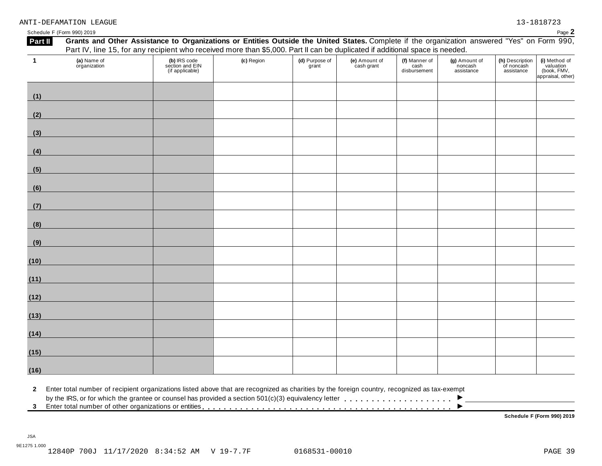|         | Schedule F (Form 990) 2019                                                                                                                   | $P$ aqe $\triangle$ |
|---------|----------------------------------------------------------------------------------------------------------------------------------------------|---------------------|
| Part II | Grants and Other Assistance to Organizations or Entities Outside the United States. Complete if the organization answered "Yes" on Form 990, |                     |

| 1                    | (a) Name of<br>organization                                                                                                                  | (b) IRS code<br>section and EIN<br>(if applicable) | (c) Region | (d) Purpose of<br>grant | (e) Amount of<br>cash grant | (f) Manner of<br>cash<br>disbursement | (g) Amount of<br>noncash<br>assistance | (h) Description<br>of noncash<br>assistance | (i) Method of<br>valuation<br>(book, FMV,<br>appraisal, other) |
|----------------------|----------------------------------------------------------------------------------------------------------------------------------------------|----------------------------------------------------|------------|-------------------------|-----------------------------|---------------------------------------|----------------------------------------|---------------------------------------------|----------------------------------------------------------------|
| (1)                  |                                                                                                                                              |                                                    |            |                         |                             |                                       |                                        |                                             |                                                                |
| (2)                  |                                                                                                                                              |                                                    |            |                         |                             |                                       |                                        |                                             |                                                                |
| (3)                  |                                                                                                                                              |                                                    |            |                         |                             |                                       |                                        |                                             |                                                                |
| (4)                  |                                                                                                                                              |                                                    |            |                         |                             |                                       |                                        |                                             |                                                                |
| (5)                  |                                                                                                                                              |                                                    |            |                         |                             |                                       |                                        |                                             |                                                                |
| (6)                  |                                                                                                                                              |                                                    |            |                         |                             |                                       |                                        |                                             |                                                                |
| (7)                  |                                                                                                                                              |                                                    |            |                         |                             |                                       |                                        |                                             |                                                                |
| (8)                  |                                                                                                                                              |                                                    |            |                         |                             |                                       |                                        |                                             |                                                                |
| (9)                  |                                                                                                                                              |                                                    |            |                         |                             |                                       |                                        |                                             |                                                                |
| (10)                 |                                                                                                                                              |                                                    |            |                         |                             |                                       |                                        |                                             |                                                                |
| (11)                 |                                                                                                                                              |                                                    |            |                         |                             |                                       |                                        |                                             |                                                                |
| (12)                 |                                                                                                                                              |                                                    |            |                         |                             |                                       |                                        |                                             |                                                                |
| (13)                 |                                                                                                                                              |                                                    |            |                         |                             |                                       |                                        |                                             |                                                                |
| (14)                 |                                                                                                                                              |                                                    |            |                         |                             |                                       |                                        |                                             |                                                                |
| (15)                 |                                                                                                                                              |                                                    |            |                         |                             |                                       |                                        |                                             |                                                                |
| (16)<br>$\mathbf{2}$ | Enter total number of recipient organizations listed above that are recognized as charities by the foreign country, recognized as tax-exempt |                                                    |            |                         |                             |                                       | $\blacktriangleright$                  |                                             | Schedule F (Form 990) 2019                                     |
| <b>JSA</b>           |                                                                                                                                              |                                                    |            |                         |                             |                                       |                                        |                                             |                                                                |

Part IV, line 15, for any recipient who received more than \$5,000. Part II can be duplicated if additional space is needed.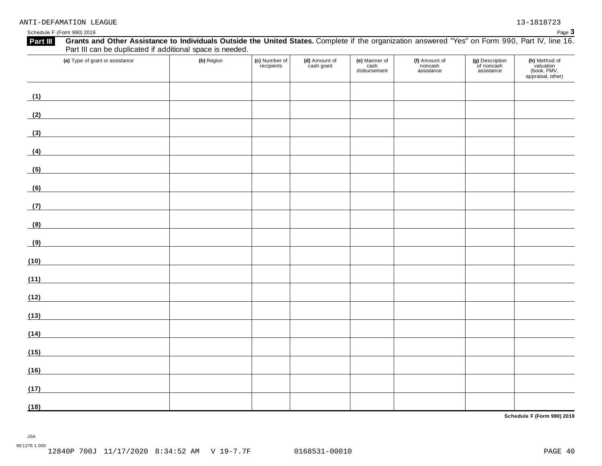| Grants and Other Assistance to Individuals Outside the United States. Complete if the organization answered "Yes" on Form 990, Part IV, line 16.<br>Part III<br>Part III can be duplicated if additional space is needed. |            |                             |                             |                                       |                                        |                                             |                                                                |
|---------------------------------------------------------------------------------------------------------------------------------------------------------------------------------------------------------------------------|------------|-----------------------------|-----------------------------|---------------------------------------|----------------------------------------|---------------------------------------------|----------------------------------------------------------------|
| (a) Type of grant or assistance                                                                                                                                                                                           | (b) Region | (c) Number of<br>recipients | (d) Amount of<br>cash grant | (e) Manner of<br>cash<br>disbursement | (f) Amount of<br>noncash<br>assistance | (g) Description<br>of noncash<br>assistance | (h) Method of<br>valuation<br>(book, FMV,<br>appraisal, other) |
| (1)                                                                                                                                                                                                                       |            |                             |                             |                                       |                                        |                                             |                                                                |
| (2)<br><u> 1980 - Andrea Station Barbara (b. 1980)</u>                                                                                                                                                                    |            |                             |                             |                                       |                                        |                                             |                                                                |
| (3)<br><u> 1980 - Johann Barbara, martxa al</u>                                                                                                                                                                           |            |                             |                             |                                       |                                        |                                             |                                                                |
| (4)<br><u> 1989 - Johann Barn, mars eta bainar eta idazlea (</u>                                                                                                                                                          |            |                             |                             |                                       |                                        |                                             |                                                                |
| (5)<br><u> 1980 - Johann Barbara, martxa a</u>                                                                                                                                                                            |            |                             |                             |                                       |                                        |                                             |                                                                |
| (6)                                                                                                                                                                                                                       |            |                             |                             |                                       |                                        |                                             |                                                                |
| (7)                                                                                                                                                                                                                       |            |                             |                             |                                       |                                        |                                             |                                                                |
| (8)<br><u> 1980 - Johann Barn, mars eta bainar eta baina eta baina eta baina eta baina eta baina eta baina eta baina e</u>                                                                                                |            |                             |                             |                                       |                                        |                                             |                                                                |
| (9)                                                                                                                                                                                                                       |            |                             |                             |                                       |                                        |                                             |                                                                |
| (10)<br><u> 1980 - Andrea Station Barbara, amerikan per</u>                                                                                                                                                               |            |                             |                             |                                       |                                        |                                             |                                                                |
| (11)                                                                                                                                                                                                                      |            |                             |                             |                                       |                                        |                                             |                                                                |
| (12)                                                                                                                                                                                                                      |            |                             |                             |                                       |                                        |                                             |                                                                |
| (13)<br><u> 1980 - Andrea Station, amerikansk politik (</u>                                                                                                                                                               |            |                             |                             |                                       |                                        |                                             |                                                                |
| (14)                                                                                                                                                                                                                      |            |                             |                             |                                       |                                        |                                             |                                                                |
| (15)                                                                                                                                                                                                                      |            |                             |                             |                                       |                                        |                                             |                                                                |
| (16)                                                                                                                                                                                                                      |            |                             |                             |                                       |                                        |                                             |                                                                |
| (17)                                                                                                                                                                                                                      |            |                             |                             |                                       |                                        |                                             |                                                                |
| (18)                                                                                                                                                                                                                      |            |                             |                             |                                       |                                        |                                             |                                                                |

**Schedule F (Form 990) 2019**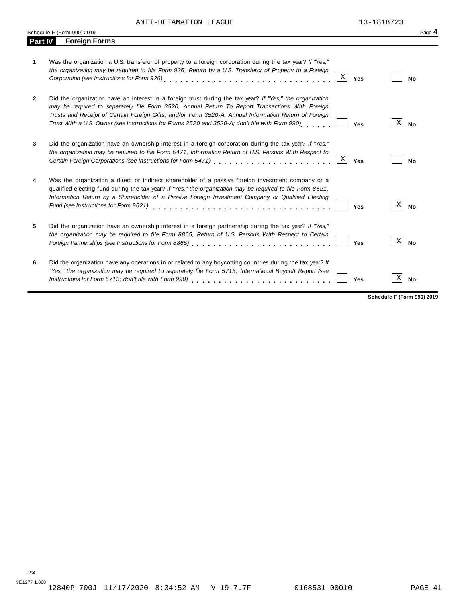ANTI-DEFAMATION LEAGUE 13-1818723

|              | Schedule F (Form 990) 2019                                                                                                                                                                                                                                                                                                                                                                                                    | Page 4                     |
|--------------|-------------------------------------------------------------------------------------------------------------------------------------------------------------------------------------------------------------------------------------------------------------------------------------------------------------------------------------------------------------------------------------------------------------------------------|----------------------------|
| Part IV      | <b>Foreign Forms</b>                                                                                                                                                                                                                                                                                                                                                                                                          |                            |
| 1            | Was the organization a U.S. transferor of property to a foreign corporation during the tax year? If "Yes,"<br>the organization may be required to file Form 926, Return by a U.S. Transferor of Property to a Foreign<br>$\mathbf X$<br>Yes                                                                                                                                                                                   | <b>No</b>                  |
| $\mathbf{2}$ | Did the organization have an interest in a foreign trust during the tax year? If "Yes," the organization<br>may be required to separately file Form 3520, Annual Return To Report Transactions With Foreign<br>Trusts and Receipt of Certain Foreign Gifts, and/or Form 3520-A, Annual Information Return of Foreign<br>Trust With a U.S. Owner (see Instructions for Forms 3520 and 3520-A; don't file with Form 990)<br>Yes | X<br><b>No</b>             |
| 3            | Did the organization have an ownership interest in a foreign corporation during the tax year? If "Yes,"<br>the organization may be required to file Form 5471, Information Return of U.S. Persons With Respect to<br>Χ<br>Yes                                                                                                                                                                                                 | No                         |
| 4            | Was the organization a direct or indirect shareholder of a passive foreign investment company or a<br>qualified electing fund during the tax year? If "Yes," the organization may be required to file Form 8621,<br>Information Return by a Shareholder of a Passive Foreign Investment Company or Qualified Electing<br>Fund (see Instructions for Form 8621)<br>Yes                                                         | X<br><b>No</b>             |
| 5            | Did the organization have an ownership interest in a foreign partnership during the tax year? If "Yes,"<br>the organization may be required to file Form 8865, Return of U.S. Persons With Respect to Certain<br>Foreign Partnerships (see Instructions for Form 8865)<br>Yes                                                                                                                                                 | X<br><b>No</b>             |
| 6            | Did the organization have any operations in or related to any boycotting countries during the tax year? If<br>"Yes," the organization may be required to separately file Form 5713, International Boycott Report (see<br>Yes                                                                                                                                                                                                  | Χ<br>No                    |
|              |                                                                                                                                                                                                                                                                                                                                                                                                                               | Schedule F (Form 990) 2019 |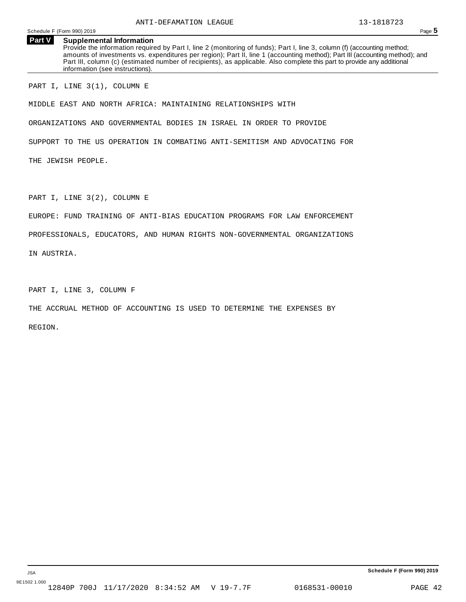**Part V Supplemental Information** Provide the information required by Part I, line 2 (monitoring of funds); Part I, line 3, column (f) (accounting method; amounts of investments vs. expenditures per region); Part II, line 1 (accounting method); Part III (accounting method); and Part III, column (c) (estimated number of recipients), as applicable. Also complete this part to provide any additional information (see instructions).

PART I, LINE 3(1), COLUMN E

MIDDLE EAST AND NORTH AFRICA: MAINTAINING RELATIONSHIPS WITH

ORGANIZATIONS AND GOVERNMENTAL BODIES IN ISRAEL IN ORDER TO PROVIDE

SUPPORT TO THE US OPERATION IN COMBATING ANTI-SEMITISM AND ADVOCATING FOR

THE JEWISH PEOPLE.

PART I, LINE 3(2), COLUMN E

EUROPE: FUND TRAINING OF ANTI-BIAS EDUCATION PROGRAMS FOR LAW ENFORCEMENT

PROFESSIONALS, EDUCATORS, AND HUMAN RIGHTS NON-GOVERNMENTAL ORGANIZATIONS

IN AUSTRIA.

PART I, LINE 3, COLUMN F

THE ACCRUAL METHOD OF ACCOUNTING IS USED TO DETERMINE THE EXPENSES BY

REGION.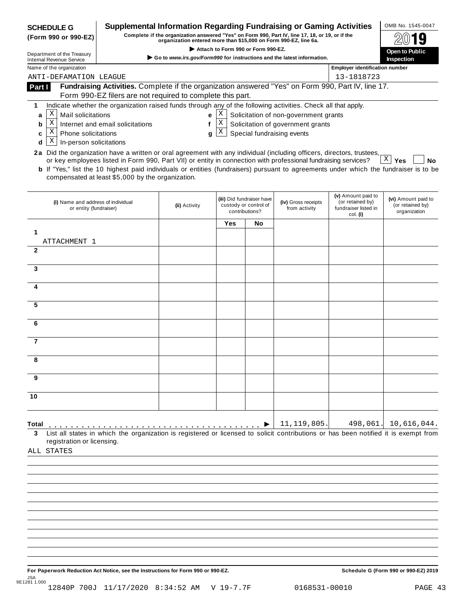| <b>SCHEDULE G</b>                                                                                                                                                                        | <b>Supplemental Information Regarding Fundraising or Gaming Activities</b>                                                                   | OMB No. 1545-0047                                                      |                                    |                                                    |                                       |                                                     |                                         |
|------------------------------------------------------------------------------------------------------------------------------------------------------------------------------------------|----------------------------------------------------------------------------------------------------------------------------------------------|------------------------------------------------------------------------|------------------------------------|----------------------------------------------------|---------------------------------------|-----------------------------------------------------|-----------------------------------------|
| Complete if the organization answered "Yes" on Form 990, Part IV, line 17, 18, or 19, or if the organization entered more than \$15,000 on Form 990-EZ, line 6a.<br>(Form 990 or 990-EZ) |                                                                                                                                              |                                                                        |                                    |                                                    |                                       |                                                     |                                         |
| Department of the Treasury                                                                                                                                                               |                                                                                                                                              |                                                                        | Attach to Form 990 or Form 990-EZ. |                                                    |                                       |                                                     | Open to Public                          |
| <b>Internal Revenue Service</b>                                                                                                                                                          |                                                                                                                                              | Go to www.irs.gov/Form990 for instructions and the latest information. |                                    |                                                    |                                       |                                                     | Inspection                              |
| Name of the organization<br>ANTI-DEFAMATION LEAGUE                                                                                                                                       |                                                                                                                                              |                                                                        |                                    |                                                    |                                       | <b>Employer identification number</b><br>13-1818723 |                                         |
| Part I                                                                                                                                                                                   | Fundraising Activities. Complete if the organization answered "Yes" on Form 990, Part IV, line 17.                                           |                                                                        |                                    |                                                    |                                       |                                                     |                                         |
|                                                                                                                                                                                          | Form 990-EZ filers are not required to complete this part.                                                                                   |                                                                        |                                    |                                                    |                                       |                                                     |                                         |
| 1                                                                                                                                                                                        | Indicate whether the organization raised funds through any of the following activities. Check all that apply.                                |                                                                        |                                    |                                                    |                                       |                                                     |                                         |
| X<br>Mail solicitations<br>a                                                                                                                                                             |                                                                                                                                              | e                                                                      | X                                  |                                                    | Solicitation of non-government grants |                                                     |                                         |
| Χ<br>b<br>Χ                                                                                                                                                                              | Internet and email solicitations                                                                                                             | f                                                                      | $\boldsymbol{\mathrm{X}}$<br>Χ     |                                                    | Solicitation of government grants     |                                                     |                                         |
| <b>Phone solicitations</b><br>c<br>Χ<br>In-person solicitations<br>d                                                                                                                     |                                                                                                                                              | q                                                                      |                                    |                                                    | Special fundraising events            |                                                     |                                         |
| 2a Did the organization have a written or oral agreement with any individual (including officers, directors, trustees,                                                                   |                                                                                                                                              |                                                                        |                                    |                                                    |                                       |                                                     |                                         |
|                                                                                                                                                                                          | or key employees listed in Form 990, Part VII) or entity in connection with professional fundraising services?                               |                                                                        |                                    |                                                    |                                       |                                                     | $ X $ Yes<br><b>No</b>                  |
|                                                                                                                                                                                          | <b>b</b> If "Yes," list the 10 highest paid individuals or entities (fundraisers) pursuant to agreements under which the fundraiser is to be |                                                                        |                                    |                                                    |                                       |                                                     |                                         |
|                                                                                                                                                                                          | compensated at least \$5,000 by the organization.                                                                                            |                                                                        |                                    |                                                    |                                       |                                                     |                                         |
|                                                                                                                                                                                          |                                                                                                                                              |                                                                        |                                    |                                                    |                                       | (v) Amount paid to                                  |                                         |
| (i) Name and address of individual<br>or entity (fundraiser)                                                                                                                             |                                                                                                                                              | (ii) Activity                                                          |                                    | (iii) Did fundraiser have<br>custody or control of | (iv) Gross receipts<br>from activity  | (or retained by)<br>fundraiser listed in            | (vi) Amount paid to<br>(or retained by) |
|                                                                                                                                                                                          |                                                                                                                                              |                                                                        |                                    | contributions?                                     |                                       | col. (i)                                            | organization                            |
|                                                                                                                                                                                          |                                                                                                                                              |                                                                        | Yes                                | <b>No</b>                                          |                                       |                                                     |                                         |
| 1<br>ATTACHMENT 1                                                                                                                                                                        |                                                                                                                                              |                                                                        |                                    |                                                    |                                       |                                                     |                                         |
| $\mathbf{2}$                                                                                                                                                                             |                                                                                                                                              |                                                                        |                                    |                                                    |                                       |                                                     |                                         |
|                                                                                                                                                                                          |                                                                                                                                              |                                                                        |                                    |                                                    |                                       |                                                     |                                         |
| 3                                                                                                                                                                                        |                                                                                                                                              |                                                                        |                                    |                                                    |                                       |                                                     |                                         |
|                                                                                                                                                                                          |                                                                                                                                              |                                                                        |                                    |                                                    |                                       |                                                     |                                         |
|                                                                                                                                                                                          |                                                                                                                                              |                                                                        |                                    |                                                    |                                       |                                                     |                                         |
| 5                                                                                                                                                                                        |                                                                                                                                              |                                                                        |                                    |                                                    |                                       |                                                     |                                         |
|                                                                                                                                                                                          |                                                                                                                                              |                                                                        |                                    |                                                    |                                       |                                                     |                                         |
| 6                                                                                                                                                                                        |                                                                                                                                              |                                                                        |                                    |                                                    |                                       |                                                     |                                         |
| $\overline{7}$                                                                                                                                                                           |                                                                                                                                              |                                                                        |                                    |                                                    |                                       |                                                     |                                         |
|                                                                                                                                                                                          |                                                                                                                                              |                                                                        |                                    |                                                    |                                       |                                                     |                                         |
| 8                                                                                                                                                                                        |                                                                                                                                              |                                                                        |                                    |                                                    |                                       |                                                     |                                         |
|                                                                                                                                                                                          |                                                                                                                                              |                                                                        |                                    |                                                    |                                       |                                                     |                                         |
| 9                                                                                                                                                                                        |                                                                                                                                              |                                                                        |                                    |                                                    |                                       |                                                     |                                         |
| 10                                                                                                                                                                                       |                                                                                                                                              |                                                                        |                                    |                                                    |                                       |                                                     |                                         |
|                                                                                                                                                                                          |                                                                                                                                              |                                                                        |                                    |                                                    |                                       |                                                     |                                         |
|                                                                                                                                                                                          |                                                                                                                                              |                                                                        |                                    |                                                    |                                       |                                                     |                                         |
| Total                                                                                                                                                                                    |                                                                                                                                              |                                                                        |                                    |                                                    | 11, 119, 805.                         | 498,061.                                            | 10,616,044.                             |
|                                                                                                                                                                                          | List all states in which the organization is registered or licensed to solicit contributions or has been notified it is exempt from          |                                                                        |                                    |                                                    |                                       |                                                     |                                         |
| registration or licensing.<br>ALL STATES                                                                                                                                                 |                                                                                                                                              |                                                                        |                                    |                                                    |                                       |                                                     |                                         |
|                                                                                                                                                                                          |                                                                                                                                              |                                                                        |                                    |                                                    |                                       |                                                     |                                         |
|                                                                                                                                                                                          |                                                                                                                                              |                                                                        |                                    |                                                    |                                       |                                                     |                                         |
|                                                                                                                                                                                          |                                                                                                                                              |                                                                        |                                    |                                                    |                                       |                                                     |                                         |
|                                                                                                                                                                                          |                                                                                                                                              |                                                                        |                                    |                                                    |                                       |                                                     |                                         |
|                                                                                                                                                                                          |                                                                                                                                              |                                                                        |                                    |                                                    |                                       |                                                     |                                         |
|                                                                                                                                                                                          |                                                                                                                                              |                                                                        |                                    |                                                    |                                       |                                                     |                                         |
|                                                                                                                                                                                          |                                                                                                                                              |                                                                        |                                    |                                                    |                                       |                                                     |                                         |
|                                                                                                                                                                                          |                                                                                                                                              |                                                                        |                                    |                                                    |                                       |                                                     |                                         |
|                                                                                                                                                                                          |                                                                                                                                              |                                                                        |                                    |                                                    |                                       |                                                     |                                         |
|                                                                                                                                                                                          |                                                                                                                                              |                                                                        |                                    |                                                    |                                       |                                                     |                                         |

JSA 9E1281 1.000 12840P 700J 11/17/2020 8:34:52 AM V 19-7.7F 0168531-00010 PAGE 43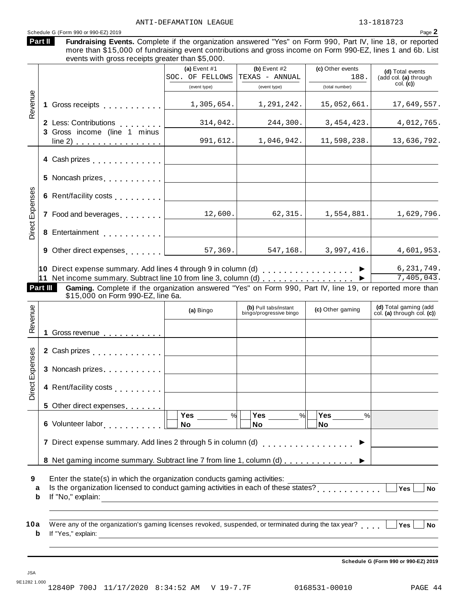Schedule <sup>G</sup> (Form <sup>990</sup> or 990-EZ) <sup>2019</sup> Page **2 Fundraising Events.** Complete if the organization answered "Yes" on Form 990, Part IV, line 18, or reported more than \$15,000 of fundraising event contributions and gross income on Form 990-EZ, lines 1 and 6b. List events with gross receipts greater than \$5,000. **Part II (a)** Event #1 **(b)** Event #2 **(c)** Other events **(d)** Total events (add col. **(a)** through col. **(c)**) (event type) (event type) (total number) **1** Gross receipts <sub>.....</sub>...... **2** Less: Contributions **3** Gross income (line 1 minus line 2) . . . . . . . . . . . . . . . Less: Contributions<br>Gross income (line 1 minus -Revenue<br>1<br>1 **4** Cash prizes . . . . . . . . . . . . **5** Noncash prizes  $\ldots \ldots \ldots$ **6** Rent/facility costs m m m m m m m m m enses **7** Food and beverages **manual 8**<br> **8** Entertainment<br> **8** Entertainment **9** Other direct expenses **manual 10** Direct expense summary. Add lines 4 through 9 in column (d) m m m m m m m m m m m m m m m m m I **11** Net income summary. Subtract line 10 from line 3, column (d) m m m m m m m m m m m m m m m m m I xp**Part III Gaming.** Complete if the organization answered "Yes" on Form 990, Part IV, line 19, or reported more than<br>\$15,000 on Form 990-EZ, line 6a. **(d)** Total gaming (add col. **(a)** through col. **(c)**) **(b)** Pull tabs/instant (a) Bingo **(b)** Pull tabs/instant **(c)** Other gaming **(c)** Other gaming  $\mathbb{E}\left[1\right]$  Gross revenue  $\ldots \ldots \ldots \ldots$ **2** Cash prizes **manual** measure in the manual  $\sim$ **3** Noncash prizes . . . . . . . . . . . œ venue **4** Rent/facility costs<br>
5 Other direct expenses....... **5** Other direct expenses **6** Volunteer labor **man m m m m m m m m m m m m m m m m m 7** Direct expense summary. Add lines 2 through 5 in column (d)  $\ldots$  . . . . . . . . . . . . . . .  $\blacktriangleright$ 8 Net gaming income summary. Subtract line 7 from line 1, column (d)  $\ldots \ldots \ldots$ xpenses<br>3<br>x<br>3 **Yes No Yes No Yes No** % $\vert \quad \vert$  Yes \_\_\_\_\_\_ % $\vert \quad \vert$  Yes \_\_\_\_\_\_ % $\vert$ **9 10** Enter the state(s) in which the organization conducts gaming activities: Erner the state(s) in which the organization conducts gaming activities.<br> **a** Is the organization licensed to conduct gaming activities in each of these states?<br> **b** If the theoretic state of the state of the states of the **b** If "No," explain: a Were any of the organization's gaming licenses revoked, suspended, or terminated during the tax year?<br>http://www.wali.in.com/industrial/industrial/industrial/industrial/industrial/industrial/industrial/industrial/ **b** If "Yes," explain: ANTI-DEFAMATION LEAGUE 13-1818723  $SOC. OF FELLOWS | TEXAS - ANNUAL |$  188. 1,305,654. 1,291,242. 15,052,661. 17,649,557. 314,042. 244,300. 3,454,423. 4,012,765. 991,612. 1,046,942. 11,598,238. 13,636,792.  $12,600.$  62,315. 1,554,881. 1,629,796. 57,369. 547,168. 3,997,416. 4,601,953. 6,231,749. 7,405,043.

**Schedule G (Form 990 or 990-EZ) 2019**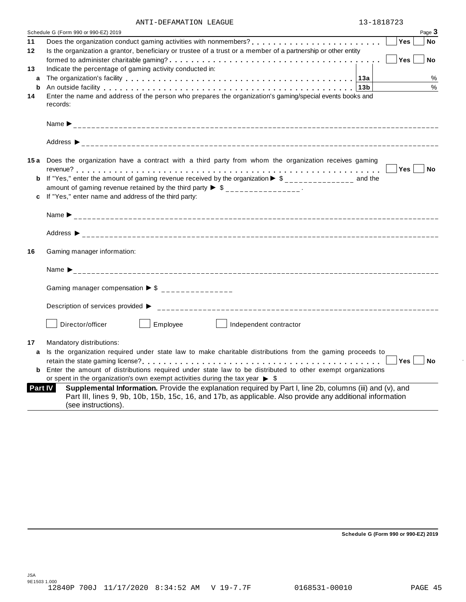| ANTI-DEFAMATION LEAGUE |  |
|------------------------|--|
|------------------------|--|

|          | Schedule G (Form 990 or 990-EZ) 2019<br>Page 3                                                                                                                                                                                                |
|----------|-----------------------------------------------------------------------------------------------------------------------------------------------------------------------------------------------------------------------------------------------|
| 11<br>12 | <b>Yes</b><br><b>No</b><br>Is the organization a grantor, beneficiary or trustee of a trust or a member of a partnership or other entity<br>Yes<br>No                                                                                         |
| 13       | Indicate the percentage of gaming activity conducted in:                                                                                                                                                                                      |
| a        | %                                                                                                                                                                                                                                             |
| b        | $\%$<br>An outside facility enterpretence in the series of the series of the series of the series of the series of the series of the series of the series of the series of the series of the series of the series of the series of the        |
| 14       | Enter the name and address of the person who prepares the organization's gaming/special events books and<br>records:                                                                                                                          |
|          |                                                                                                                                                                                                                                               |
|          |                                                                                                                                                                                                                                               |
|          | 15a Does the organization have a contract with a third party from whom the organization receives gaming                                                                                                                                       |
|          | Yes <sub>1</sub><br><b>No</b>                                                                                                                                                                                                                 |
| b        | If "Yes," enter the amount of gaming revenue received by the organization $\triangleright$ \$______________ and the<br>amount of gaming revenue retained by the third party $\triangleright$ \$ _______________.                              |
| c        | If "Yes," enter name and address of the third party:                                                                                                                                                                                          |
|          |                                                                                                                                                                                                                                               |
|          |                                                                                                                                                                                                                                               |
|          |                                                                                                                                                                                                                                               |
| 16       | Gaming manager information:                                                                                                                                                                                                                   |
|          |                                                                                                                                                                                                                                               |
|          | Gaming manager compensation $\triangleright$ \$ ________________                                                                                                                                                                              |
|          | Description of services provided ▶                                                                                                                                                                                                            |
|          | Employee<br>Director/officer<br>Independent contractor                                                                                                                                                                                        |
| 17       | Mandatory distributions:                                                                                                                                                                                                                      |
| a        | Is the organization required under state law to make charitable distributions from the gaming proceeds to                                                                                                                                     |
|          | Yes<br><b>No</b>                                                                                                                                                                                                                              |
|          | <b>b</b> Enter the amount of distributions required under state law to be distributed to other exempt organizations<br>or spent in the organization's own exempt activities during the tax year $\triangleright$ \$                           |
| Part IV  | Supplemental Information. Provide the explanation required by Part I, line 2b, columns (iii) and (v), and<br>Part III, lines 9, 9b, 10b, 15b, 15c, 16, and 17b, as applicable. Also provide any additional information<br>(see instructions). |

**Schedule G (Form 990 or 990-EZ) 2019**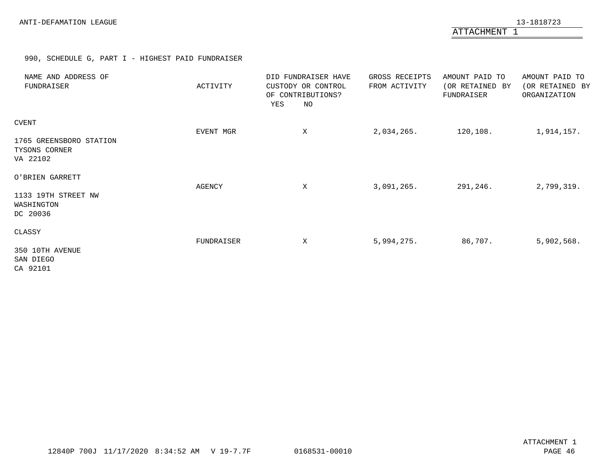ATTACHMENT 1

### 990, SCHEDULE G, PART I - HIGHEST PAID FUNDRAISER

<span id="page-43-0"></span>

| NAME AND ADDRESS OF<br>FUNDRAISER                                | ACTIVITY   | DID FUNDRAISER HAVE<br>CUSTODY OR CONTROL<br>OF CONTRIBUTIONS?<br>NO<br>YES | GROSS RECEIPTS<br>FROM ACTIVITY | AMOUNT PAID TO<br>(OR RETAINED BY<br>FUNDRAISER | AMOUNT PAID TO<br>(OR RETAINED BY<br>ORGANIZATION |
|------------------------------------------------------------------|------------|-----------------------------------------------------------------------------|---------------------------------|-------------------------------------------------|---------------------------------------------------|
| CVENT<br>1765 GREENSBORO STATION<br>TYSONS CORNER<br>VA 22102    | EVENT MGR  | X                                                                           | 2,034,265.                      | 120,108.                                        | 1,914,157.                                        |
| O'BRIEN GARRETT<br>1133 19TH STREET NW<br>WASHINGTON<br>DC 20036 | AGENCY     | Χ                                                                           | 3,091,265.                      | 291,246.                                        | 2,799,319.                                        |
| CLASSY<br>350 10TH AVENUE<br>SAN DIEGO<br>CA 92101               | FUNDRAISER | Χ                                                                           | 5,994,275.                      | 86,707.                                         | 5,902,568.                                        |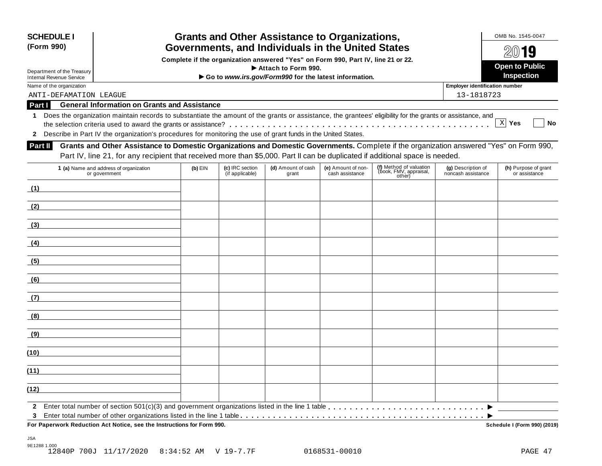| <b>SCHEDULE I</b><br>(Form 990)                                                                                                                              |                                                                                                                                                                                                                                                                               |           |                                    | <b>Grants and Other Assistance to Organizations,</b>  |                                       |                                                             |                                          | OMB No. 1545-0047                     |  |
|--------------------------------------------------------------------------------------------------------------------------------------------------------------|-------------------------------------------------------------------------------------------------------------------------------------------------------------------------------------------------------------------------------------------------------------------------------|-----------|------------------------------------|-------------------------------------------------------|---------------------------------------|-------------------------------------------------------------|------------------------------------------|---------------------------------------|--|
| Governments, and Individuals in the United States<br>Complete if the organization answered "Yes" on Form 990, Part IV, line 21 or 22.<br>Attach to Form 990. |                                                                                                                                                                                                                                                                               |           |                                    |                                                       |                                       | 20019<br><b>Open to Public</b>                              |                                          |                                       |  |
| Department of the Treasury<br><b>Internal Revenue Service</b>                                                                                                |                                                                                                                                                                                                                                                                               |           |                                    | Go to www.irs.gov/Form990 for the latest information. |                                       |                                                             |                                          | Inspection                            |  |
| Name of the organization                                                                                                                                     |                                                                                                                                                                                                                                                                               |           |                                    |                                                       |                                       |                                                             | <b>Employer identification number</b>    |                                       |  |
| ANTI-DEFAMATION LEAGUE                                                                                                                                       |                                                                                                                                                                                                                                                                               |           |                                    |                                                       |                                       |                                                             | 13-1818723                               |                                       |  |
| Part I                                                                                                                                                       | <b>General Information on Grants and Assistance</b>                                                                                                                                                                                                                           |           |                                    |                                                       |                                       |                                                             |                                          |                                       |  |
| 1                                                                                                                                                            | Does the organization maintain records to substantiate the amount of the grants or assistance, the grantees' eligibility for the grants or assistance, and<br>2 Describe in Part IV the organization's procedures for monitoring the use of grant funds in the United States. |           |                                    |                                                       |                                       |                                                             |                                          | $X$ Yes<br>No                         |  |
| Part II                                                                                                                                                      | Grants and Other Assistance to Domestic Organizations and Domestic Governments. Complete if the organization answered "Yes" on Form 990,<br>Part IV, line 21, for any recipient that received more than \$5,000. Part II can be duplicated if additional space is needed.     |           |                                    |                                                       |                                       |                                                             |                                          |                                       |  |
|                                                                                                                                                              | 1 (a) Name and address of organization<br>or government                                                                                                                                                                                                                       | $(b)$ EIN | (c) IRC section<br>(if applicable) | (d) Amount of cash<br>grant                           | (e) Amount of non-<br>cash assistance | (f) Method of valuation<br>(book, FMV, appraisal,<br>other) | (g) Description of<br>noncash assistance | (h) Purpose of grant<br>or assistance |  |
| (1)                                                                                                                                                          |                                                                                                                                                                                                                                                                               |           |                                    |                                                       |                                       |                                                             |                                          |                                       |  |
| (2)                                                                                                                                                          |                                                                                                                                                                                                                                                                               |           |                                    |                                                       |                                       |                                                             |                                          |                                       |  |
| (3)                                                                                                                                                          |                                                                                                                                                                                                                                                                               |           |                                    |                                                       |                                       |                                                             |                                          |                                       |  |
| (4)                                                                                                                                                          |                                                                                                                                                                                                                                                                               |           |                                    |                                                       |                                       |                                                             |                                          |                                       |  |
| (5)                                                                                                                                                          |                                                                                                                                                                                                                                                                               |           |                                    |                                                       |                                       |                                                             |                                          |                                       |  |
| (6)                                                                                                                                                          |                                                                                                                                                                                                                                                                               |           |                                    |                                                       |                                       |                                                             |                                          |                                       |  |
| (7)                                                                                                                                                          |                                                                                                                                                                                                                                                                               |           |                                    |                                                       |                                       |                                                             |                                          |                                       |  |
| (8)                                                                                                                                                          |                                                                                                                                                                                                                                                                               |           |                                    |                                                       |                                       |                                                             |                                          |                                       |  |
| (9)                                                                                                                                                          |                                                                                                                                                                                                                                                                               |           |                                    |                                                       |                                       |                                                             |                                          |                                       |  |
| (10)                                                                                                                                                         |                                                                                                                                                                                                                                                                               |           |                                    |                                                       |                                       |                                                             |                                          |                                       |  |
| (11)                                                                                                                                                         |                                                                                                                                                                                                                                                                               |           |                                    |                                                       |                                       |                                                             |                                          |                                       |  |
| (12)                                                                                                                                                         |                                                                                                                                                                                                                                                                               |           |                                    |                                                       |                                       |                                                             |                                          |                                       |  |
|                                                                                                                                                              |                                                                                                                                                                                                                                                                               |           |                                    |                                                       |                                       |                                                             |                                          |                                       |  |
| 3                                                                                                                                                            | For Paperwork Reduction Act Notice, see the Instructions for Form 990.                                                                                                                                                                                                        |           |                                    |                                                       |                                       |                                                             |                                          | Schedule I (Form 990) (2019)          |  |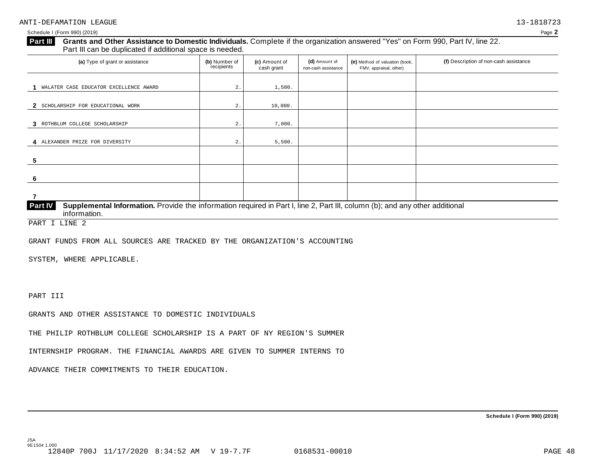### **Grants and Other Assistance to Domestic Individuals.** Complete ifthe organization answered "Yes" on Form 990, Part IV, line 22. **Part III** Grants and Other Assistance to Domestic Individuals<br>Part III can be duplicated if additional space is needed.

| (a) Type of grant or assistance                                                                                                                                | (b) Number of<br>recipients | (c) Amount of<br>cash grant | (d) Amount of<br>non-cash assistance | (e) Method of valuation (book,<br>FMV, appraisal, other) | (f) Description of non-cash assistance |
|----------------------------------------------------------------------------------------------------------------------------------------------------------------|-----------------------------|-----------------------------|--------------------------------------|----------------------------------------------------------|----------------------------------------|
| 1 WALATER CASE EDUCATOR EXCELLENCE AWARD                                                                                                                       | 2.                          | 1,500.                      |                                      |                                                          |                                        |
| 2 SCHOLARSHIP FOR EDUCATIONAL WORK                                                                                                                             | $2$ .                       | 10,000.                     |                                      |                                                          |                                        |
|                                                                                                                                                                |                             |                             |                                      |                                                          |                                        |
| 3 ROTHBLUM COLLEGE SCHOLARSHIP                                                                                                                                 | $2$ .                       | 7,000.                      |                                      |                                                          |                                        |
| 4 ALEXANDER PRIZE FOR DIVERSITY                                                                                                                                | $2$ .                       | 5,500.                      |                                      |                                                          |                                        |
| 5                                                                                                                                                              |                             |                             |                                      |                                                          |                                        |
| 6                                                                                                                                                              |                             |                             |                                      |                                                          |                                        |
|                                                                                                                                                                |                             |                             |                                      |                                                          |                                        |
| <b>Part IV</b><br>Supplemental Information. Provide the information required in Part I, line 2, Part III, column (b); and any other additional<br>information. |                             |                             |                                      |                                                          |                                        |

PART I LINE 2

GRANT FUNDS FROM ALL SOURCES ARE TRACKED BY THE ORGANIZATION'S ACCOUNTING

SYSTEM, WHERE APPLICABLE.

PART III

GRANTS AND OTHER ASSISTANCE TO DOMESTIC INDIVIDUALS

THE PHILIP ROTHBLUM COLLEGE SCHOLARSHIP IS A PART OF NY REGION'S SUMMER

INTERNSHIP PROGRAM. THE FINANCIAL AWARDS ARE GIVEN TO SUMMER INTERNS TO

ADVANCE THEIR COMMITMENTS TO THEIR EDUCATION.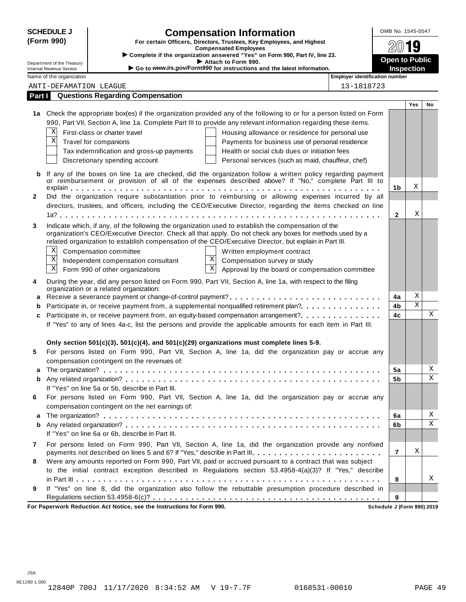|              | <b>SCHEDULE J</b>                                           | <b>Compensation Information</b>                                                                                                                                                                                     | OMB No. 1545-0047 |                   |    |
|--------------|-------------------------------------------------------------|---------------------------------------------------------------------------------------------------------------------------------------------------------------------------------------------------------------------|-------------------|-------------------|----|
|              | (Form 990)                                                  | For certain Officers, Directors, Trustees, Key Employees, and Highest                                                                                                                                               |                   | 19                |    |
|              |                                                             | <b>Compensated Employees</b><br>Complete if the organization answered "Yes" on Form 990, Part IV, line 23.                                                                                                          |                   |                   |    |
|              | Department of the Treasury                                  | Attach to Form 990.<br>Go to www.irs.gov/Form990 for instructions and the latest information.                                                                                                                       | Open to Public    |                   |    |
|              | <b>Internal Revenue Service</b><br>Name of the organization | <b>Employer identification number</b>                                                                                                                                                                               |                   | <b>Inspection</b> |    |
|              | ANTI-DEFAMATION LEAGUE                                      | 13-1818723                                                                                                                                                                                                          |                   |                   |    |
| Part I       |                                                             | <b>Questions Regarding Compensation</b>                                                                                                                                                                             |                   |                   |    |
|              |                                                             |                                                                                                                                                                                                                     |                   | <b>Yes</b>        | No |
|              |                                                             | 1a Check the appropriate box(es) if the organization provided any of the following to or for a person listed on Form                                                                                                |                   |                   |    |
|              | Χ                                                           | 990, Part VII, Section A, line 1a. Complete Part III to provide any relevant information regarding these items.                                                                                                     |                   |                   |    |
|              | X                                                           | First-class or charter travel<br>Housing allowance or residence for personal use                                                                                                                                    |                   |                   |    |
|              |                                                             | Payments for business use of personal residence<br>Travel for companions<br>Tax indemnification and gross-up payments<br>Health or social club dues or initiation fees                                              |                   |                   |    |
|              |                                                             | Discretionary spending account<br>Personal services (such as maid, chauffeur, chef)                                                                                                                                 |                   |                   |    |
|              |                                                             |                                                                                                                                                                                                                     |                   |                   |    |
| b            |                                                             | If any of the boxes on line 1a are checked, did the organization follow a written policy regarding payment                                                                                                          |                   |                   |    |
|              |                                                             | or reimbursement or provision of all of the expenses described above? If "No," complete Part III to                                                                                                                 | 1b                | Χ                 |    |
| $\mathbf{2}$ |                                                             | Did the organization require substantiation prior to reimbursing or allowing expenses incurred by all                                                                                                               |                   |                   |    |
|              |                                                             | directors, trustees, and officers, including the CEO/Executive Director, regarding the items checked on line                                                                                                        |                   |                   |    |
|              |                                                             |                                                                                                                                                                                                                     | $\mathbf{2}$      | X                 |    |
| 3            |                                                             | Indicate which, if any, of the following the organization used to establish the compensation of the                                                                                                                 |                   |                   |    |
|              |                                                             | organization's CEO/Executive Director. Check all that apply. Do not check any boxes for methods used by a<br>related organization to establish compensation of the CEO/Executive Director, but explain in Part III. |                   |                   |    |
|              | X                                                           | Compensation committee<br>Written employment contract                                                                                                                                                               |                   |                   |    |
|              | $\overline{\text{X}}$                                       | $\mathbf{X}$<br>Independent compensation consultant<br>Compensation survey or study                                                                                                                                 |                   |                   |    |
|              | $\overline{\mathbf{x}}$                                     | $\overline{\mathbf{x}}$<br>Form 990 of other organizations<br>Approval by the board or compensation committee                                                                                                       |                   |                   |    |
|              |                                                             |                                                                                                                                                                                                                     |                   |                   |    |
| 4            |                                                             | During the year, did any person listed on Form 990, Part VII, Section A, line 1a, with respect to the filing<br>organization or a related organization:                                                             |                   |                   |    |
| a            |                                                             |                                                                                                                                                                                                                     | 4a                | Χ                 |    |
| b            |                                                             | Participate in, or receive payment from, a supplemental nonqualified retirement plan?                                                                                                                               | 4b                | X                 |    |
| c            |                                                             | Participate in, or receive payment from, an equity-based compensation arrangement?                                                                                                                                  | 4c                |                   | X  |
|              |                                                             | If "Yes" to any of lines 4a-c, list the persons and provide the applicable amounts for each item in Part III.                                                                                                       |                   |                   |    |
|              |                                                             |                                                                                                                                                                                                                     |                   |                   |    |
|              |                                                             | Only section $501(c)(3)$ , $501(c)(4)$ , and $501(c)(29)$ organizations must complete lines 5-9.                                                                                                                    |                   |                   |    |
| 5            |                                                             | For persons listed on Form 990, Part VII, Section A, line 1a, did the organization pay or accrue any                                                                                                                |                   |                   |    |
|              |                                                             | compensation contingent on the revenues of:                                                                                                                                                                         |                   |                   | Χ  |
| a            |                                                             |                                                                                                                                                                                                                     | 5a                |                   | Χ  |
| b            |                                                             | If "Yes" on line 5a or 5b, describe in Part III.                                                                                                                                                                    | 5b                |                   |    |
| 6            |                                                             | For persons listed on Form 990, Part VII, Section A, line 1a, did the organization pay or accrue any                                                                                                                |                   |                   |    |
|              |                                                             | compensation contingent on the net earnings of:                                                                                                                                                                     |                   |                   |    |
| a            |                                                             |                                                                                                                                                                                                                     | 6a                |                   | X  |
| b            |                                                             |                                                                                                                                                                                                                     | 6b                |                   | Χ  |
|              |                                                             | If "Yes" on line 6a or 6b, describe in Part III.                                                                                                                                                                    |                   |                   |    |
| 7            |                                                             | For persons listed on Form 990, Part VII, Section A, line 1a, did the organization provide any nonfixed                                                                                                             |                   |                   |    |
|              |                                                             | payments not described on lines 5 and 6? If "Yes," describe in Part III.                                                                                                                                            | $\overline{7}$    | Χ                 |    |
| 8            |                                                             | Were any amounts reported on Form 990, Part VII, paid or accrued pursuant to a contract that was subject                                                                                                            |                   |                   |    |
|              |                                                             | to the initial contract exception described in Regulations section 53.4958-4(a)(3)? If "Yes," describe                                                                                                              |                   |                   |    |
|              |                                                             |                                                                                                                                                                                                                     | 8                 |                   | X  |
| 9            |                                                             | If "Yes" on line 8, did the organization also follow the rebuttable presumption procedure described in                                                                                                              |                   |                   |    |
|              |                                                             |                                                                                                                                                                                                                     | 9                 |                   |    |

**For Paperwork Reduction Act Notice, see the Instructions for Form 990. Schedule J (Form 990) 2019**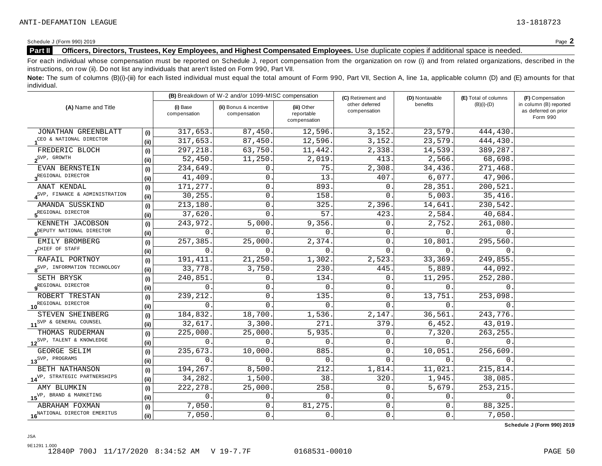### **Part II Officers, Directors, Trustees, Key Employees, and Highest Compensated Employees.** Use duplicate copies ifadditional space is needed.

For each individual whose compensation must be reported on Schedule J, report compensation from the organization on row (i) and from related organizations, described in the instructions, on row (ii). Do not list any individuals that aren't listed on Form 990, Part VII.

Note: The sum of columns (B)(i)-(iii) for each listed individual must equal the total amount of Form 990, Part VII, Section A, line 1a, applicable column (D) and (E) amounts for that individual.

|                                                          |                              |                          | (B) Breakdown of W-2 and/or 1099-MISC compensation |                                           | (C) Retirement and             | (D) Nontaxable | (E) Total of columns | (F) Compensation                                           |
|----------------------------------------------------------|------------------------------|--------------------------|----------------------------------------------------|-------------------------------------------|--------------------------------|----------------|----------------------|------------------------------------------------------------|
| (A) Name and Title                                       |                              | (i) Base<br>compensation | (ii) Bonus & incentive<br>compensation             | (iii) Other<br>reportable<br>compensation | other deferred<br>compensation | benefits       | $(B)(i)-(D)$         | in column (B) reported<br>as deferred on prior<br>Form 990 |
| JONATHAN GREENBLATT                                      | (i)                          | 317,653.                 | 87,450.                                            | 12,596.                                   | 3,152.                         | 23,579.        | 444,430              |                                                            |
| CEO & NATIONAL DIRECTOR                                  | (ii)                         | 317,653.                 | 87,450.                                            | 12,596.                                   | 3,152.                         | 23,579.        | 444,430.             |                                                            |
| FREDERIC BLOCH                                           | (i)                          | 297, 218.                | 63,750.                                            | 11,442.                                   | 2,338.                         | 14,539.        | 389,287.             |                                                            |
| $2^{\text{SVP}}$ , GROWTH                                | (ii)                         | 52,450.                  | 11, 250.                                           | 2,019.                                    | 413.                           | 2,566.         | 68,698               |                                                            |
| <b>EVAN BERNSTEIN</b>                                    | (i)                          | 234,649                  | $\mathsf 0$ .                                      | 75.                                       | 2,308.                         | 34,436.        | 271,468              |                                                            |
| 3 <sup>REGIONAL</sup> DIRECTOR                           | (ii)                         | 41,409.                  | $0$ .                                              | 13.                                       | 407                            | 6,077.         | 47,906.              |                                                            |
| ANAT KENDAL                                              | (i)                          | 171,277.                 | 0.                                                 | 893.                                      | $\mathbf 0$                    | 28,351.        | 200,521              |                                                            |
| $\boldsymbol{A}^{\text{SVP}}$ , FINANCE & ADMINISTRATION | (ii)                         | 30,255                   | 0.                                                 | 158                                       | $\mathbf 0$                    | 5,003.         | 35,416.              |                                                            |
| AMANDA SUSSKIND                                          | $\qquad \qquad \textbf{(i)}$ | 213,180                  | 0.                                                 | 325                                       | 2,396                          | 14,641.        | 230,542.             |                                                            |
| REGIONAL DIRECTOR                                        | (ii)                         | 37,620                   | 0                                                  | 57.                                       | 423                            | 2,584.         | 40,684.              |                                                            |
| KENNETH JACOBSON                                         | (i)                          | 243,972                  | 5,000                                              | 9,356.                                    | 0                              | 2,752.         | 261,080              |                                                            |
| 6 <sup>DEPUTY</sup> NATIONAL DIRECTOR                    | (ii)                         | 0                        | 0                                                  | 0                                         | 0                              | 0.             | $\mathsf{O}$ .       |                                                            |
| EMILY BROMBERG                                           | (i)                          | 257,385                  | 25,000.                                            | 2,374.                                    | 0                              | 10,801.        | 295,560.             |                                                            |
| TCHIEF OF STAFF                                          | (ii)                         | 0                        | 0                                                  | $\overline{0}$ .                          | 0                              | 0.             | $\mathbf{0}$ .       |                                                            |
| RAFAIL PORTNOY                                           | (i)                          | 191,411                  | 21,250.                                            | 1,302.                                    | 2,523                          | 33,369.        | 249,855.             |                                                            |
| 8 <sup>SVP, INFORMATION TECHNOLOGY</sup>                 | (ii)                         | 33,778.                  | 3,750.                                             | 230                                       | 445                            | 5,889.         | 44,092.              |                                                            |
| SETH BRYSK                                               | (i)                          | 240,851                  | 0.                                                 | 134                                       | 0                              | 11,295.        | 252,280.             |                                                            |
| 9REGIONAL DIRECTOR                                       | (ii)                         | 0                        | 0.                                                 | $\mathbf 0$                               | 0                              | $0$ .          | $\mathbf 0$ .        |                                                            |
| ROBERT TRESTAN                                           | (i)                          | 239,212                  | 0.                                                 | 135                                       | 0                              | 13,751.        | 253,098              |                                                            |
| 10 <sup>REGIONAL</sup> DIRECTOR                          | (ii)                         | 0                        | 0.                                                 | 0.                                        | 0                              | $0$ .          | $\mathbf 0$          |                                                            |
| STEVEN SHEINBERG                                         | (i)                          | 184,832.                 | 18,700.                                            | 1,536.                                    | 2,147                          | 36,561.        | 243,776.             |                                                            |
| 11 <sup>SVP &amp;</sup> GENERAL COUNSEL                  | (ii)                         | 32,617.                  | 3,300.                                             | 271                                       | 379                            | 6,452.         | 43,019               |                                                            |
| THOMAS RUDERMAN                                          | (i)                          | 225,000                  | 25,000.                                            | 5,935                                     | 0                              | 7,320.         | 263, 255.            |                                                            |
| $12^{\text{SVP}}$ , TALENT & KNOWLEDGE                   | (ii)                         | 0                        | 0.                                                 | $\mathsf{O}$ .                            | $\mathsf{O}$ .                 | 0.             | $\mathsf{O}$ .       |                                                            |
| GEORGE SELIM                                             | (i)                          | 235,673                  | 10,000.                                            | 885                                       | 0                              | 10,051.        | 256,609              |                                                            |
| 13 <sup>SVP, PROGRAMS</sup>                              | (ii)                         | 0                        | $\mathsf{O}$ .                                     | $\mathsf{O}$ .                            | 0                              | $0$ .          | 0.                   |                                                            |
| BETH NATHANSON                                           | (i)                          | 194,267.                 | 8,500.                                             | 212.                                      | 1,814                          | 11,021.        | 215,814.             |                                                            |
| 14 <sup>VP, STRATEGIC PARTNERSHIPS</sup>                 | (ii)                         | 34,282.                  | 1,500.                                             | 38.                                       | 320                            | 1,945.         | 38,085.              |                                                            |
| AMY BLUMKIN                                              | (i)                          | 222, 278                 | 25,000.                                            | 258                                       | $\mathbf 0$                    | 5,679.         | 253, 215.            |                                                            |
| 15 <sup>VP, BRAND &amp; MARKETING</sup>                  | (ii)                         | $\Omega$                 | 0.                                                 | $\mathsf{O}$ .                            | 0                              | 0.             | $\mathbf{0}$ .       |                                                            |
| ABRAHAM FOXMAN                                           | (i)                          | 7,050.                   | 0.                                                 | 81,275.                                   | 0                              | $0$ .          | 88,325               |                                                            |
| 16 <sup>NATIONAL</sup> DIRECTOR EMERITUS                 | (ii)                         | 7,050.                   | 0.                                                 | 0.                                        | $\mathsf{O}$ .                 | 0.             | 7,050                |                                                            |

**Schedule J (Form 990) 2019**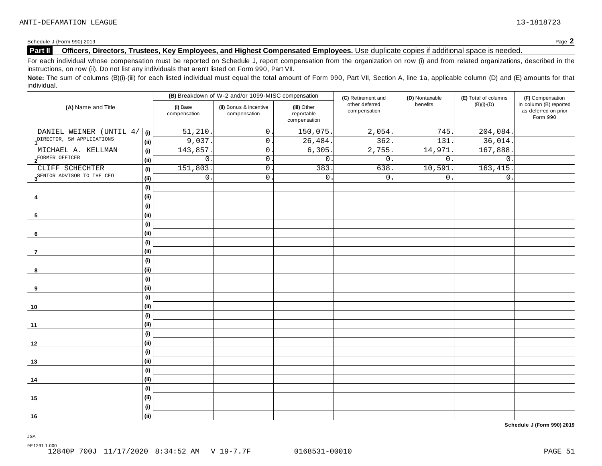### **Part II Officers, Directors, Trustees, Key Employees, and Highest Compensated Employees.** Use duplicate copies ifadditional space is needed.

For each individual whose compensation must be reported on Schedule J, report compensation from the organization on row (i) and from related organizations, described in the instructions, on row (ii). Do not list any individuals that aren't listed on Form 990, Part VII.

Note: The sum of columns (B)(i)-(iii) for each listed individual must equal the total amount of Form 990, Part VII, Section A, line 1a, applicable column (D) and (E) amounts for that individual.

|                                        |     |                          | (B) Breakdown of W-2 and/or 1099-MISC compensation |                                           | (C) Retirement and             | (D) Nontaxable   | (E) Total of columns | (F) Compensation                                           |
|----------------------------------------|-----|--------------------------|----------------------------------------------------|-------------------------------------------|--------------------------------|------------------|----------------------|------------------------------------------------------------|
| (A) Name and Title                     |     | (i) Base<br>compensation | (ii) Bonus & incentive<br>compensation             | (iii) Other<br>reportable<br>compensation | other deferred<br>compensation | benefits         | $(B)(i)-(D)$         | in column (B) reported<br>as deferred on prior<br>Form 990 |
| DANIEL WEINER (UNTIL 4/                | (i) | 51,210.                  | $\mathbf{0}$ .                                     | 150,075.                                  | 2,054.                         | 745.             | 204,084.             |                                                            |
| DIRECTOR, SW APPLICATIONS              | (i) | 9,037.                   | 0.                                                 | 26, 484.                                  | 362.                           | 131.             | 36,014.              |                                                            |
| MICHAEL A. KELLMAN                     | (i) | 143,857                  | $0$ .                                              | 6,305.                                    | 2,755.                         | 14,971           | 167,888.             |                                                            |
| 2 <sup>FORMER</sup> OFFICER            | (i) | $\mathsf{O}$ .           | $\mathsf{O}$ .                                     | $\mathsf{0}$ .                            | $\mathsf{O}$ .                 | $\overline{0}$ . | $\mathsf{O}$ .       |                                                            |
| CLIFF SCHECHTER                        | (i) | 151,803                  | $\mathsf{O}$ .                                     | 383                                       | 638                            | 10,591           | 163,415.             |                                                            |
| 3 <sup>SENIOR</sup> ADVISOR TO THE CEO | (i) | $\mathsf{O}$             | $0$ .                                              | 0                                         | $\mathbf{0}$ .                 | $\mathbf{0}$ .   | $\mathbf 0$ .        |                                                            |
|                                        | (i) |                          |                                                    |                                           |                                |                  |                      |                                                            |
| 4                                      | (i) |                          |                                                    |                                           |                                |                  |                      |                                                            |
|                                        | (i) |                          |                                                    |                                           |                                |                  |                      |                                                            |
| 5                                      | (i) |                          |                                                    |                                           |                                |                  |                      |                                                            |
|                                        | (i) |                          |                                                    |                                           |                                |                  |                      |                                                            |
| 6                                      | (i) |                          |                                                    |                                           |                                |                  |                      |                                                            |
|                                        | (i) |                          |                                                    |                                           |                                |                  |                      |                                                            |
| $\overline{7}$                         | (i) |                          |                                                    |                                           |                                |                  |                      |                                                            |
|                                        | (i) |                          |                                                    |                                           |                                |                  |                      |                                                            |
| 8                                      | (i) |                          |                                                    |                                           |                                |                  |                      |                                                            |
|                                        | (i) |                          |                                                    |                                           |                                |                  |                      |                                                            |
| 9                                      | (i) |                          |                                                    |                                           |                                |                  |                      |                                                            |
|                                        | (i) |                          |                                                    |                                           |                                |                  |                      |                                                            |
| 10                                     | (i) |                          |                                                    |                                           |                                |                  |                      |                                                            |
|                                        | (i) |                          |                                                    |                                           |                                |                  |                      |                                                            |
| 11                                     | (i) |                          |                                                    |                                           |                                |                  |                      |                                                            |
|                                        | (i) |                          |                                                    |                                           |                                |                  |                      |                                                            |
| 12                                     | (i) |                          |                                                    |                                           |                                |                  |                      |                                                            |
|                                        | (i) |                          |                                                    |                                           |                                |                  |                      |                                                            |
| 13                                     | (i) |                          |                                                    |                                           |                                |                  |                      |                                                            |
|                                        | (i) |                          |                                                    |                                           |                                |                  |                      |                                                            |
| 14                                     | (i) |                          |                                                    |                                           |                                |                  |                      |                                                            |
|                                        | (i) |                          |                                                    |                                           |                                |                  |                      |                                                            |
| 15                                     | (i) |                          |                                                    |                                           |                                |                  |                      |                                                            |
|                                        | (i) |                          |                                                    |                                           |                                |                  |                      |                                                            |
| 16                                     | (i) |                          |                                                    |                                           |                                |                  |                      |                                                            |

**Schedule J (Form 990) 2019**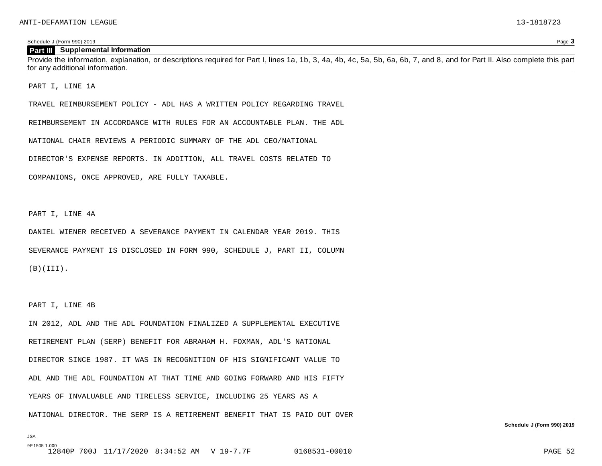### **Part III Supplemental Information**

Provide the information, explanation, or descriptions required for Part I, lines 1a, 1b, 3, 4a, 4b, 4c, 5a, 5b, 6a, 6b, 7, and 8, and for Part II. Also complete this part for any additional information.

PART I, LINE 1A

TRAVEL REIMBURSEMENT POLICY - ADL HAS A WRITTEN POLICY REGARDING TRAVEL

REIMBURSEMENT IN ACCORDANCE WITH RULES FOR AN ACCOUNTABLE PLAN. THE ADL

NATIONAL CHAIR REVIEWS A PERIODIC SUMMARY OF THE ADL CEO/NATIONAL

DIRECTOR'S EXPENSE REPORTS. IN ADDITION, ALL TRAVEL COSTS RELATED TO

COMPANIONS, ONCE APPROVED, ARE FULLY TAXABLE.

PART I, LINE 4A

DANIEL WIENER RECEIVED A SEVERANCE PAYMENT IN CALENDAR YEAR 2019. THIS

SEVERANCE PAYMENT IS DISCLOSED IN FORM 990, SCHEDULE J, PART II, COLUMN

 $(B)(III)$ .

PART I, LINE 4B

IN 2012, ADL AND THE ADL FOUNDATION FINALIZED A SUPPLEMENTAL EXECUTIVE RETIREMENT PLAN (SERP) BENEFIT FOR ABRAHAM H. FOXMAN, ADL'S NATIONAL DIRECTOR SINCE 1987. IT WAS IN RECOGNITION OF HIS SIGNIFICANT VALUE TO ADL AND THE ADL FOUNDATION AT THAT TIME AND GOING FORWARD AND HIS FIFTY YEARS OF INVALUABLE AND TIRELESS SERVICE, INCLUDING 25 YEARS AS A NATIONAL DIRECTOR. THE SERP IS A RETIREMENT BENEFIT THAT IS PAID OUT OVER

JSA

9E1505 1.000

12840P 700J 11/17/2020 8:34:52 AM V 19-7.7F 0168531-00010 PAGE 52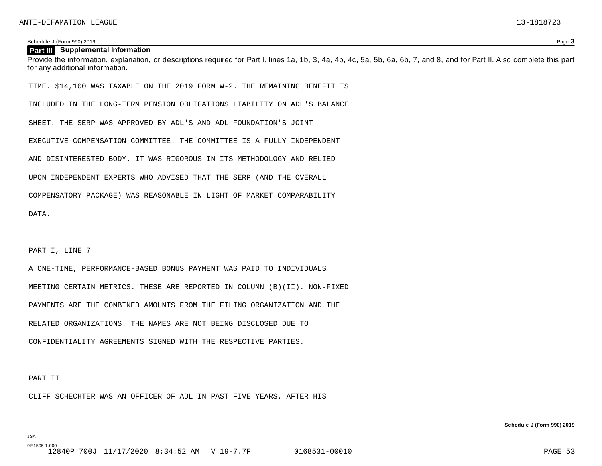### **Part III Supplemental Information**

Provide the information, explanation, or descriptions required for Part I, lines 1a, 1b, 3, 4a, 4b, 4c, 5a, 5b, 6a, 6b, 7, and 8, and for Part II. Also complete this part for any additional information.

TIME. \$14,100 WAS TAXABLE ON THE 2019 FORM W-2. THE REMAINING BENEFIT IS

INCLUDED IN THE LONG-TERM PENSION OBLIGATIONS LIABILITY ON ADL'S BALANCE

SHEET. THE SERP WAS APPROVED BY ADL'S AND ADL FOUNDATION'S JOINT

EXECUTIVE COMPENSATION COMMITTEE. THE COMMITTEE IS A FULLY INDEPENDENT

AND DISINTERESTED BODY. IT WAS RIGOROUS IN ITS METHODOLOGY AND RELIED

UPON INDEPENDENT EXPERTS WHO ADVISED THAT THE SERP (AND THE OVERALL

COMPENSATORY PACKAGE) WAS REASONABLE IN LIGHT OF MARKET COMPARABILITY

DATA.

### PART I, LINE 7

A ONE-TIME, PERFORMANCE-BASED BONUS PAYMENT WAS PAID TO INDIVIDUALS MEETING CERTAIN METRICS. THESE ARE REPORTED IN COLUMN (B)(II). NON-FIXED PAYMENTS ARE THE COMBINED AMOUNTS FROM THE FILING ORGANIZATION AND THE RELATED ORGANIZATIONS. THE NAMES ARE NOT BEING DISCLOSED DUE TO CONFIDENTIALITY AGREEMENTS SIGNED WITH THE RESPECTIVE PARTIES.

### PART II

CLIFF SCHECHTER WAS AN OFFICER OF ADL IN PAST FIVE YEARS. AFTER HIS

9E1505 1.000

**Schedule J (Form 990) 2019**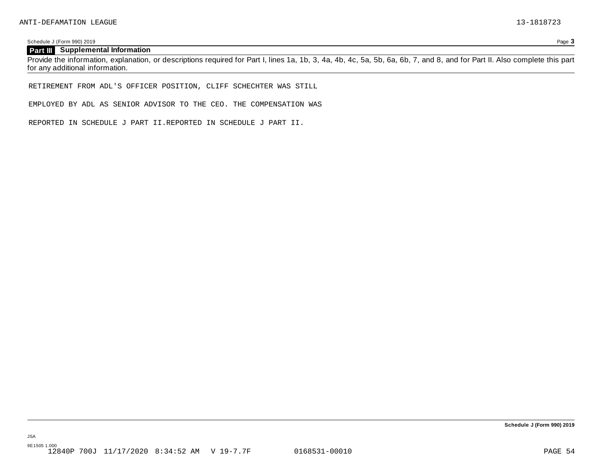### **Part III Supplemental Information**

Provide the information, explanation, or descriptions required for Part I, lines 1a, 1b, 3, 4a, 4b, 4c, 5a, 5b, 6a, 6b, 7, and 8, and for Part II. Also complete this part for any additional information.

RETIREMENT FROM ADL'S OFFICER POSITION, CLIFF SCHECHTER WAS STILL

EMPLOYED BY ADL AS SENIOR ADVISOR TO THE CEO. THE COMPENSATION WAS

REPORTED IN SCHEDULE J PART II.REPORTED IN SCHEDULE J PART II.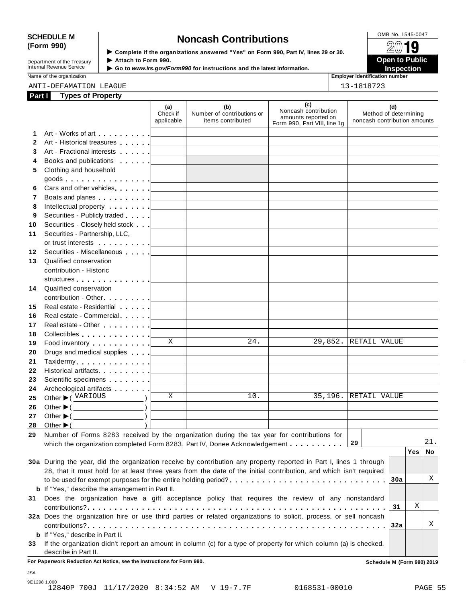# SCHEDULE M<br>
(Form 990) **Supplementary of the organizations answered** "Yes" on Form 990 Part IV lines 29 or 30

**Department of the Treasury<br>Internal Revenue Service** 

**Examplete** if the organizations answered "Yes" on Form 990, Part Ⅳ, lines 29 or 30. 
<br>▶ Attach to Form 990. **Department of the Treasury ▶ Attach to Form 990.**<br>Internal Revenue Service ▶ Go to *www.irs.gov/Form990* for instructions and the latest information.<br>Nome of the organization aumhor

Name of the organization **intervalse of the organization intervalse of the organization <b>intervalse of the organization intervalse of the organization intervalse of the organization intervalse of the organization**

| ployer identification i |  |
|-------------------------|--|
| 13-1818723              |  |

|  | ANTI-DEFAMATION LEAGUE |
|--|------------------------|
|--|------------------------|

| Part I           | <b>Types of Property</b>                                                                                                                                                                       |                               |                                                                                                                     |                                                                                    |                                                              |
|------------------|------------------------------------------------------------------------------------------------------------------------------------------------------------------------------------------------|-------------------------------|---------------------------------------------------------------------------------------------------------------------|------------------------------------------------------------------------------------|--------------------------------------------------------------|
|                  |                                                                                                                                                                                                | (a)<br>Check if<br>applicable | (b)<br>Number of contributions or<br>items contributed                                                              | (c)<br>Noncash contribution<br>amounts reported on<br>Form 990, Part VIII, line 1g | (d)<br>Method of determining<br>noncash contribution amounts |
| 1                |                                                                                                                                                                                                |                               | the control of the control of the control of the control of                                                         |                                                                                    |                                                              |
| $\mathbf{2}$     |                                                                                                                                                                                                |                               | the control of the control of the control of the control of the control of                                          |                                                                                    |                                                              |
| 3                |                                                                                                                                                                                                |                               | <u> 1989 - Johann Stein, mars an deus Amerikaansk kommunister (</u>                                                 |                                                                                    |                                                              |
| 4                | Books and publications <b>Exercise 2 Lines Exercise 2 Lines Report 3 Lines Report 3 Lines Report 3 Lines Report 3 Report 3 Report 3 Report 3 Report 3 Report 3 Report 3 Report 3 Report 3 </b> |                               |                                                                                                                     |                                                                                    |                                                              |
| 5                | Clothing and household                                                                                                                                                                         |                               |                                                                                                                     |                                                                                    |                                                              |
|                  | goods $\ldots \ldots \ldots \ldots \ldots$                                                                                                                                                     |                               |                                                                                                                     |                                                                                    |                                                              |
| 6                |                                                                                                                                                                                                |                               |                                                                                                                     |                                                                                    |                                                              |
| 7                |                                                                                                                                                                                                |                               | <u> 1989 - Johann Barn, amerikansk politiker (</u>                                                                  |                                                                                    |                                                              |
| 8                |                                                                                                                                                                                                |                               |                                                                                                                     |                                                                                    |                                                              |
| 9                |                                                                                                                                                                                                |                               |                                                                                                                     | the control of the control of the control of the control of the control of         |                                                              |
| 10               |                                                                                                                                                                                                |                               |                                                                                                                     |                                                                                    |                                                              |
| 11               | Securities - Partnership, LLC,                                                                                                                                                                 |                               | the control of the control of the control of the control of the control of the control of                           |                                                                                    |                                                              |
|                  | or trust interests<br><u>[ __________</u>                                                                                                                                                      |                               |                                                                                                                     |                                                                                    |                                                              |
| 12 <sup>12</sup> | Securities - Miscellaneous                                                                                                                                                                     |                               | <u> 1980 - Johann Barbara, martxa alemaniar a</u>                                                                   |                                                                                    |                                                              |
| 13 <sup>7</sup>  | Qualified conservation                                                                                                                                                                         |                               |                                                                                                                     |                                                                                    |                                                              |
|                  |                                                                                                                                                                                                |                               |                                                                                                                     |                                                                                    |                                                              |
|                  | contribution - Historic<br>structures experience and the structures                                                                                                                            |                               |                                                                                                                     |                                                                                    |                                                              |
|                  | 14 Qualified conservation                                                                                                                                                                      |                               |                                                                                                                     |                                                                                    |                                                              |
|                  |                                                                                                                                                                                                |                               |                                                                                                                     |                                                                                    |                                                              |
|                  |                                                                                                                                                                                                |                               |                                                                                                                     |                                                                                    |                                                              |
| 15               | Real estate - Residential [1994]                                                                                                                                                               |                               | <u> 1989 - Johann Barn, amerikansk politiker (</u>                                                                  |                                                                                    |                                                              |
| 16               |                                                                                                                                                                                                |                               |                                                                                                                     | the control of the control of the control of the control of the control of         |                                                              |
| 17               |                                                                                                                                                                                                |                               |                                                                                                                     | the control of the control of the control of the control of                        |                                                              |
| 18               | Collectibles <u>  _ _ _ _ _</u>                                                                                                                                                                | $\mathbf{X}$                  | the control of the control of the control of<br>24.                                                                 |                                                                                    | 29,852. RETAIL VALUE                                         |
| 19               | Food inventory [19]                                                                                                                                                                            |                               | the control of the control of the control of                                                                        |                                                                                    |                                                              |
| 20               | Drugs and medical supplies [100]                                                                                                                                                               |                               | the control of the control of the control of the control of                                                         | the control of the control of the control of the control of                        |                                                              |
| 21               |                                                                                                                                                                                                |                               |                                                                                                                     | the control of the control of the control of the control of the control of         |                                                              |
| 22               |                                                                                                                                                                                                |                               |                                                                                                                     | the control of the control of the control of the control of the control of         |                                                              |
| 23               |                                                                                                                                                                                                |                               | <u> 1980 - Johann Barn, mars ann an t-Amhain an t-Amhain an t-Amhain an t-Amhain an t-Amhain an t-Amhain an t-A</u> |                                                                                    |                                                              |
| 24               | Archeological artifacts                                                                                                                                                                        |                               |                                                                                                                     |                                                                                    | 35,196. RETAIL VALUE                                         |
| 25               | Other $\blacktriangleright$ (VARIOUS<br>$\begin{pmatrix} 1 & 1 \\ 1 & 1 \end{pmatrix}$                                                                                                         | Χ                             | 10.                                                                                                                 |                                                                                    |                                                              |
| 26               | Other $\blacktriangleright$ ( $\_\_\_\_\_\_\_\_$ )                                                                                                                                             |                               |                                                                                                                     |                                                                                    |                                                              |
| 27               | Other $\blacktriangleright$ ( $\_\_\_\_\_\_\_\_$ )                                                                                                                                             |                               |                                                                                                                     |                                                                                    |                                                              |
|                  | 28 Other $\blacktriangleright$ ( )                                                                                                                                                             |                               |                                                                                                                     |                                                                                    |                                                              |
|                  | 29 Number of Forms 8283 received by the organization during the tax year for contributions for                                                                                                 |                               |                                                                                                                     |                                                                                    |                                                              |
|                  | which the organization completed Form 8283, Part IV, Donee Acknowledgement                                                                                                                     |                               |                                                                                                                     |                                                                                    | 21.<br>29                                                    |
|                  |                                                                                                                                                                                                |                               |                                                                                                                     |                                                                                    | <b>Yes</b><br>No                                             |
|                  | 30a During the year, did the organization receive by contribution any property reported in Part I, lines 1 through                                                                             |                               |                                                                                                                     |                                                                                    |                                                              |
|                  | 28, that it must hold for at least three years from the date of the initial contribution, and which isn't required                                                                             |                               |                                                                                                                     |                                                                                    |                                                              |
|                  |                                                                                                                                                                                                |                               |                                                                                                                     |                                                                                    | Χ<br>30a                                                     |
|                  | <b>b</b> If "Yes," describe the arrangement in Part II.                                                                                                                                        |                               |                                                                                                                     |                                                                                    |                                                              |
|                  | 31 Does the organization have a gift acceptance policy that requires the review of any nonstandard                                                                                             |                               |                                                                                                                     |                                                                                    |                                                              |
|                  |                                                                                                                                                                                                |                               |                                                                                                                     |                                                                                    | Χ<br>31                                                      |
|                  | 32a Does the organization hire or use third parties or related organizations to solicit, process, or sell noncash                                                                              |                               |                                                                                                                     |                                                                                    |                                                              |
|                  |                                                                                                                                                                                                |                               |                                                                                                                     |                                                                                    | Χ<br>32a                                                     |
|                  | <b>b</b> If "Yes," describe in Part II.                                                                                                                                                        |                               |                                                                                                                     |                                                                                    |                                                              |
|                  | 33 If the organization didn't report an amount in column (c) for a type of property for which column (a) is checked,                                                                           |                               |                                                                                                                     |                                                                                    |                                                              |
|                  | describe in Part II.                                                                                                                                                                           |                               |                                                                                                                     |                                                                                    |                                                              |
|                  | For Paperwork Reduction Act Notice, see the Instructions for Form 990.                                                                                                                         |                               |                                                                                                                     |                                                                                    | Schedule M (Form 990) 2019                                   |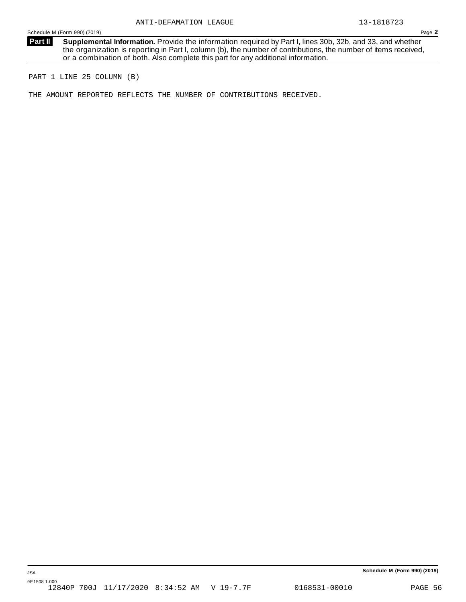**Supplemental Information.** Provide the information required by Part I, lines 30b, 32b, and 33, and whether the organization is reporting in Part I, column (b), the number of contributions, the number of items received, or a combination of both. Also complete this part for any additional information. **Part II**

PART 1 LINE 25 COLUMN (B)

THE AMOUNT REPORTED REFLECTS THE NUMBER OF CONTRIBUTIONS RECEIVED.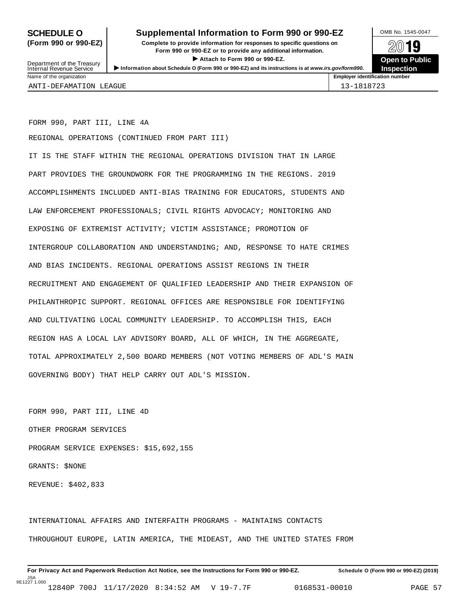### **SCHEDULE O** Supplemental Information to Form 990 or 990-EZ DAMB No. 1545-0047

**(Form 990 or 990-EZ) Complete to provide information for responses to specific questions on** plete to provide information for responses to specific questions on  $\mathbb{Z}^{0}$  **19 EV I D**<br>
■ Attach to Form 990 or 990-EZ. Depen to Public<br>
■ Public Public Public Department of the Treasury <br>Depen to Public<br>Name of the organization<br>Name of the organization<br>Name of the organization<br>Name of the organization<br>Inspection



Department of the Treasury<br>Internal Revenue Service ANTI-DEFAMATION LEAGUE 13-1818723

FORM 990, PART III, LINE 4A REGIONAL OPERATIONS (CONTINUED FROM PART III) IT IS THE STAFF WITHIN THE REGIONAL OPERATIONS DIVISION THAT IN LARGE PART PROVIDES THE GROUNDWORK FOR THE PROGRAMMING IN THE REGIONS. 2019 ACCOMPLISHMENTS INCLUDED ANTI-BIAS TRAINING FOR EDUCATORS, STUDENTS AND LAW ENFORCEMENT PROFESSIONALS; CIVIL RIGHTS ADVOCACY; MONITORING AND EXPOSING OF EXTREMIST ACTIVITY; VICTIM ASSISTANCE; PROMOTION OF INTERGROUP COLLABORATION AND UNDERSTANDING; AND, RESPONSE TO HATE CRIMES AND BIAS INCIDENTS. REGIONAL OPERATIONS ASSIST REGIONS IN THEIR RECRUITMENT AND ENGAGEMENT OF QUALIFIED LEADERSHIP AND THEIR EXPANSION OF PHILANTHROPIC SUPPORT. REGIONAL OFFICES ARE RESPONSIBLE FOR IDENTIFYING AND CULTIVATING LOCAL COMMUNITY LEADERSHIP. TO ACCOMPLISH THIS, EACH REGION HAS A LOCAL LAY ADVISORY BOARD, ALL OF WHICH, IN THE AGGREGATE, TOTAL APPROXIMATELY 2,500 BOARD MEMBERS (NOT VOTING MEMBERS OF ADL'S MAIN GOVERNING BODY) THAT HELP CARRY OUT ADL'S MISSION.

FORM 990, PART III, LINE 4D OTHER PROGRAM SERVICES PROGRAM SERVICE EXPENSES: \$15,692,155 GRANTS: \$NONE

REVENUE: \$402,833

INTERNATIONAL AFFAIRS AND INTERFAITH PROGRAMS - MAINTAINS CONTACTS THROUGHOUT EUROPE, LATIN AMERICA, THE MIDEAST, AND THE UNITED STATES FROM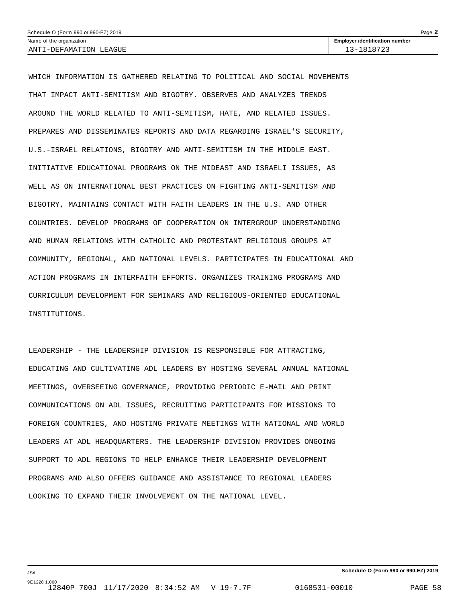| Schedule O (Form 990 or 990-EZ) 2019 |                                       | Page |
|--------------------------------------|---------------------------------------|------|
| Name of the organization             | <b>Employer identification number</b> |      |
| ANTI-DEFAMATION LEAGUE               | 1818723<br>$\sim$ $\sim$              |      |

WHICH INFORMATION IS GATHERED RELATING TO POLITICAL AND SOCIAL MOVEMENTS THAT IMPACT ANTI-SEMITISM AND BIGOTRY. OBSERVES AND ANALYZES TRENDS AROUND THE WORLD RELATED TO ANTI-SEMITISM, HATE, AND RELATED ISSUES. PREPARES AND DISSEMINATES REPORTS AND DATA REGARDING ISRAEL'S SECURITY, U.S.-ISRAEL RELATIONS, BIGOTRY AND ANTI-SEMITISM IN THE MIDDLE EAST. INITIATIVE EDUCATIONAL PROGRAMS ON THE MIDEAST AND ISRAELI ISSUES, AS WELL AS ON INTERNATIONAL BEST PRACTICES ON FIGHTING ANTI-SEMITISM AND BIGOTRY, MAINTAINS CONTACT WITH FAITH LEADERS IN THE U.S. AND OTHER COUNTRIES. DEVELOP PROGRAMS OF COOPERATION ON INTERGROUP UNDERSTANDING AND HUMAN RELATIONS WITH CATHOLIC AND PROTESTANT RELIGIOUS GROUPS AT COMMUNITY, REGIONAL, AND NATIONAL LEVELS. PARTICIPATES IN EDUCATIONAL AND ACTION PROGRAMS IN INTERFAITH EFFORTS. ORGANIZES TRAINING PROGRAMS AND CURRICULUM DEVELOPMENT FOR SEMINARS AND RELIGIOUS-ORIENTED EDUCATIONAL INSTITUTIONS.

LEADERSHIP - THE LEADERSHIP DIVISION IS RESPONSIBLE FOR ATTRACTING, EDUCATING AND CULTIVATING ADL LEADERS BY HOSTING SEVERAL ANNUAL NATIONAL MEETINGS, OVERSEEING GOVERNANCE, PROVIDING PERIODIC E-MAIL AND PRINT COMMUNICATIONS ON ADL ISSUES, RECRUITING PARTICIPANTS FOR MISSIONS TO FOREIGN COUNTRIES, AND HOSTING PRIVATE MEETINGS WITH NATIONAL AND WORLD LEADERS AT ADL HEADQUARTERS. THE LEADERSHIP DIVISION PROVIDES ONGOING SUPPORT TO ADL REGIONS TO HELP ENHANCE THEIR LEADERSHIP DEVELOPMENT PROGRAMS AND ALSO OFFERS GUIDANCE AND ASSISTANCE TO REGIONAL LEADERS LOOKING TO EXPAND THEIR INVOLVEMENT ON THE NATIONAL LEVEL.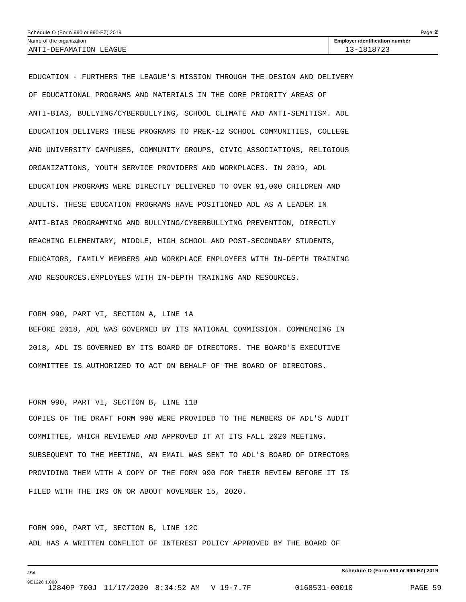| Schedule O (Form 990 or 990-EZ) 2019 |                                       | Page |
|--------------------------------------|---------------------------------------|------|
| Name of the organization             | <b>Employer identification number</b> |      |
| ANTI-DEFAMATION LEAGUE               | 1818723<br>$\sim$ $\sim$              |      |

EDUCATION - FURTHERS THE LEAGUE'S MISSION THROUGH THE DESIGN AND DELIVERY OF EDUCATIONAL PROGRAMS AND MATERIALS IN THE CORE PRIORITY AREAS OF ANTI-BIAS, BULLYING/CYBERBULLYING, SCHOOL CLIMATE AND ANTI-SEMITISM. ADL EDUCATION DELIVERS THESE PROGRAMS TO PREK-12 SCHOOL COMMUNITIES, COLLEGE AND UNIVERSITY CAMPUSES, COMMUNITY GROUPS, CIVIC ASSOCIATIONS, RELIGIOUS ORGANIZATIONS, YOUTH SERVICE PROVIDERS AND WORKPLACES. IN 2019, ADL EDUCATION PROGRAMS WERE DIRECTLY DELIVERED TO OVER 91,000 CHILDREN AND ADULTS. THESE EDUCATION PROGRAMS HAVE POSITIONED ADL AS A LEADER IN ANTI-BIAS PROGRAMMING AND BULLYING/CYBERBULLYING PREVENTION, DIRECTLY REACHING ELEMENTARY, MIDDLE, HIGH SCHOOL AND POST-SECONDARY STUDENTS, EDUCATORS, FAMILY MEMBERS AND WORKPLACE EMPLOYEES WITH IN-DEPTH TRAINING AND RESOURCES.EMPLOYEES WITH IN-DEPTH TRAINING AND RESOURCES.

### FORM 990, PART VI, SECTION A, LINE 1A

BEFORE 2018, ADL WAS GOVERNED BY ITS NATIONAL COMMISSION. COMMENCING IN 2018, ADL IS GOVERNED BY ITS BOARD OF DIRECTORS. THE BOARD'S EXECUTIVE COMMITTEE IS AUTHORIZED TO ACT ON BEHALF OF THE BOARD OF DIRECTORS.

### FORM 990, PART VI, SECTION B, LINE 11B

COPIES OF THE DRAFT FORM 990 WERE PROVIDED TO THE MEMBERS OF ADL'S AUDIT COMMITTEE, WHICH REVIEWED AND APPROVED IT AT ITS FALL 2020 MEETING. SUBSEQUENT TO THE MEETING, AN EMAIL WAS SENT TO ADL'S BOARD OF DIRECTORS PROVIDING THEM WITH A COPY OF THE FORM 990 FOR THEIR REVIEW BEFORE IT IS FILED WITH THE IRS ON OR ABOUT NOVEMBER 15, 2020.

### FORM 990, PART VI, SECTION B, LINE 12C ADL HAS A WRITTEN CONFLICT OF INTEREST POLICY APPROVED BY THE BOARD OF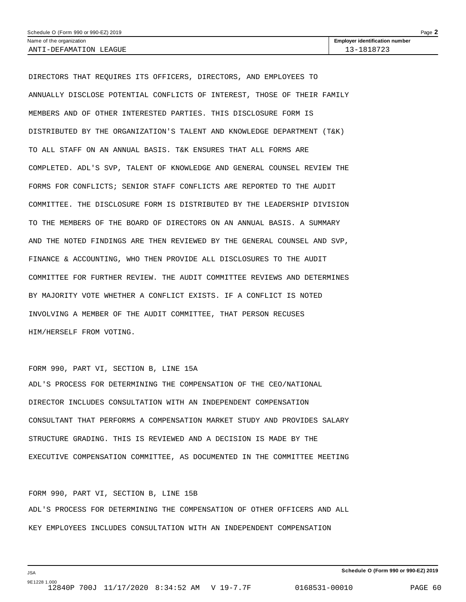| Schedule O (Form 990 or 990-EZ) 2019 |                                       | Page $\blacktriangle$ |
|--------------------------------------|---------------------------------------|-----------------------|
| Name of the organization             | <b>Employer identification number</b> |                       |
| ANTI-DEFAMATION LEAGUE               | $3 - 1818723$                         |                       |

DIRECTORS THAT REQUIRES ITS OFFICERS, DIRECTORS, AND EMPLOYEES TO ANNUALLY DISCLOSE POTENTIAL CONFLICTS OF INTEREST, THOSE OF THEIR FAMILY MEMBERS AND OF OTHER INTERESTED PARTIES. THIS DISCLOSURE FORM IS DISTRIBUTED BY THE ORGANIZATION'S TALENT AND KNOWLEDGE DEPARTMENT (T&K) TO ALL STAFF ON AN ANNUAL BASIS. T&K ENSURES THAT ALL FORMS ARE COMPLETED. ADL'S SVP, TALENT OF KNOWLEDGE AND GENERAL COUNSEL REVIEW THE FORMS FOR CONFLICTS; SENIOR STAFF CONFLICTS ARE REPORTED TO THE AUDIT COMMITTEE. THE DISCLOSURE FORM IS DISTRIBUTED BY THE LEADERSHIP DIVISION TO THE MEMBERS OF THE BOARD OF DIRECTORS ON AN ANNUAL BASIS. A SUMMARY AND THE NOTED FINDINGS ARE THEN REVIEWED BY THE GENERAL COUNSEL AND SVP, FINANCE & ACCOUNTING, WHO THEN PROVIDE ALL DISCLOSURES TO THE AUDIT COMMITTEE FOR FURTHER REVIEW. THE AUDIT COMMITTEE REVIEWS AND DETERMINES BY MAJORITY VOTE WHETHER A CONFLICT EXISTS. IF A CONFLICT IS NOTED INVOLVING A MEMBER OF THE AUDIT COMMITTEE, THAT PERSON RECUSES HIM/HERSELF FROM VOTING.

FORM 990, PART VI, SECTION B, LINE 15A ADL'S PROCESS FOR DETERMINING THE COMPENSATION OF THE CEO/NATIONAL DIRECTOR INCLUDES CONSULTATION WITH AN INDEPENDENT COMPENSATION CONSULTANT THAT PERFORMS A COMPENSATION MARKET STUDY AND PROVIDES SALARY STRUCTURE GRADING. THIS IS REVIEWED AND A DECISION IS MADE BY THE EXECUTIVE COMPENSATION COMMITTEE, AS DOCUMENTED IN THE COMMITTEE MEETING

FORM 990, PART VI, SECTION B, LINE 15B ADL'S PROCESS FOR DETERMINING THE COMPENSATION OF OTHER OFFICERS AND ALL KEY EMPLOYEES INCLUDES CONSULTATION WITH AN INDEPENDENT COMPENSATION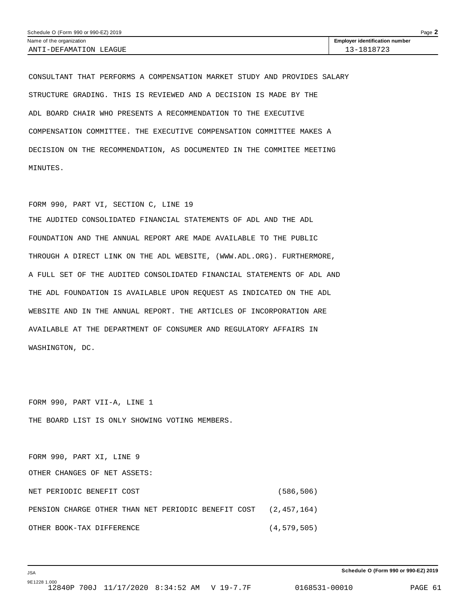CONSULTANT THAT PERFORMS A COMPENSATION MARKET STUDY AND PROVIDES SALARY STRUCTURE GRADING. THIS IS REVIEWED AND A DECISION IS MADE BY THE ADL BOARD CHAIR WHO PRESENTS A RECOMMENDATION TO THE EXECUTIVE COMPENSATION COMMITTEE. THE EXECUTIVE COMPENSATION COMMITTEE MAKES A DECISION ON THE RECOMMENDATION, AS DOCUMENTED IN THE COMMITEE MEETING MINUTES.

### FORM 990, PART VI, SECTION C, LINE 19

THE AUDITED CONSOLIDATED FINANCIAL STATEMENTS OF ADL AND THE ADL FOUNDATION AND THE ANNUAL REPORT ARE MADE AVAILABLE TO THE PUBLIC THROUGH A DIRECT LINK ON THE ADL WEBSITE, (WWW.ADL.ORG). FURTHERMORE, A FULL SET OF THE AUDITED CONSOLIDATED FINANCIAL STATEMENTS OF ADL AND THE ADL FOUNDATION IS AVAILABLE UPON REQUEST AS INDICATED ON THE ADL WEBSITE AND IN THE ANNUAL REPORT. THE ARTICLES OF INCORPORATION ARE AVAILABLE AT THE DEPARTMENT OF CONSUMER AND REGULATORY AFFAIRS IN WASHINGTON, DC.

FORM 990, PART VII-A, LINE 1 THE BOARD LIST IS ONLY SHOWING VOTING MEMBERS.

FORM 990, PART XI, LINE 9 OTHER CHANGES OF NET ASSETS: NET PERIODIC BENEFIT COST (586,506) PENSION CHARGE OTHER THAN NET PERIODIC BENEFIT COST (2,457,164) OTHER BOOK-TAX DIFFERENCE (4,579,505)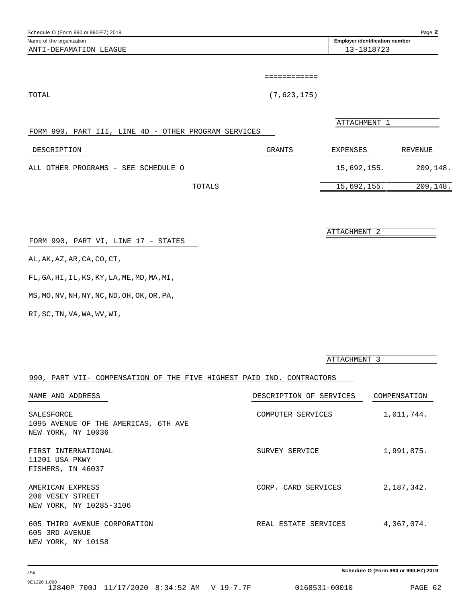| Name of the organization | <b>Employer identification number</b> |
|--------------------------|---------------------------------------|
| ANTI-DEFAMATION LEAGUE   | 13-1818723                            |
|                          |                                       |
|                          |                                       |

============

TOTAL (7,623,175)

|                                                      |        | ATTACHMENT 1 |          |
|------------------------------------------------------|--------|--------------|----------|
| FORM 990, PART III, LINE 4D - OTHER PROGRAM SERVICES |        |              |          |
| DESCRIPTION                                          | GRANTS | EXPENSES     | REVENUE  |
| ALL OTHER PROGRAMS - SEE SCHEDULE O                  |        | 15,692,155.  | 209,148. |
| TOTALS                                               |        | 15,692,155.  | 209,148. |

ATTACHMENT 2

FORM 990, PART VI, LINE 17 - STATES

AL,AK,AZ,AR,CA,CO,CT,

FL,GA,HI,IL,KS,KY,LA,ME,MD,MA,MI,

MS,MO,NV,NH,NY,NC,ND,OH,OK,OR,PA,

RI,SC,TN,VA,WA,WV,WI,

| ATTACHMENT 3                                                             |                         |              |  |  |  |  |  |
|--------------------------------------------------------------------------|-------------------------|--------------|--|--|--|--|--|
| 990, PART VII- COMPENSATION OF THE FIVE HIGHEST PAID IND. CONTRACTORS    |                         |              |  |  |  |  |  |
| NAME AND ADDRESS                                                         | DESCRIPTION OF SERVICES | COMPENSATION |  |  |  |  |  |
| SALESFORCE<br>1095 AVENUE OF THE AMERICAS, 6TH AVE<br>NEW YORK, NY 10036 | COMPUTER SERVICES       | 1,011,744.   |  |  |  |  |  |
| FIRST INTERNATIONAL<br>11201 USA PKWY<br>FISHERS, IN 46037               | SURVEY SERVICE          | 1,991,875.   |  |  |  |  |  |
| AMERICAN EXPRESS<br>200 VESEY STREET<br>NEW YORK, NY 10285-3106          | CORP. CARD SERVICES     | 2,187,342.   |  |  |  |  |  |
| 605 THIRD AVENUE CORPORATION<br>605 3RD AVENUE<br>NEW YORK, NY 10158     | REAL ESTATE SERVICES    | 4,367,074.   |  |  |  |  |  |

<span id="page-59-0"></span>Schedule O (Form 990 or 990-EZ) 2019 Page **2**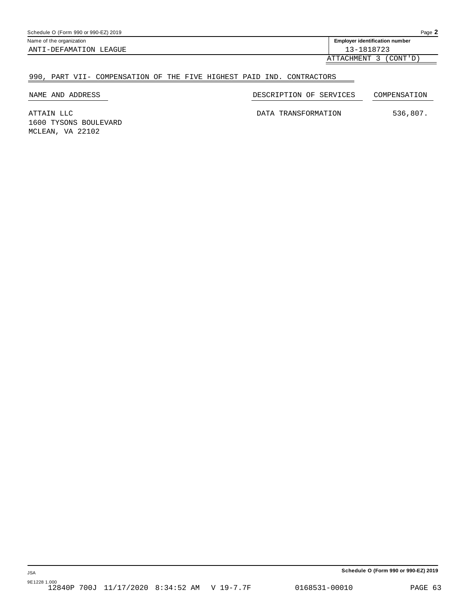| Schedule O (Form 990 or 990-EZ) 2019 |                                       |  |  |  |  |  |
|--------------------------------------|---------------------------------------|--|--|--|--|--|
| Name of the organization             | <b>Employer identification number</b> |  |  |  |  |  |
| ANTI-DEFAMATION LEAGUE               | 13-1818723                            |  |  |  |  |  |

ATTACHMENT 3 (CONT'D)

### 990, PART VII- COMPENSATION OF THE FIVE HIGHEST PAID IND. CONTRACTORS

NAME AND ADDRESS DESCRIPTION OF SERVICES COMPENSATION

1600 TYSONS BOULEVARD MCLEAN, VA 22102

ATTAIN LLC 536,807.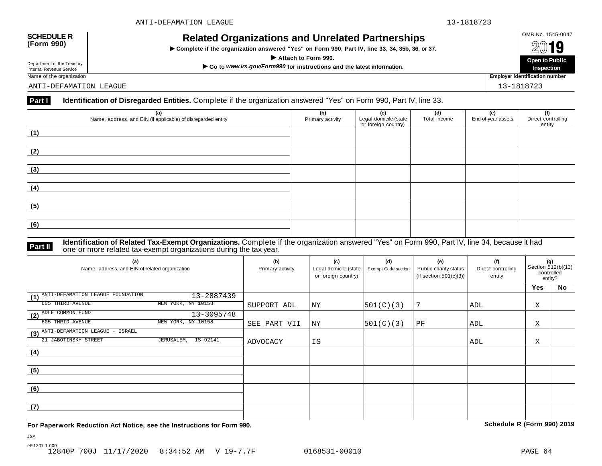## OMB No. 1545-0047 **SCHEDULE R (Form 990) Related Organizations and Unrelated Partnerships**

 $\triangleright$  Complete if the organization answered "Yes" on Form 990, Part IV, line 33, 34, 35b, 36, or 37.



Department of the Treasury

ANTI-DEFAMATION LEAGUE 13-1818723

### **Part I Identification of Disregarded Entities.** Complete if the organization answered "Yes" on Form 990, Part IV, line 33.

| (a)<br>Name, address, and EIN (if applicable) of disregarded entity | (b)<br>Primary activity | (c)<br>Legal domicile (state<br>or foreign country) | (d)<br>Total income | (e)<br>End-of-year assets | (f)<br>Direct controlling<br>entity |
|---------------------------------------------------------------------|-------------------------|-----------------------------------------------------|---------------------|---------------------------|-------------------------------------|
| (1)                                                                 |                         |                                                     |                     |                           |                                     |
| (2)                                                                 |                         |                                                     |                     |                           |                                     |
| (3)                                                                 |                         |                                                     |                     |                           |                                     |
| (4)                                                                 |                         |                                                     |                     |                           |                                     |
| (5)                                                                 |                         |                                                     |                     |                           |                                     |
| (6)                                                                 |                         |                                                     |                     |                           |                                     |

JSA

**Identification of Related Tax-Exempt Organizations.** Complete if the organization answered "Yes" on Form 990, Part IV, line 34, because it had **Part II** one or more related tax-exempt organizations during the tax year.

| (a)<br>Name, address, and EIN of related organization  | (b)<br>Primary activity | (c)<br>Legal domicile (state<br>or foreign country) | (d)<br>Exempt Code section | (e)<br>Public charity status<br>(if section $501(c)(3)$ ) | (f)<br>Direct controlling<br>entity | (g)<br>Section 512(b)(13)<br>controlled<br>entity? |    |
|--------------------------------------------------------|-------------------------|-----------------------------------------------------|----------------------------|-----------------------------------------------------------|-------------------------------------|----------------------------------------------------|----|
|                                                        |                         |                                                     |                            |                                                           |                                     | <b>Yes</b>                                         | No |
| ANTI-DEFAMATION LEAGUE FOUNDATION<br>13-2887439<br>(1) |                         |                                                     |                            |                                                           |                                     |                                                    |    |
| 605 THIRD AVENUE<br>NEW YORK, NY 10158                 | SUPPORT ADL             | ΝY                                                  | 501(C)(3)                  | 7                                                         | ADL                                 | Χ                                                  |    |
| (2) ADLF COMMON FUND<br>13-3095748                     |                         |                                                     |                            |                                                           |                                     |                                                    |    |
| NEW YORK, NY 10158<br>605 THRID AVENUE                 | SEE PART VII            | ΝY                                                  | 501(C)(3)                  | PF                                                        | ADL                                 | Χ                                                  |    |
| (3) ANTI-DEFAMATION LEAGUE - ISRAEL                    |                         |                                                     |                            |                                                           |                                     |                                                    |    |
| 21 JABOTINSKY STREET<br>JERUSALEM,<br>IS 92141         | ADVOCACY                | IS                                                  |                            |                                                           | ADL                                 | Χ                                                  |    |
| (4)                                                    |                         |                                                     |                            |                                                           |                                     |                                                    |    |
| (5)                                                    |                         |                                                     |                            |                                                           |                                     |                                                    |    |
| (6)                                                    |                         |                                                     |                            |                                                           |                                     |                                                    |    |
| (7)                                                    |                         |                                                     |                            |                                                           |                                     |                                                    |    |

**For Paperwork Reduction Act Notice, see the Instructions for Form 990. Schedule R (Form 990) 2019**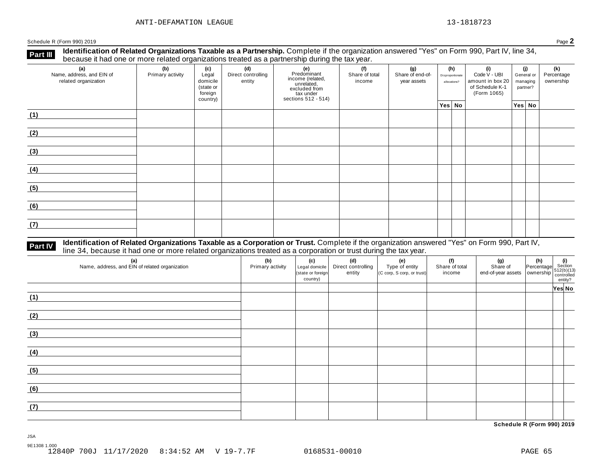**Part III** Identification of Related Organizations Taxable as a Partnership. Complete if the organization answered "Yes" on Form 990, Part IV, line 34,<br>because it had one or more related organizations treated as a partners

| (a)<br>Name, address, and EIN of<br>related organization | (b)<br>Primary activity | (c)<br>Legal<br>domicile<br>(state or<br>foreign<br>country) | (d)<br>Direct controlling<br>entity | (e)<br>Predominant<br>Frecomman<br>income (related,<br>unrelated,<br>excluded from<br>sections 512 - 514) | (f)<br>Share of total<br>income | (g)<br>Share of end-of-<br>year assets | (h)<br>Disproportionate<br>allocations? | (i)<br>Code V - UBI<br>amount in box 20<br>of Schedule K-1<br>(Form 1065) | (j)<br>General or<br>managing<br>partner? |  |  |  |  |  |  |  | (k)<br>Percentage<br>ownership |
|----------------------------------------------------------|-------------------------|--------------------------------------------------------------|-------------------------------------|-----------------------------------------------------------------------------------------------------------|---------------------------------|----------------------------------------|-----------------------------------------|---------------------------------------------------------------------------|-------------------------------------------|--|--|--|--|--|--|--|--------------------------------|
|                                                          |                         |                                                              |                                     |                                                                                                           |                                 |                                        | Yes No                                  |                                                                           | Yes No                                    |  |  |  |  |  |  |  |                                |
| (1)                                                      |                         |                                                              |                                     |                                                                                                           |                                 |                                        |                                         |                                                                           |                                           |  |  |  |  |  |  |  |                                |
| (2)                                                      |                         |                                                              |                                     |                                                                                                           |                                 |                                        |                                         |                                                                           |                                           |  |  |  |  |  |  |  |                                |
| (3)                                                      |                         |                                                              |                                     |                                                                                                           |                                 |                                        |                                         |                                                                           |                                           |  |  |  |  |  |  |  |                                |
| (4)                                                      |                         |                                                              |                                     |                                                                                                           |                                 |                                        |                                         |                                                                           |                                           |  |  |  |  |  |  |  |                                |
| (5)                                                      |                         |                                                              |                                     |                                                                                                           |                                 |                                        |                                         |                                                                           |                                           |  |  |  |  |  |  |  |                                |
| (6)                                                      |                         |                                                              |                                     |                                                                                                           |                                 |                                        |                                         |                                                                           |                                           |  |  |  |  |  |  |  |                                |
| (7)                                                      |                         |                                                              |                                     |                                                                                                           |                                 |                                        |                                         |                                                                           |                                           |  |  |  |  |  |  |  |                                |

## **Part IV** Identification of Related Organizations Taxable as a Corporation or Trust. Complete if the organization answered "Yes" on Form 990, Part IV,<br>line 34, because it had one or more related organizations treated as a

| (a)<br>Name, address, and EIN of related organization | (b)<br>Primary activity | (c)<br>Legal domicile<br>(state or foreign<br>country) | (d)<br>Direct controlling<br>entity | (e)<br>Type of entity<br>(C corp, S corp, or trust) | (f)<br>Share of total<br>income | (g) (h) $\frac{1}{\sqrt{10}}$ (i) $\frac{1}{\sqrt{10}}$ (i) $\frac{1}{\sqrt{10}}$ (i) $\frac{1}{\sqrt{10}}$ (com end-of-year assets ownership $\frac{1}{\sqrt{10}}$ (controlled entity? |        |
|-------------------------------------------------------|-------------------------|--------------------------------------------------------|-------------------------------------|-----------------------------------------------------|---------------------------------|-----------------------------------------------------------------------------------------------------------------------------------------------------------------------------------------|--------|
|                                                       |                         |                                                        |                                     |                                                     |                                 |                                                                                                                                                                                         | Yes No |
| (1)                                                   |                         |                                                        |                                     |                                                     |                                 |                                                                                                                                                                                         |        |
| (2)                                                   |                         |                                                        |                                     |                                                     |                                 |                                                                                                                                                                                         |        |
| (3)                                                   |                         |                                                        |                                     |                                                     |                                 |                                                                                                                                                                                         |        |
| (4)                                                   |                         |                                                        |                                     |                                                     |                                 |                                                                                                                                                                                         |        |
| (5)                                                   |                         |                                                        |                                     |                                                     |                                 |                                                                                                                                                                                         |        |
| (6)                                                   |                         |                                                        |                                     |                                                     |                                 |                                                                                                                                                                                         |        |
| (7)                                                   |                         |                                                        |                                     |                                                     |                                 |                                                                                                                                                                                         |        |

**Schedule R (Form 990) 2019**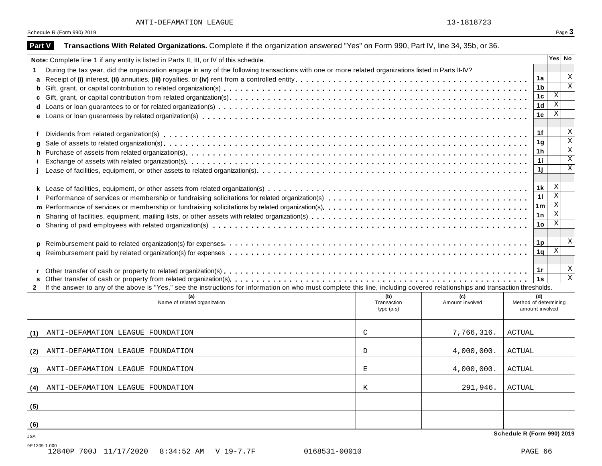ANTI-DEFAMATION LEAGUE 13-1818723

Schedule R (Form 990) 2019 **Page 3** 

| <b>Part V</b> | Transactions With Related Organizations. Complete if the organization answered "Yes" on Form 990, Part IV, line 34, 35b, or 36.                                              |                            |                 |                                          |                                                             |  |  |  |  |  |  |  |
|---------------|------------------------------------------------------------------------------------------------------------------------------------------------------------------------------|----------------------------|-----------------|------------------------------------------|-------------------------------------------------------------|--|--|--|--|--|--|--|
|               | Note: Complete line 1 if any entity is listed in Parts II, III, or IV of this schedule.                                                                                      |                            |                 |                                          | Yes No                                                      |  |  |  |  |  |  |  |
|               | During the tax year, did the organization engage in any of the following transactions with one or more related organizations listed in Parts II-IV?                          |                            |                 |                                          |                                                             |  |  |  |  |  |  |  |
| a             |                                                                                                                                                                              |                            |                 |                                          | $\mathbf x$<br>1a                                           |  |  |  |  |  |  |  |
| b             |                                                                                                                                                                              |                            |                 |                                          | $\overline{\mathbf{x}}$<br>1b                               |  |  |  |  |  |  |  |
| c             |                                                                                                                                                                              |                            |                 |                                          | $\boldsymbol{\mathrm{X}}$<br>1c                             |  |  |  |  |  |  |  |
| d             |                                                                                                                                                                              |                            |                 |                                          | $\mathbf X$<br>1 <sub>d</sub>                               |  |  |  |  |  |  |  |
|               |                                                                                                                                                                              |                            |                 |                                          | $\mathbf X$<br>1e                                           |  |  |  |  |  |  |  |
|               |                                                                                                                                                                              |                            |                 |                                          |                                                             |  |  |  |  |  |  |  |
| f             |                                                                                                                                                                              |                            |                 |                                          | X<br>1f<br>$\overline{\mathbf{x}}$                          |  |  |  |  |  |  |  |
| g             |                                                                                                                                                                              |                            |                 |                                          | 1 <sub>g</sub><br>$\overline{\mathbf{x}}$<br>1 <sub>h</sub> |  |  |  |  |  |  |  |
| h             |                                                                                                                                                                              |                            |                 |                                          |                                                             |  |  |  |  |  |  |  |
|               |                                                                                                                                                                              |                            |                 |                                          |                                                             |  |  |  |  |  |  |  |
|               |                                                                                                                                                                              |                            |                 |                                          | $\mathbf x$<br>1j                                           |  |  |  |  |  |  |  |
|               |                                                                                                                                                                              |                            |                 |                                          | Χ<br>1k                                                     |  |  |  |  |  |  |  |
|               | 11                                                                                                                                                                           |                            |                 |                                          |                                                             |  |  |  |  |  |  |  |
|               |                                                                                                                                                                              |                            |                 |                                          |                                                             |  |  |  |  |  |  |  |
| m             |                                                                                                                                                                              |                            |                 |                                          | $\rm X$<br>1m<br>$\mathbf X$<br>1n                          |  |  |  |  |  |  |  |
|               |                                                                                                                                                                              |                            |                 |                                          | X<br>1 <sub>o</sub>                                         |  |  |  |  |  |  |  |
| $\mathbf{o}$  |                                                                                                                                                                              |                            |                 |                                          |                                                             |  |  |  |  |  |  |  |
| p             |                                                                                                                                                                              |                            |                 |                                          | X<br>1 <sub>p</sub>                                         |  |  |  |  |  |  |  |
| a             |                                                                                                                                                                              |                            |                 |                                          | X<br>1q                                                     |  |  |  |  |  |  |  |
|               |                                                                                                                                                                              |                            |                 |                                          |                                                             |  |  |  |  |  |  |  |
|               |                                                                                                                                                                              |                            |                 |                                          | X<br>1r                                                     |  |  |  |  |  |  |  |
|               |                                                                                                                                                                              |                            |                 |                                          | $\overline{\mathbf{x}}$<br>1s                               |  |  |  |  |  |  |  |
| $\mathbf{2}$  | If the answer to any of the above is "Yes," see the instructions for information on who must complete this line, including covered relationships and transaction thresholds. |                            |                 |                                          |                                                             |  |  |  |  |  |  |  |
|               | (a)                                                                                                                                                                          | (b)                        | (c)             |                                          | (d)                                                         |  |  |  |  |  |  |  |
|               | Name of related organization                                                                                                                                                 | Transaction<br>$type(a-s)$ | Amount involved | Method of determining<br>amount involved |                                                             |  |  |  |  |  |  |  |
|               |                                                                                                                                                                              |                            |                 |                                          |                                                             |  |  |  |  |  |  |  |
| (1)           | ANTI-DEFAMATION LEAGUE FOUNDATION                                                                                                                                            | C                          | 7,766,316.      | <b>ACTUAL</b>                            |                                                             |  |  |  |  |  |  |  |
|               |                                                                                                                                                                              |                            |                 |                                          |                                                             |  |  |  |  |  |  |  |
| (2)           | ANTI-DEFAMATION LEAGUE FOUNDATION                                                                                                                                            | D                          | 4,000,000.      | <b>ACTUAL</b>                            |                                                             |  |  |  |  |  |  |  |
|               |                                                                                                                                                                              |                            |                 |                                          |                                                             |  |  |  |  |  |  |  |
| (3)           | ANTI-DEFAMATION LEAGUE FOUNDATION                                                                                                                                            | Е                          | 4,000,000.      | ACTUAL                                   |                                                             |  |  |  |  |  |  |  |
|               |                                                                                                                                                                              |                            |                 |                                          |                                                             |  |  |  |  |  |  |  |
| (4)           | ANTI-DEFAMATION LEAGUE FOUNDATION                                                                                                                                            | Κ                          | 291,946.        | <b>ACTUAL</b>                            |                                                             |  |  |  |  |  |  |  |
| (5)           |                                                                                                                                                                              |                            |                 |                                          |                                                             |  |  |  |  |  |  |  |
|               |                                                                                                                                                                              |                            |                 |                                          |                                                             |  |  |  |  |  |  |  |
| (6)           |                                                                                                                                                                              |                            |                 | Schedule R (Form 990) 2019               |                                                             |  |  |  |  |  |  |  |
| <b>JSA</b>    |                                                                                                                                                                              |                            |                 |                                          |                                                             |  |  |  |  |  |  |  |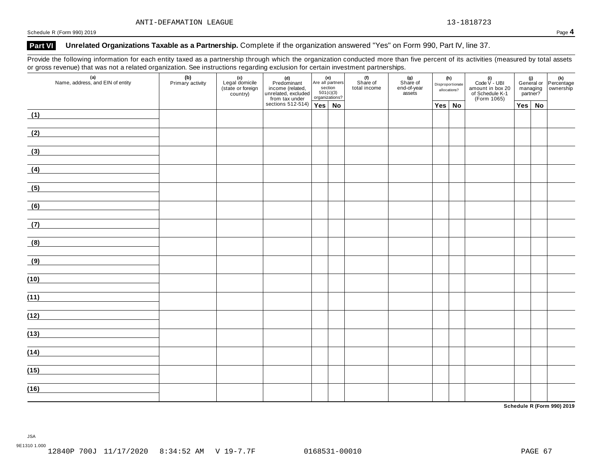### **Part VI Unrelated Organizations Taxable as a Partnership.** Complete if the organization answered "Yes" on Form 990, Part IV, line 37.

Provide the following information for each entity taxed as a partnership through which the organization conducted more than five percent of its activities (measured by total assets or gross revenue) that was not a related organization. See instructions regarding exclusion for certain investment partnerships.

| $\mathbf{v}$<br>$\sim$ $\sim$ $\sim$<br>$\frac{1}{\sqrt{2}}$<br>(a)<br>Name, address, and EIN of entity | (b)<br>Primary activity | - ت<br>(c)<br>Legal domicile<br>(state or foreign<br>country) | (d)<br>Predominant<br>income (related,<br>unrelated, excluded<br>from tax under | $\begin{vmatrix} e \\ \text{Area} \end{vmatrix}$<br>section<br>501(c)(3)<br>organizations? | .<br>(f)<br>Share of<br>total income | $(g)$<br>Share of<br>end-of-year<br>assets | (h)<br>Disproportionate<br>allocations? | (i)<br>Code V - UBI<br>amount in box 20<br>of Schedule K-1<br>(Form 1065) |               | (i)<br>General or Percentage<br>managing ownership<br>partner? |
|---------------------------------------------------------------------------------------------------------|-------------------------|---------------------------------------------------------------|---------------------------------------------------------------------------------|--------------------------------------------------------------------------------------------|--------------------------------------|--------------------------------------------|-----------------------------------------|---------------------------------------------------------------------------|---------------|----------------------------------------------------------------|
|                                                                                                         |                         |                                                               | sections 512-514) $Yes \mid No$                                                 |                                                                                            |                                      |                                            | Yes No                                  |                                                                           | $Yes \mid No$ |                                                                |
| (1)<br>the control of the control of the                                                                |                         |                                                               |                                                                                 |                                                                                            |                                      |                                            |                                         |                                                                           |               |                                                                |
| (2)                                                                                                     |                         |                                                               |                                                                                 |                                                                                            |                                      |                                            |                                         |                                                                           |               |                                                                |
| (3)                                                                                                     |                         |                                                               |                                                                                 |                                                                                            |                                      |                                            |                                         |                                                                           |               |                                                                |
| (4)                                                                                                     |                         |                                                               |                                                                                 |                                                                                            |                                      |                                            |                                         |                                                                           |               |                                                                |
| (5)                                                                                                     |                         |                                                               |                                                                                 |                                                                                            |                                      |                                            |                                         |                                                                           |               |                                                                |
| (6)                                                                                                     |                         |                                                               |                                                                                 |                                                                                            |                                      |                                            |                                         |                                                                           |               |                                                                |
| (7)                                                                                                     |                         |                                                               |                                                                                 |                                                                                            |                                      |                                            |                                         |                                                                           |               |                                                                |
| (8)                                                                                                     |                         |                                                               |                                                                                 |                                                                                            |                                      |                                            |                                         |                                                                           |               |                                                                |
| (9)                                                                                                     |                         |                                                               |                                                                                 |                                                                                            |                                      |                                            |                                         |                                                                           |               |                                                                |
| (10)                                                                                                    |                         |                                                               |                                                                                 |                                                                                            |                                      |                                            |                                         |                                                                           |               |                                                                |
| (11)<br>the company of the company of the company                                                       |                         |                                                               |                                                                                 |                                                                                            |                                      |                                            |                                         |                                                                           |               |                                                                |
| (12)<br><u> 1980 - Andrea Station Books, amerikansk politik (d. 1980)</u>                               |                         |                                                               |                                                                                 |                                                                                            |                                      |                                            |                                         |                                                                           |               |                                                                |
| (13)<br><u> 1989 - Andrea State Barbara, amerikan per</u>                                               |                         |                                                               |                                                                                 |                                                                                            |                                      |                                            |                                         |                                                                           |               |                                                                |
| (14)                                                                                                    |                         |                                                               |                                                                                 |                                                                                            |                                      |                                            |                                         |                                                                           |               |                                                                |
| (15)                                                                                                    |                         |                                                               |                                                                                 |                                                                                            |                                      |                                            |                                         |                                                                           |               |                                                                |
|                                                                                                         |                         |                                                               |                                                                                 |                                                                                            |                                      |                                            |                                         |                                                                           |               |                                                                |
| (16)                                                                                                    |                         |                                                               |                                                                                 |                                                                                            |                                      |                                            |                                         |                                                                           |               |                                                                |

**Schedule R (Form 990) 2019**

JSA 9E1310 1.000